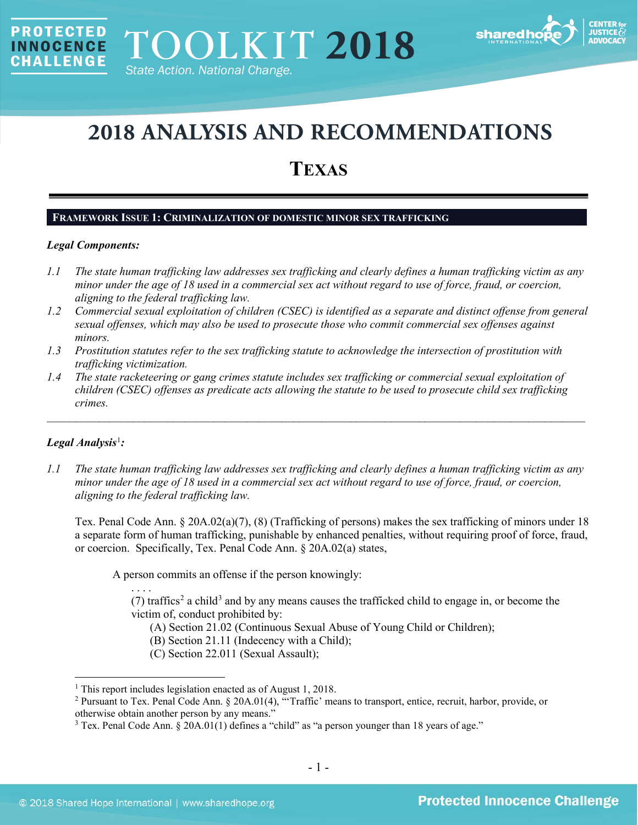

# **2018 ANALYSIS AND RECOMMENDATIONS**

## **TEXAS**

## **FRAMEWORK ISSUE 1: CRIMINALIZATION OF DOMESTIC MINOR SEX TRAFFICKING**

#### *Legal Components:*

**PROTECTED** 

**INNOCENCE CHALLENGE** 

- *1.1 The state human trafficking law addresses sex trafficking and clearly defines a human trafficking victim as any minor under the age of 18 used in a commercial sex act without regard to use of force, fraud, or coercion, aligning to the federal trafficking law.*
- *1.2 Commercial sexual exploitation of children (CSEC) is identified as a separate and distinct offense from general sexual offenses, which may also be used to prosecute those who commit commercial sex offenses against minors.*
- *1.3 Prostitution statutes refer to the sex trafficking statute to acknowledge the intersection of prostitution with trafficking victimization.*
- *1.4 The state racketeering or gang crimes statute includes sex trafficking or commercial sexual exploitation of children (CSEC) offenses as predicate acts allowing the statute to be used to prosecute child sex trafficking crimes.*

\_\_\_\_\_\_\_\_\_\_\_\_\_\_\_\_\_\_\_\_\_\_\_\_\_\_\_\_\_\_\_\_\_\_\_\_\_\_\_\_\_\_\_\_\_\_\_\_\_\_\_\_\_\_\_\_\_\_\_\_\_\_\_\_\_\_\_\_\_\_\_\_\_\_\_\_\_\_\_\_\_\_\_\_\_\_\_\_\_\_\_\_\_\_

## *Legal Analysis*[1](#page-0-0) *:*

*1.1 The state human trafficking law addresses sex trafficking and clearly defines a human trafficking victim as any minor under the age of 18 used in a commercial sex act without regard to use of force, fraud, or coercion, aligning to the federal trafficking law.*

Tex. Penal Code Ann. § 20A.02(a)(7), (8) (Trafficking of persons) makes the sex trafficking of minors under 18 a separate form of human trafficking, punishable by enhanced penalties, without requiring proof of force, fraud, or coercion. Specifically, Tex. Penal Code Ann. § 20A.02(a) states,

A person commits an offense if the person knowingly:

. . . . (7) traffics<sup>[2](#page-0-1)</sup> a child<sup>[3](#page-0-2)</sup> and by any means causes the trafficked child to engage in, or become the victim of, conduct prohibited by:

- <span id="page-0-3"></span>(A) Section 21.02 (Continuous Sexual Abuse of Young Child or Children);
- (B) Section 21.11 (Indecency with a Child);
- (C) Section 22.011 (Sexual Assault);

<span id="page-0-1"></span><span id="page-0-0"></span><sup>&</sup>lt;sup>1</sup> This report includes legislation enacted as of August 1, 2018.<br><sup>2</sup> Pursuant to Tex. Penal Code Ann. § 20A.01(4), "Traffic' means to transport, entice, recruit, harbor, provide, or otherwise obtain another person by any means."

<span id="page-0-2"></span><sup>&</sup>lt;sup>3</sup> Tex. Penal Code Ann. § 20A.01(1) defines a "child" as "a person younger than 18 years of age."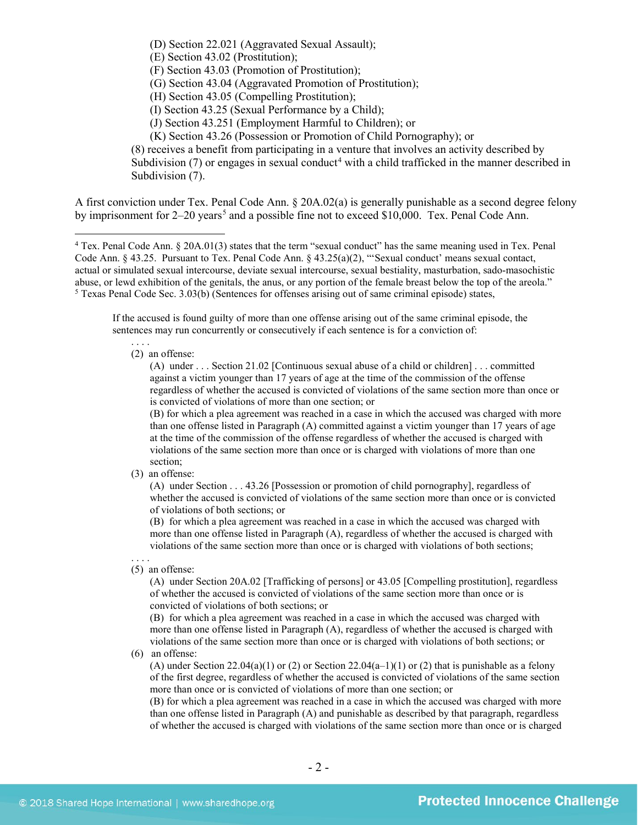(D) Section 22.021 (Aggravated Sexual Assault);

(E) Section 43.02 (Prostitution);

(F) Section 43.03 (Promotion of Prostitution);

(G) Section 43.04 (Aggravated Promotion of Prostitution);

(H) Section 43.05 (Compelling Prostitution);

(I) Section 43.25 (Sexual Performance by a Child);

(J) Section 43.251 (Employment Harmful to Children); or

<span id="page-1-3"></span><span id="page-1-2"></span>(K) Section 43.26 (Possession or Promotion of Child Pornography); or

(8) receives a benefit from participating in a venture that involves an activity described by Subdivision  $(7)$  or engages in sexual conduct<sup>4</sup> with a child trafficked in the manner described in Subdivision  $(7)$ .

A first conviction under Tex. Penal Code Ann. § 20A.02(a) is generally punishable as a second degree felony by imprisonment for  $2-20$  years<sup>[5](#page-1-1)</sup> and a possible fine not to exceed \$10,000. Tex. Penal Code Ann.

If the accused is found guilty of more than one offense arising out of the same criminal episode, the sentences may run concurrently or consecutively if each sentence is for a conviction of:

#### . . . . (2) an offense:

(A) under . . . Section 21.02 [Continuous sexual abuse of a child or children] . . . committed against a victim younger than 17 years of age at the time of the commission of the offense regardless of whether the accused is convicted of violations of the same section more than once or is convicted of violations of more than one section; or

(B) for which a plea agreement was reached in a case in which the accused was charged with more than one offense listed in Paragraph (A) committed against a victim younger than 17 years of age at the time of the commission of the offense regardless of whether the accused is charged with violations of the same section more than once or is charged with violations of more than one section;

(3) an offense:

(A) under Section . . . 43.26 [Possession or promotion of child pornography], regardless of whether the accused is convicted of violations of the same section more than once or is convicted of violations of both sections; or

(B) for which a plea agreement was reached in a case in which the accused was charged with more than one offense listed in Paragraph (A), regardless of whether the accused is charged with violations of the same section more than once or is charged with violations of both sections;

#### . . . . (5) an offense:

(A) under Section 20A.02 [Trafficking of persons] or 43.05 [Compelling prostitution], regardless of whether the accused is convicted of violations of the same section more than once or is convicted of violations of both sections; or

(B) for which a plea agreement was reached in a case in which the accused was charged with more than one offense listed in Paragraph (A), regardless of whether the accused is charged with violations of the same section more than once or is charged with violations of both sections; or

(6) an offense:

(A) under Section 22.04(a)(1) or (2) or Section 22.04(a–1)(1) or (2) that is punishable as a felony of the first degree, regardless of whether the accused is convicted of violations of the same section more than once or is convicted of violations of more than one section; or

(B) for which a plea agreement was reached in a case in which the accused was charged with more than one offense listed in Paragraph (A) and punishable as described by that paragraph, regardless of whether the accused is charged with violations of the same section more than once or is charged

<span id="page-1-1"></span><span id="page-1-0"></span> <sup>4</sup> Tex. Penal Code Ann. § 20A.01(3) states that the term "sexual conduct" has the same meaning used in Tex. Penal Code Ann. § 43.25. Pursuant to Tex. Penal Code Ann. § 43.25(a)(2), "'Sexual conduct' means sexual contact, actual or simulated sexual intercourse, deviate sexual intercourse, sexual bestiality, masturbation, sado-masochistic abuse, or lewd exhibition of the genitals, the anus, or any portion of the female breast below the top of the areola."  $<sup>5</sup>$  Texas Penal Code Sec. 3.03(b) (Sentences for offenses arising out of same criminal episode) states,</sup>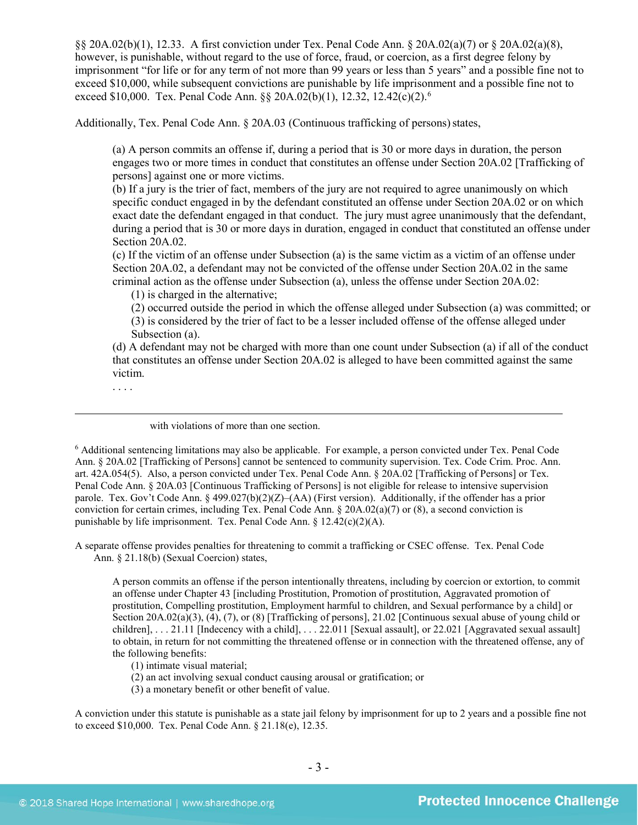§§ 20A.02(b)(1), 12.33. A first conviction under Tex. Penal Code Ann. § 20A.02(a)(7) or § 20A.02(a)(8), however, is punishable, without regard to the use of force, fraud, or coercion, as a first degree felony by imprisonment "for life or for any term of not more than 99 years or less than 5 years" and a possible fine not to exceed \$10,000, while subsequent convictions are punishable by life imprisonment and a possible fine not to exceed \$10,000. Tex. Penal Code Ann. §§ 20A.02(b)(1), 12.32, 12.42(c)(2).<sup>6</sup>

Additionally, Tex. Penal Code Ann. § 20A.03 (Continuous trafficking of persons) states,

<span id="page-2-1"></span>(a) A person commits an offense if, during a period that is 30 or more days in duration, the person engages two or more times in conduct that constitutes an offense under Section 20A.02 [Trafficking of persons] against one or more victims.

(b) If a jury is the trier of fact, members of the jury are not required to agree unanimously on which specific conduct engaged in by the defendant constituted an offense under Section 20A.02 or on which exact date the defendant engaged in that conduct. The jury must agree unanimously that the defendant, during a period that is 30 or more days in duration, engaged in conduct that constituted an offense under Section 20A.02.

(c) If the victim of an offense under Subsection (a) is the same victim as a victim of an offense under Section 20A.02, a defendant may not be convicted of the offense under Section 20A.02 in the same criminal action as the offense under Subsection (a), unless the offense under Section 20A.02:

(1) is charged in the alternative;

(2) occurred outside the period in which the offense alleged under Subsection (a) was committed; or (3) is considered by the trier of fact to be a lesser included offense of the offense alleged under Subsection (a).

(d) A defendant may not be charged with more than one count under Subsection (a) if all of the conduct that constitutes an offense under Section 20A.02 is alleged to have been committed against the same victim.

. . . .

 $\overline{a}$ 

with violations of more than one section.

<span id="page-2-0"></span><sup>6</sup> Additional sentencing limitations may also be applicable. For example, a person convicted under Tex. Penal Code Ann. § 20A.02 [Trafficking of Persons] cannot be sentenced to community supervision. Tex. Code Crim. Proc. Ann. art. 42A.054(5). Also, a person convicted under Tex. Penal Code Ann. § 20A.02 [Trafficking of Persons] or Tex. Penal Code Ann. § 20A.03 [Continuous Trafficking of Persons] is not eligible for release to intensive supervision parole. Tex. Gov't Code Ann. § 499.027(b)(2)(Z)–(AA) (First version). Additionally, if the offender has a prior conviction for certain crimes, including Tex. Penal Code Ann. § 20A.02(a)(7) or (8), a second conviction is punishable by life imprisonment. Tex. Penal Code Ann. § 12.42(c)(2)(A).

A separate offense provides penalties for threatening to commit a trafficking or CSEC offense. Tex. Penal Code Ann. § 21.18(b) (Sexual Coercion) states,

A person commits an offense if the person intentionally threatens, including by coercion or extortion, to commit an offense under Chapter 43 [including Prostitution, Promotion of prostitution, Aggravated promotion of prostitution, Compelling prostitution, Employment harmful to children, and Sexual performance by a child] or Section 20A.02(a)(3), (4), (7), or (8) [Trafficking of persons], 21.02 [Continuous sexual abuse of young child or children], . . . 21.11 [Indecency with a child], . . . 22.011 [Sexual assault], or 22.021 [Aggravated sexual assault] to obtain, in return for not committing the threatened offense or in connection with the threatened offense, any of the following benefits:

(1) intimate visual material;

(2) an act involving sexual conduct causing arousal or gratification; or

(3) a monetary benefit or other benefit of value.

A conviction under this statute is punishable as a state jail felony by imprisonment for up to 2 years and a possible fine not to exceed \$10,000. Tex. Penal Code Ann. § 21.18(e), 12.35.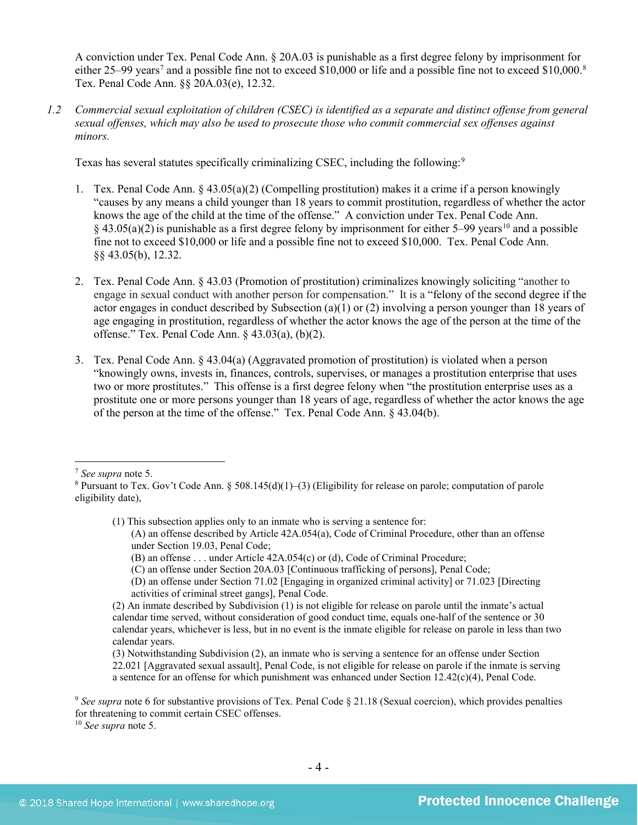<span id="page-3-4"></span>A conviction under Tex. Penal Code Ann. § 20A.03 is punishable as a first degree felony by imprisonment for either 25–99 years<sup>[7](#page-3-0)</sup> and a possible fine not to exceed \$10,000 or life and a possible fine not to exceed \$10,000.<sup>8</sup> Tex. Penal Code Ann. §§ 20A.03(e), 12.32.

*1.2 Commercial sexual exploitation of children (CSEC) is identified as a separate and distinct offense from general sexual offenses, which may also be used to prosecute those who commit commercial sex offenses against minors.*

Texas has several statutes specifically criminalizing CSEC, including the following:[9](#page-3-2)

- 1. Tex. Penal Code Ann. § 43.05(a)(2) (Compelling prostitution) makes it a crime if a person knowingly "causes by any means a child younger than 18 years to commit prostitution, regardless of whether the actor knows the age of the child at the time of the offense." A conviction under Tex. Penal Code Ann.  $§$  43.05(a)(2) is punishable as a first degree felony by imprisonment for either 5–99 years<sup>[10](#page-3-3)</sup> and a possible fine not to exceed \$10,000 or life and a possible fine not to exceed \$10,000. Tex. Penal Code Ann. §§ 43.05(b), 12.32.
- 2. Tex. Penal Code Ann. § 43.03 (Promotion of prostitution) criminalizes knowingly soliciting "another to engage in sexual conduct with another person for compensation." It is a "felony of the second degree if the actor engages in conduct described by Subsection (a)(1) or (2) involving a person younger than 18 years of age engaging in prostitution, regardless of whether the actor knows the age of the person at the time of the offense." Tex. Penal Code Ann. § 43.03(a), (b)(2).
- 3. Tex. Penal Code Ann. § 43.04(a) (Aggravated promotion of prostitution) is violated when a person "knowingly owns, invests in, finances, controls, supervises, or manages a prostitution enterprise that uses two or more prostitutes." This offense is a first degree felony when "the prostitution enterprise uses as a prostitute one or more persons younger than 18 years of age, regardless of whether the actor knows the age of the person at the time of the offense." Tex. Penal Code Ann. § 43.04(b).

(1) This subsection applies only to an inmate who is serving a sentence for:

(C) an offense under Section 20A.03 [Continuous trafficking of persons], Penal Code;

<span id="page-3-0"></span> <sup>7</sup> *See supra* note [5.](#page-1-2)

<span id="page-3-1"></span><sup>8</sup> Pursuant to Tex. Gov't Code Ann. § 508.145(d)(1)–(3) (Eligibility for release on parole; computation of parole eligibility date),

<sup>(</sup>A) an offense described by Article 42A.054(a), Code of Criminal Procedure, other than an offense under Section 19.03, Penal Code;

<sup>(</sup>B) an offense . . . under Article 42A.054(c) or (d), Code of Criminal Procedure;

<sup>(</sup>D) an offense under Section 71.02 [Engaging in organized criminal activity] or 71.023 [Directing activities of criminal street gangs], Penal Code.

<sup>(2)</sup> An inmate described by Subdivision (1) is not eligible for release on parole until the inmate's actual calendar time served, without consideration of good conduct time, equals one-half of the sentence or 30 calendar years, whichever is less, but in no event is the inmate eligible for release on parole in less than two calendar years.

<sup>(3)</sup> Notwithstanding Subdivision (2), an inmate who is serving a sentence for an offense under Section 22.021 [Aggravated sexual assault], Penal Code, is not eligible for release on parole if the inmate is serving a sentence for an offense for which punishment was enhanced under Section 12.42(c)(4), Penal Code.

<span id="page-3-2"></span><sup>&</sup>lt;sup>9</sup> See supra note [6](#page-2-1) for substantive provisions of Tex. Penal Code § 21.18 (Sexual coercion), which provides penalties for threatening to commit certain CSEC offenses.

<span id="page-3-3"></span><sup>10</sup> *See supra* note [5.](#page-1-2)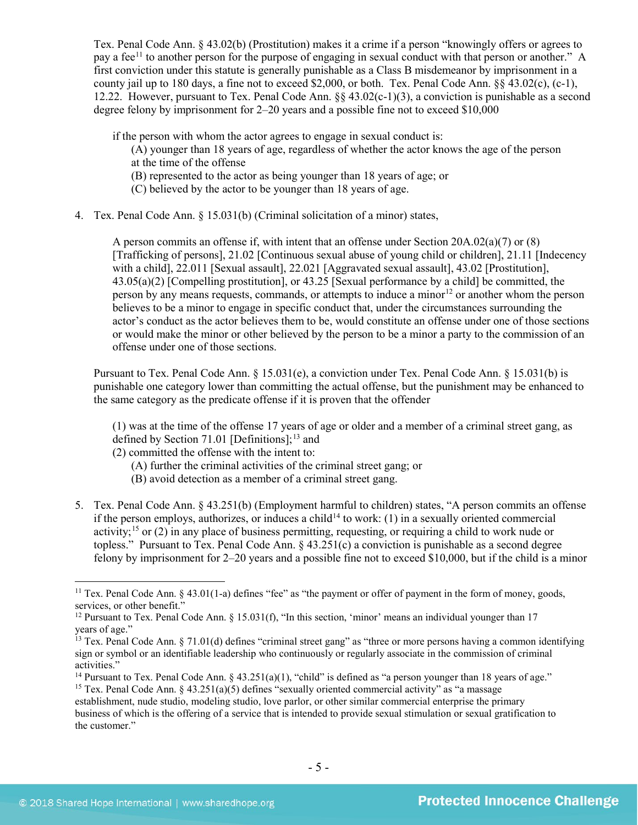Tex. Penal Code Ann. § 43.02(b) (Prostitution) makes it a crime if a person "knowingly offers or agrees to pay a fee<sup>[11](#page-4-0)</sup> to another person for the purpose of engaging in sexual conduct with that person or another." A first conviction under this statute is generally punishable as a Class B misdemeanor by imprisonment in a county jail up to 180 days, a fine not to exceed \$2,000, or both. Tex. Penal Code Ann.  $\S$ § 43.02(c), (c-1), 12.22. However, pursuant to Tex. Penal Code Ann. §§ 43.02(c-1)(3), a conviction is punishable as a second degree felony by imprisonment for 2–20 years and a possible fine not to exceed \$10,000

if the person with whom the actor agrees to engage in sexual conduct is:

- (A) younger than 18 years of age, regardless of whether the actor knows the age of the person at the time of the offense
- (B) represented to the actor as being younger than 18 years of age; or
- <span id="page-4-6"></span>(C) believed by the actor to be younger than 18 years of age.
- 4. Tex. Penal Code Ann. § 15.031(b) (Criminal solicitation of a minor) states,

A person commits an offense if, with intent that an offense under Section 20A.02(a)(7) or (8) [Trafficking of persons], 21.02 [Continuous sexual abuse of young child or children], 21.11 [Indecency with a child], 22.011 [Sexual assault], 22.021 [Aggravated sexual assault], 43.02 [Prostitution], 43.05(a)(2) [Compelling prostitution], or 43.25 [Sexual performance by a child] be committed, the person by any means requests, commands, or attempts to induce a minor<sup>[12](#page-4-1)</sup> or another whom the person believes to be a minor to engage in specific conduct that, under the circumstances surrounding the actor's conduct as the actor believes them to be, would constitute an offense under one of those sections or would make the minor or other believed by the person to be a minor a party to the commission of an offense under one of those sections.

Pursuant to Tex. Penal Code Ann. § 15.031(e), a conviction under Tex. Penal Code Ann. § 15.031(b) is punishable one category lower than committing the actual offense, but the punishment may be enhanced to the same category as the predicate offense if it is proven that the offender

<span id="page-4-5"></span>(1) was at the time of the offense 17 years of age or older and a member of a criminal street gang, as defined by Section 71.01 [Definitions]; $^{13}$  $^{13}$  $^{13}$  and

- (2) committed the offense with the intent to:
	- (A) further the criminal activities of the criminal street gang; or
	- (B) avoid detection as a member of a criminal street gang.
- 5. Tex. Penal Code Ann. § 43.251(b) (Employment harmful to children) states, "A person commits an offense if the person employs, authorizes, or induces a child<sup>[14](#page-4-3)</sup> to work: (1) in a sexually oriented commercial activity;<sup>[15](#page-4-4)</sup> or (2) in any place of business permitting, requesting, or requiring a child to work nude or topless." Pursuant to Tex. Penal Code Ann. § 43.251(c) a conviction is punishable as a second degree felony by imprisonment for 2–20 years and a possible fine not to exceed \$10,000, but if the child is a minor

<span id="page-4-0"></span><sup>&</sup>lt;sup>11</sup> Tex. Penal Code Ann.  $\S$  43.01(1-a) defines "fee" as "the payment or offer of payment in the form of money, goods, services, or other benefit."

<span id="page-4-1"></span><sup>&</sup>lt;sup>12</sup> Pursuant to Tex. Penal Code Ann. § 15.031(f), "In this section, 'minor' means an individual younger than 17 years of age."

<span id="page-4-2"></span> $13$  Tex. Penal Code Ann. § 71.01(d) defines "criminal street gang" as "three or more persons having a common identifying sign or symbol or an identifiable leadership who continuously or regularly associate in the commission of criminal activities."

<span id="page-4-3"></span><sup>&</sup>lt;sup>14</sup> Pursuant to Tex. Penal Code Ann.  $\S$  43.251(a)(1), "child" is defined as "a person younger than 18 years of age."

<span id="page-4-4"></span><sup>&</sup>lt;sup>15</sup> Tex. Penal Code Ann. § 43.251(a)(5) defines "sexually oriented commercial activity" as "a massage establishment, nude studio, modeling studio, love parlor, or other similar commercial enterprise the primary business of which is the offering of a service that is intended to provide sexual stimulation or sexual gratification to the customer."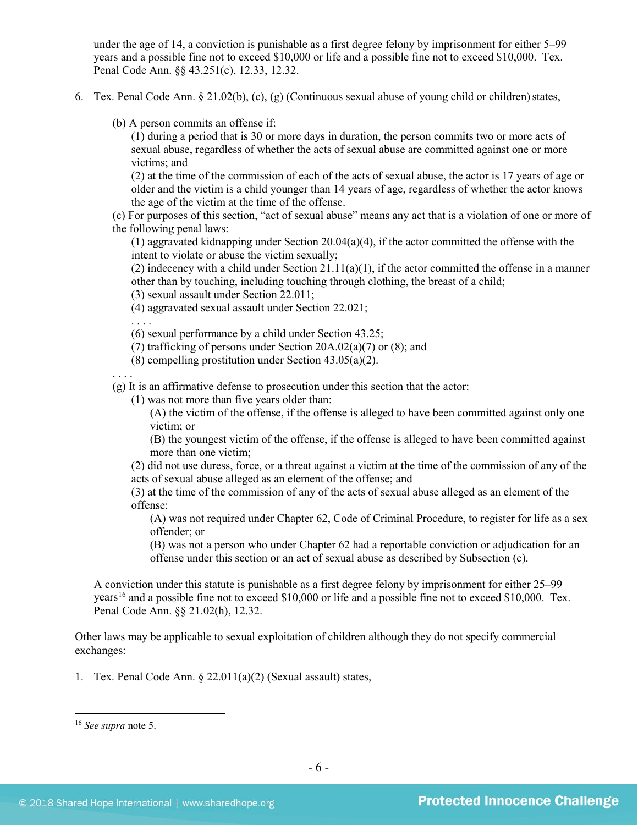under the age of 14, a conviction is punishable as a first degree felony by imprisonment for either 5–99 years and a possible fine not to exceed \$10,000 or life and a possible fine not to exceed \$10,000. Tex. Penal Code Ann. §§ 43.251(c), 12.33, 12.32.

- 6. Tex. Penal Code Ann. § 21.02(b), (c), (g) (Continuous sexual abuse of young child or children)states,
	- (b) A person commits an offense if:

(1) during a period that is 30 or more days in duration, the person commits two or more acts of sexual abuse, regardless of whether the acts of sexual abuse are committed against one or more victims; and

(2) at the time of the commission of each of the acts of sexual abuse, the actor is 17 years of age or older and the victim is a child younger than 14 years of age, regardless of whether the actor knows the age of the victim at the time of the offense.

(c) For purposes of this section, "act of sexual abuse" means any act that is a violation of one or more of the following penal laws:

(1) aggravated kidnapping under Section 20.04(a)(4), if the actor committed the offense with the intent to violate or abuse the victim sexually;

(2) indecency with a child under Section 21.11(a)(1), if the actor committed the offense in a manner other than by touching, including touching through clothing, the breast of a child;

(3) sexual assault under Section 22.011;

(4) aggravated sexual assault under Section 22.021;

. . . .

- (6) sexual performance by a child under Section 43.25;
- (7) trafficking of persons under Section 20A.02(a)(7) or (8); and
- (8) compelling prostitution under Section 43.05(a)(2).

. . . .

(g) It is an affirmative defense to prosecution under this section that the actor:

(1) was not more than five years older than:

(A) the victim of the offense, if the offense is alleged to have been committed against only one victim; or

(B) the youngest victim of the offense, if the offense is alleged to have been committed against more than one victim;

(2) did not use duress, force, or a threat against a victim at the time of the commission of any of the acts of sexual abuse alleged as an element of the offense; and

(3) at the time of the commission of any of the acts of sexual abuse alleged as an element of the offense:

(A) was not required under Chapter 62, Code of Criminal Procedure, to register for life as a sex offender; or

(B) was not a person who under Chapter 62 had a reportable conviction or adjudication for an offense under this section or an act of sexual abuse as described by Subsection (c).

A conviction under this statute is punishable as a first degree felony by imprisonment for either 25–99 years<sup>[16](#page-5-0)</sup> and a possible fine not to exceed \$10,000 or life and a possible fine not to exceed \$10,000. Tex. Penal Code Ann. §§ 21.02(h), 12.32.

Other laws may be applicable to sexual exploitation of children although they do not specify commercial exchanges:

1. Tex. Penal Code Ann. § 22.011(a)(2) (Sexual assault) states,

<span id="page-5-0"></span> <sup>16</sup> *See supra* note [5.](#page-1-2)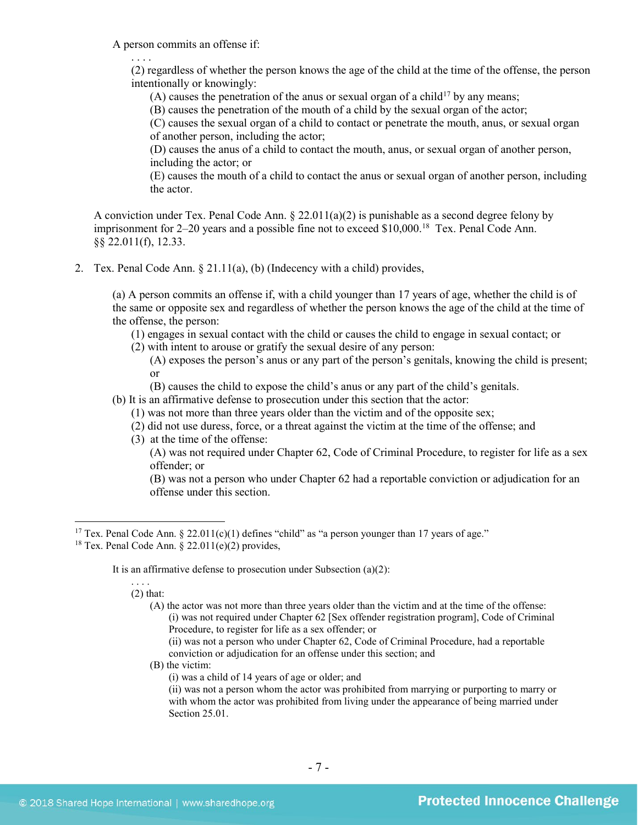A person commits an offense if:

. . . .

(2) regardless of whether the person knows the age of the child at the time of the offense, the person intentionally or knowingly:

(A) causes the penetration of the anus or sexual organ of a child<sup>[17](#page-6-0)</sup> by any means;

(B) causes the penetration of the mouth of a child by the sexual organ of the actor;

(C) causes the sexual organ of a child to contact or penetrate the mouth, anus, or sexual organ of another person, including the actor;

(D) causes the anus of a child to contact the mouth, anus, or sexual organ of another person, including the actor; or

(E) causes the mouth of a child to contact the anus or sexual organ of another person, including the actor.

A conviction under Tex. Penal Code Ann. § 22.011(a)(2) is punishable as a second degree felony by imprisonment for 2–20 years and a possible fine not to exceed \$10,000.<sup>18</sup> Tex. Penal Code Ann. §§ 22.011(f), 12.33.

2. Tex. Penal Code Ann. § 21.11(a), (b) (Indecency with a child) provides,

(a) A person commits an offense if, with a child younger than 17 years of age, whether the child is of the same or opposite sex and regardless of whether the person knows the age of the child at the time of the offense, the person:

(1) engages in sexual contact with the child or causes the child to engage in sexual contact; or

(2) with intent to arouse or gratify the sexual desire of any person:

(A) exposes the person's anus or any part of the person's genitals, knowing the child is present; or

(B) causes the child to expose the child's anus or any part of the child's genitals.

(b) It is an affirmative defense to prosecution under this section that the actor:

- (1) was not more than three years older than the victim and of the opposite sex;
- (2) did not use duress, force, or a threat against the victim at the time of the offense; and
- (3) at the time of the offense:

(A) was not required under Chapter 62, Code of Criminal Procedure, to register for life as a sex offender; or

(B) was not a person who under Chapter 62 had a reportable conviction or adjudication for an offense under this section.

It is an affirmative defense to prosecution under Subsection (a)(2):

. . . .  $(2)$  that:

> (A) the actor was not more than three years older than the victim and at the time of the offense: (i) was not required under Chapter 62 [Sex offender registration program], Code of Criminal Procedure, to register for life as a sex offender; or

(ii) was not a person who under Chapter 62, Code of Criminal Procedure, had a reportable conviction or adjudication for an offense under this section; and

(B) the victim:

(i) was a child of 14 years of age or older; and

(ii) was not a person whom the actor was prohibited from marrying or purporting to marry or with whom the actor was prohibited from living under the appearance of being married under Section 25.01.

<span id="page-6-0"></span><sup>&</sup>lt;sup>17</sup> Tex. Penal Code Ann. § 22.011(c)(1) defines "child" as "a person younger than 17 years of age."

<span id="page-6-1"></span><sup>&</sup>lt;sup>18</sup> Tex. Penal Code Ann. § 22.011(e)(2) provides,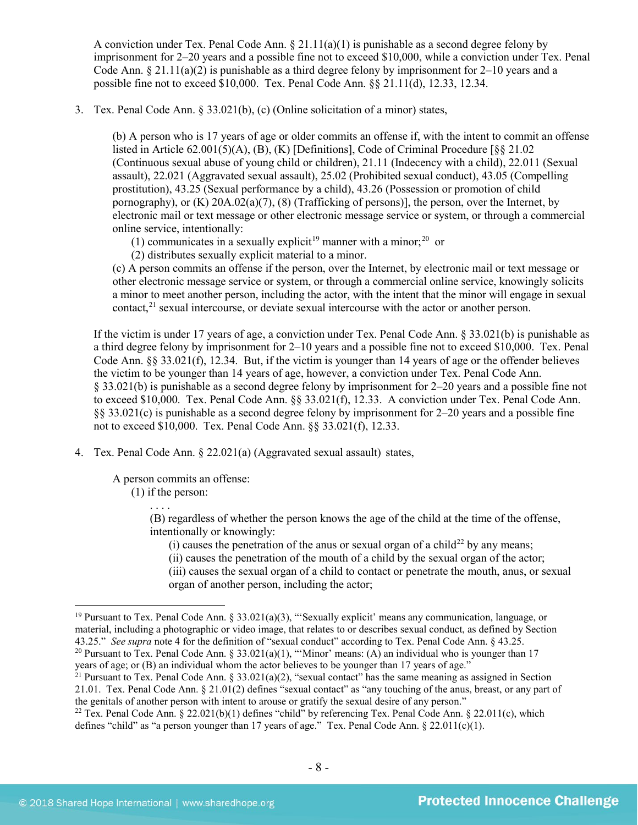A conviction under Tex. Penal Code Ann.  $\S 21.11(a)(1)$  is punishable as a second degree felony by imprisonment for 2–20 years and a possible fine not to exceed \$10,000, while a conviction under Tex. Penal Code Ann.  $\S 21.11(a)(2)$  is punishable as a third degree felony by imprisonment for 2–10 years and a possible fine not to exceed \$10,000. Tex. Penal Code Ann. §§ 21.11(d), 12.33, 12.34.

3. Tex. Penal Code Ann. § 33.021(b), (c) (Online solicitation of a minor) states,

(b) A person who is 17 years of age or older commits an offense if, with the intent to commit an offense listed in Article 62.001(5)(A), (B), (K) [Definitions], Code of Criminal Procedure [§§ 21.02 (Continuous sexual abuse of young child or children), 21.11 (Indecency with a child), 22.011 (Sexual assault), 22.021 (Aggravated sexual assault), 25.02 (Prohibited sexual conduct), 43.05 (Compelling prostitution), 43.25 (Sexual performance by a child), 43.26 (Possession or promotion of child pornography), or  $(K)$  20A.02(a)(7), (8) (Trafficking of persons)], the person, over the Internet, by electronic mail or text message or other electronic message service or system, or through a commercial online service, intentionally:

<span id="page-7-5"></span><span id="page-7-4"></span>(1) communicates in a sexually explicit<sup>[19](#page-7-0)</sup> manner with a minor;<sup>20</sup> or

(2) distributes sexually explicit material to a minor.

<span id="page-7-6"></span>(c) A person commits an offense if the person, over the Internet, by electronic mail or text message or other electronic message service or system, or through a commercial online service, knowingly solicits a minor to meet another person, including the actor, with the intent that the minor will engage in sexual contact,<sup>[21](#page-7-2)</sup> sexual intercourse, or deviate sexual intercourse with the actor or another person.

If the victim is under 17 years of age, a conviction under Tex. Penal Code Ann. § 33.021(b) is punishable as a third degree felony by imprisonment for 2–10 years and a possible fine not to exceed \$10,000. Tex. Penal Code Ann. §§ 33.021(f), 12.34. But, if the victim is younger than 14 years of age or the offender believes the victim to be younger than 14 years of age, however, a conviction under Tex. Penal Code Ann. § 33.021(b) is punishable as a second degree felony by imprisonment for 2–20 years and a possible fine not to exceed \$10,000. Tex. Penal Code Ann. §§ 33.021(f), 12.33. A conviction under Tex. Penal Code Ann. §§ 33.021(c) is punishable as a second degree felony by imprisonment for 2–20 years and a possible fine not to exceed \$10,000. Tex. Penal Code Ann. §§ 33.021(f), 12.33.

4. Tex. Penal Code Ann. § 22.021(a) (Aggravated sexual assault) states,

A person commits an offense:

(1) if the person:

. . . .

(B) regardless of whether the person knows the age of the child at the time of the offense, intentionally or knowingly:

- (i) causes the penetration of the anus or sexual organ of a child<sup>[22](#page-7-3)</sup> by any means;
- (ii) causes the penetration of the mouth of a child by the sexual organ of the actor;
- (iii) causes the sexual organ of a child to contact or penetrate the mouth, anus, or sexual organ of another person, including the actor;

<span id="page-7-1"></span>years of age; or (B) an individual whom the actor believes to be younger than 17 years of age."

<span id="page-7-2"></span><sup>21</sup> Pursuant to Tex. Penal Code Ann. § 33.021(a)(2), "sexual contact" has the same meaning as assigned in Section 21.01. Tex. Penal Code Ann. § 21.01(2) defines "sexual contact" as "any touching of the anus, breast, or any part of the genitals of another person with intent to arouse or gratify the sexual desire of any person."

<span id="page-7-0"></span><sup>&</sup>lt;sup>19</sup> Pursuant to Tex. Penal Code Ann. § 33.021(a)(3), "'Sexually explicit' means any communication, language, or material, including a photographic or video image, that relates to or describes sexual conduct, as defined by Section 43.25." See supra note 4 for the definition of "sexual conduct" according to Tex. Penal Code Ann. § 43.2 <sup>20</sup> Pursuant to Tex. Penal Code Ann. § 33.021(a)(1), "'Minor' means: (A) an individual who is younger than 17

<span id="page-7-3"></span><sup>&</sup>lt;sup>22</sup> Tex. Penal Code Ann. § 22.021(b)(1) defines "child" by referencing Tex. Penal Code Ann. § 22.011(c), which defines "child" as "a person younger than 17 years of age." Tex. Penal Code Ann. § 22.011(c)(1).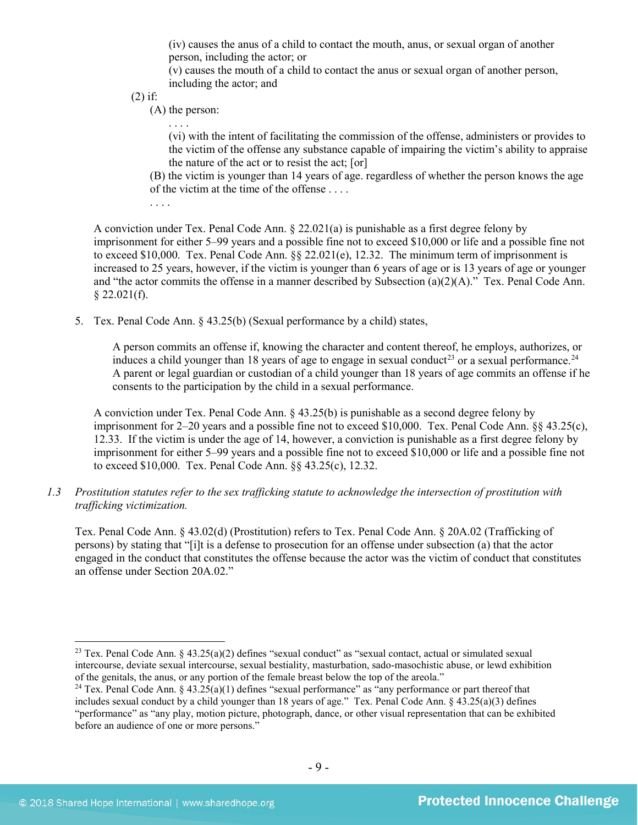(iv) causes the anus of a child to contact the mouth, anus, or sexual organ of another person, including the actor; or

(v) causes the mouth of a child to contact the anus or sexual organ of another person, including the actor; and

(2) if:

(A) the person:

(vi) with the intent of facilitating the commission of the offense, administers or provides to the victim of the offense any substance capable of impairing the victim's ability to appraise the nature of the act or to resist the act; [or]

(B) the victim is younger than 14 years of age. regardless of whether the person knows the age of the victim at the time of the offense . . . .

<span id="page-8-3"></span>. . . .

A conviction under Tex. Penal Code Ann.  $\S 22.021(a)$  is punishable as a first degree felony by imprisonment for either 5–99 years and a possible fine not to exceed \$10,000 or life and a possible fine not to exceed \$10,000. Tex. Penal Code Ann.  $\S 2.021(e)$ , 12.32. The minimum term of imprisonment is increased to 25 years, however, if the victim is younger than 6 years of age or is 13 years of age or younger and "the actor commits the offense in a manner described by Subsection (a)(2)(A)." Tex. Penal Code Ann.  $§$  22.021(f).

5. Tex. Penal Code Ann. § 43.25(b) (Sexual performance by a child) states,

<span id="page-8-2"></span>A person commits an offense if, knowing the character and content thereof, he employs, authorizes, or induces a child younger than 18 years of age to engage in sexual conduct<sup>[23](#page-8-0)</sup> or a sexual performance.<sup>[24](#page-8-1)</sup> A parent or legal guardian or custodian of a child younger than 18 years of age commits an offense if he consents to the participation by the child in a sexual performance.

A conviction under Tex. Penal Code Ann. § 43.25(b) is punishable as a second degree felony by imprisonment for 2–20 years and a possible fine not to exceed \$10,000. Tex. Penal Code Ann. §§ 43.25(c), 12.33. If the victim is under the age of 14, however, a conviction is punishable as a first degree felony by imprisonment for either 5–99 years and a possible fine not to exceed \$10,000 or life and a possible fine not to exceed \$10,000. Tex. Penal Code Ann. §§ 43.25(c), 12.32.

*1.3 Prostitution statutes refer to the sex trafficking statute to acknowledge the intersection of prostitution with trafficking victimization.* 

Tex. Penal Code Ann. § 43.02(d) (Prostitution) refers to Tex. Penal Code Ann. § 20A.02 (Trafficking of persons) by stating that "[i]t is a defense to prosecution for an offense under subsection (a) that the actor engaged in the conduct that constitutes the offense because the actor was the victim of conduct that constitutes an offense under Section 20A.02."

<span id="page-8-0"></span><sup>&</sup>lt;sup>23</sup> Tex. Penal Code Ann. § 43.25(a)(2) defines "sexual conduct" as "sexual contact, actual or simulated sexual intercourse, deviate sexual intercourse, sexual bestiality, masturbation, sado-masochistic abuse, or lewd exhibition of the genitals, the anus, or any portion of the female breast below the top of the areola."

<span id="page-8-1"></span><sup>&</sup>lt;sup>24</sup> Tex. Penal Code Ann. § 43.25(a)(1) defines "sexual performance" as "any performance or part thereof that includes sexual conduct by a child younger than 18 years of age." Tex. Penal Code Ann. § 43.25(a)(3) defines "performance" as "any play, motion picture, photograph, dance, or other visual representation that can be exhibited before an audience of one or more persons."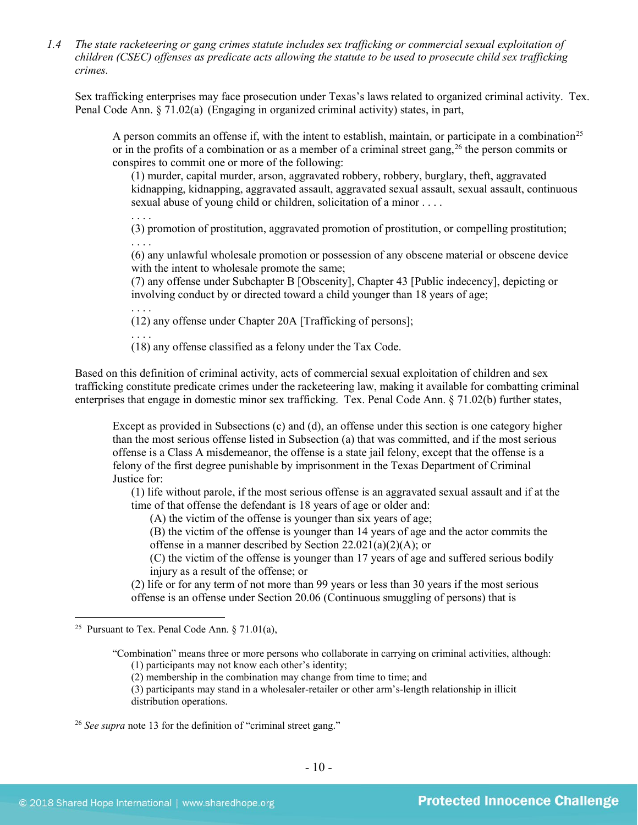*1.4 The state racketeering or gang crimes statute includes sex trafficking or commercial sexual exploitation of children (CSEC) offenses as predicate acts allowing the statute to be used to prosecute child sex trafficking crimes.* 

Sex trafficking enterprises may face prosecution under Texas's laws related to organized criminal activity. Tex. Penal Code Ann. § 71.02(a) (Engaging in organized criminal activity) states, in part,

A person commits an offense if, with the intent to establish, maintain, or participate in a combination<sup>[25](#page-9-0)</sup> or in the profits of a combination or as a member of a criminal street gang, <sup>[26](#page-9-1)</sup> the person commits or conspires to commit one or more of the following:

<span id="page-9-2"></span>(1) murder, capital murder, arson, aggravated robbery, robbery, burglary, theft, aggravated kidnapping, kidnapping, aggravated assault, aggravated sexual assault, sexual assault, continuous sexual abuse of young child or children, solicitation of a minor . . . .

. . . . (3) promotion of prostitution, aggravated promotion of prostitution, or compelling prostitution; . . . .

(6) any unlawful wholesale promotion or possession of any obscene material or obscene device with the intent to wholesale promote the same;

(7) any offense under Subchapter B [Obscenity], Chapter 43 [Public indecency], depicting or involving conduct by or directed toward a child younger than 18 years of age;

. . . . (12) any offense under Chapter 20A [Trafficking of persons];

. . . .

(18) any offense classified as a felony under the Tax Code.

Based on this definition of criminal activity, acts of commercial sexual exploitation of children and sex trafficking constitute predicate crimes under the racketeering law, making it available for combatting criminal enterprises that engage in domestic minor sex trafficking. Tex. Penal Code Ann. § 71.02(b) further states,

Except as provided in Subsections (c) and (d), an offense under this section is one category higher than the most serious offense listed in Subsection (a) that was committed, and if the most serious offense is a Class A misdemeanor, the offense is a state jail felony, except that the offense is a felony of the first degree punishable by imprisonment in the Texas Department of Criminal Justice for:

(1) life without parole, if the most serious offense is an aggravated sexual assault and if at the time of that offense the defendant is 18 years of age or older and:

(A) the victim of the offense is younger than six years of age;

(B) the victim of the offense is younger than 14 years of age and the actor commits the offense in a manner described by Section 22.021(a)(2)(A); or

(C) the victim of the offense is younger than 17 years of age and suffered serious bodily injury as a result of the offense; or

(2) life or for any term of not more than 99 years or less than 30 years if the most serious offense is an offense under Section 20.06 (Continuous smuggling of persons) that is

(2) membership in the combination may change from time to time; and

(3) participants may stand in a wholesaler-retailer or other arm's-length relationship in illicit distribution operations.

<span id="page-9-1"></span><sup>26</sup> *See supra* note [13](#page-4-5) for the definition of "criminal street gang."

<span id="page-9-0"></span><sup>&</sup>lt;sup>25</sup> Pursuant to Tex. Penal Code Ann.  $\S 71.01(a)$ ,

<sup>&</sup>quot;Combination" means three or more persons who collaborate in carrying on criminal activities, although: (1) participants may not know each other's identity;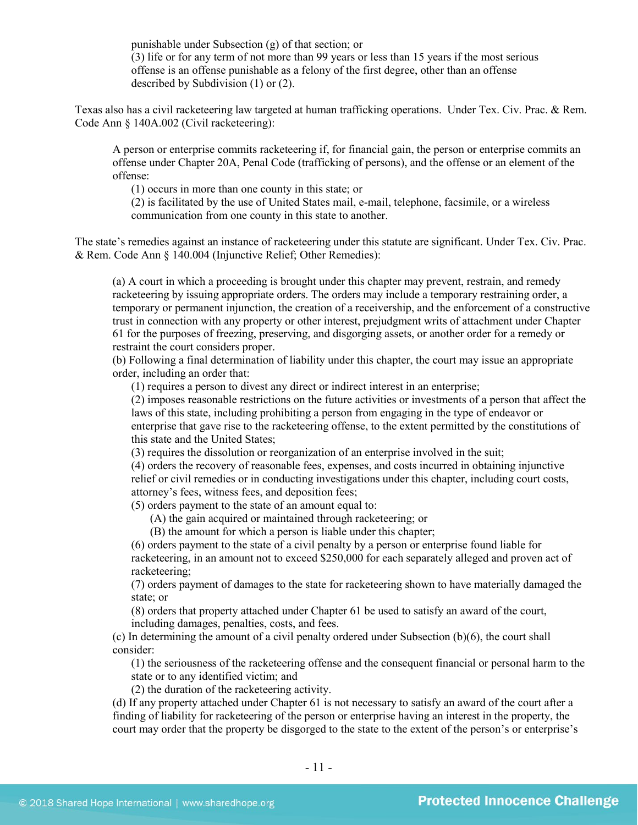punishable under Subsection (g) of that section; or

(3) life or for any term of not more than 99 years or less than 15 years if the most serious offense is an offense punishable as a felony of the first degree, other than an offense described by Subdivision (1) or (2).

Texas also has a civil racketeering law targeted at human trafficking operations. Under Tex. Civ. Prac. & Rem. Code Ann § 140A.002 (Civil racketeering):

A person or enterprise commits racketeering if, for financial gain, the person or enterprise commits an offense under Chapter 20A, Penal Code (trafficking of persons), and the offense or an element of the offense:

(1) occurs in more than one county in this state; or

(2) is facilitated by the use of United States mail, e-mail, telephone, facsimile, or a wireless communication from one county in this state to another.

The state's remedies against an instance of racketeering under this statute are significant. Under Tex. Civ. Prac. & Rem. Code Ann § 140.004 (Injunctive Relief; Other Remedies):

(a) A court in which a proceeding is brought under this chapter may prevent, restrain, and remedy racketeering by issuing appropriate orders. The orders may include a temporary restraining order, a temporary or permanent injunction, the creation of a receivership, and the enforcement of a constructive trust in connection with any property or other interest, prejudgment writs of attachment under Chapter 61 for the purposes of freezing, preserving, and disgorging assets, or another order for a remedy or restraint the court considers proper.

(b) Following a final determination of liability under this chapter, the court may issue an appropriate order, including an order that:

(1) requires a person to divest any direct or indirect interest in an enterprise;

(2) imposes reasonable restrictions on the future activities or investments of a person that affect the laws of this state, including prohibiting a person from engaging in the type of endeavor or enterprise that gave rise to the racketeering offense, to the extent permitted by the constitutions of this state and the United States;

(3) requires the dissolution or reorganization of an enterprise involved in the suit;

(4) orders the recovery of reasonable fees, expenses, and costs incurred in obtaining injunctive relief or civil remedies or in conducting investigations under this chapter, including court costs, attorney's fees, witness fees, and deposition fees;

(5) orders payment to the state of an amount equal to:

(A) the gain acquired or maintained through racketeering; or

(B) the amount for which a person is liable under this chapter;

(6) orders payment to the state of a civil penalty by a person or enterprise found liable for racketeering, in an amount not to exceed \$250,000 for each separately alleged and proven act of racketeering;

(7) orders payment of damages to the state for racketeering shown to have materially damaged the state; or

(8) orders that property attached under Chapter 61 be used to satisfy an award of the court, including damages, penalties, costs, and fees.

(c) In determining the amount of a civil penalty ordered under Subsection (b)(6), the court shall consider:

(1) the seriousness of the racketeering offense and the consequent financial or personal harm to the state or to any identified victim; and

(2) the duration of the racketeering activity.

(d) If any property attached under Chapter 61 is not necessary to satisfy an award of the court after a finding of liability for racketeering of the person or enterprise having an interest in the property, the court may order that the property be disgorged to the state to the extent of the person's or enterprise's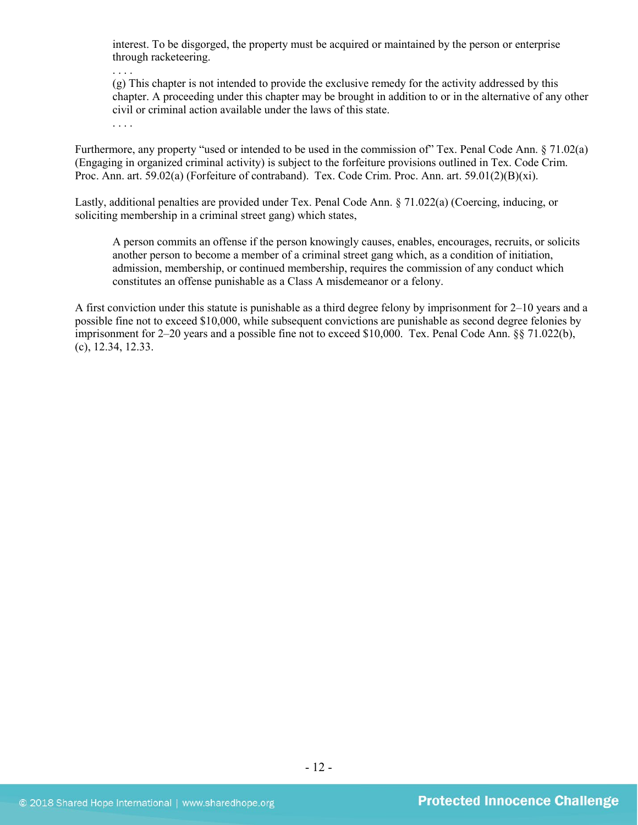interest. To be disgorged, the property must be acquired or maintained by the person or enterprise through racketeering.

. . . .

(g) This chapter is not intended to provide the exclusive remedy for the activity addressed by this chapter. A proceeding under this chapter may be brought in addition to or in the alternative of any other civil or criminal action available under the laws of this state.

. . . .

Furthermore, any property "used or intended to be used in the commission of" Tex. Penal Code Ann. § 71.02(a) (Engaging in organized criminal activity) is subject to the forfeiture provisions outlined in Tex. Code Crim. Proc. Ann. art. 59.02(a) (Forfeiture of contraband). Tex. Code Crim. Proc. Ann. art. 59.01(2)(B)(xi).

Lastly, additional penalties are provided under Tex. Penal Code Ann. § 71.022(a) (Coercing, inducing, or soliciting membership in a criminal street gang) which states,

A person commits an offense if the person knowingly causes, enables, encourages, recruits, or solicits another person to become a member of a criminal street gang which, as a condition of initiation, admission, membership, or continued membership, requires the commission of any conduct which constitutes an offense punishable as a Class A misdemeanor or a felony.

A first conviction under this statute is punishable as a third degree felony by imprisonment for 2–10 years and a possible fine not to exceed \$10,000, while subsequent convictions are punishable as second degree felonies by imprisonment for 2–20 years and a possible fine not to exceed \$10,000. Tex. Penal Code Ann. §§ 71.022(b), (c), 12.34, 12.33.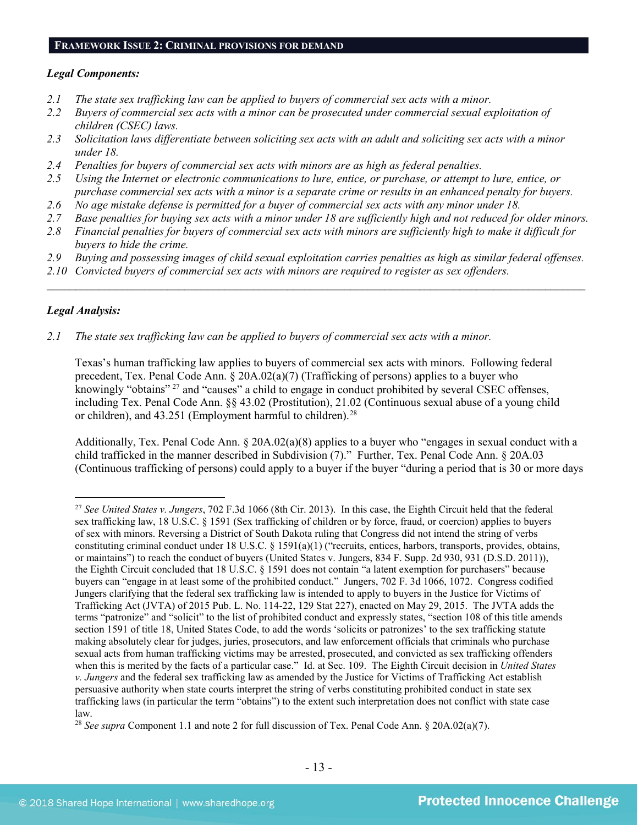#### **FRAMEWORK ISSUE 2: CRIMINAL PROVISIONS FOR DEMAND**

#### *Legal Components:*

- *2.1 The state sex trafficking law can be applied to buyers of commercial sex acts with a minor.*
- *2.2 Buyers of commercial sex acts with a minor can be prosecuted under commercial sexual exploitation of children (CSEC) laws.*
- *2.3 Solicitation laws differentiate between soliciting sex acts with an adult and soliciting sex acts with a minor under 18.*
- *2.4 Penalties for buyers of commercial sex acts with minors are as high as federal penalties.*
- *2.5 Using the Internet or electronic communications to lure, entice, or purchase, or attempt to lure, entice, or purchase commercial sex acts with a minor is a separate crime or results in an enhanced penalty for buyers.*
- *2.6 No age mistake defense is permitted for a buyer of commercial sex acts with any minor under 18.*
- *2.7 Base penalties for buying sex acts with a minor under 18 are sufficiently high and not reduced for older minors.*
- *2.8 Financial penalties for buyers of commercial sex acts with minors are sufficiently high to make it difficult for buyers to hide the crime.*
- *2.9 Buying and possessing images of child sexual exploitation carries penalties as high as similar federal offenses.*

\_\_\_\_\_\_\_\_\_\_\_\_\_\_\_\_\_\_\_\_\_\_\_\_\_\_\_\_\_\_\_\_\_\_\_\_\_\_\_\_\_\_\_\_\_\_\_\_\_\_\_\_\_\_\_\_\_\_\_\_\_\_\_\_\_\_\_\_\_\_\_\_\_\_\_\_\_\_\_\_\_\_\_\_\_\_\_\_\_\_\_\_\_\_

*2.10 Convicted buyers of commercial sex acts with minors are required to register as sex offenders.* 

#### *Legal Analysis:*

*2.1 The state sex trafficking law can be applied to buyers of commercial sex acts with a minor.*

Texas's human trafficking law applies to buyers of commercial sex acts with minors. Following federal precedent, Tex. Penal Code Ann. § 20A.02(a)(7) (Trafficking of persons) applies to a buyer who knowingly "obtains" <sup>[27](#page-12-0)</sup> and "causes" a child to engage in conduct prohibited by several CSEC offenses, including Tex. Penal Code Ann. §§ 43.02 (Prostitution), 21.02 (Continuous sexual abuse of a young child or children), and  $43.251$  (Employment harmful to children).<sup>[28](#page-12-1)</sup>

Additionally, Tex. Penal Code Ann. § 20A.02(a)(8) applies to a buyer who "engages in sexual conduct with a child trafficked in the manner described in Subdivision (7)." Further, Tex. Penal Code Ann. § 20A.03 (Continuous trafficking of persons) could apply to a buyer if the buyer "during a period that is 30 or more days

<span id="page-12-0"></span> <sup>27</sup> *See United States v. Jungers*, 702 F.3d 1066 (8th Cir. 2013). In this case, the Eighth Circuit held that the federal sex trafficking law, 18 U.S.C. § 1591 (Sex trafficking of children or by force, fraud, or coercion) applies to buyers of sex with minors. Reversing a District of South Dakota ruling that Congress did not intend the string of verbs constituting criminal conduct under 18 U.S.C. § 1591(a)(1) ("recruits, entices, harbors, transports, provides, obtains, or maintains") to reach the conduct of buyers (United States v. Jungers, 834 F. Supp. 2d 930, 931 (D.S.D. 2011)), the Eighth Circuit concluded that 18 U.S.C. § 1591 does not contain "a latent exemption for purchasers" because buyers can "engage in at least some of the prohibited conduct." Jungers, 702 F. 3d 1066, 1072. Congress codified Jungers clarifying that the federal sex trafficking law is intended to apply to buyers in the Justice for Victims of Trafficking Act (JVTA) of 2015 Pub. L. No. 114-22, 129 Stat 227), enacted on May 29, 2015. The JVTA adds the terms "patronize" and "solicit" to the list of prohibited conduct and expressly states, "section 108 of this title amends section 1591 of title 18, United States Code, to add the words 'solicits or patronizes' to the sex trafficking statute making absolutely clear for judges, juries, prosecutors, and law enforcement officials that criminals who purchase sexual acts from human trafficking victims may be arrested, prosecuted, and convicted as sex trafficking offenders when this is merited by the facts of a particular case." Id. at Sec. 109. The Eighth Circuit decision in *United States v. Jungers* and the federal sex trafficking law as amended by the Justice for Victims of Trafficking Act establish persuasive authority when state courts interpret the string of verbs constituting prohibited conduct in state sex trafficking laws (in particular the term "obtains") to the extent such interpretation does not conflict with state case law.

<span id="page-12-1"></span><sup>28</sup> *See supra* Component 1.1 and note [2](#page-0-3) for full discussion of Tex. Penal Code Ann. § 20A.02(a)(7).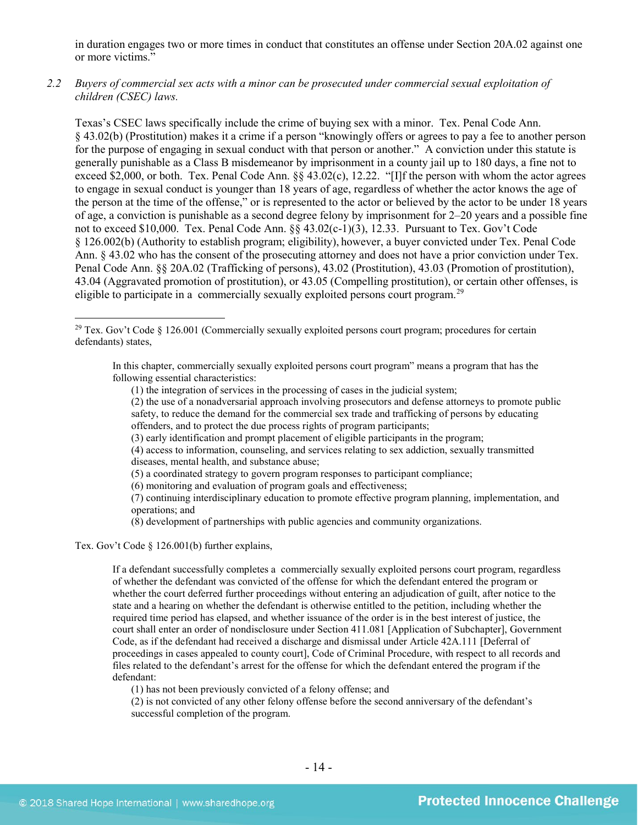in duration engages two or more times in conduct that constitutes an offense under Section 20A.02 against one or more victims."

*2.2 Buyers of commercial sex acts with a minor can be prosecuted under commercial sexual exploitation of children (CSEC) laws.*

Texas's CSEC laws specifically include the crime of buying sex with a minor. Tex. Penal Code Ann. § 43.02(b) (Prostitution) makes it a crime if a person "knowingly offers or agrees to pay a fee to another person for the purpose of engaging in sexual conduct with that person or another." A conviction under this statute is generally punishable as a Class B misdemeanor by imprisonment in a county jail up to 180 days, a fine not to exceed \$2,000, or both. Tex. Penal Code Ann. §§ 43.02(c), 12.22. "[I]f the person with whom the actor agrees to engage in sexual conduct is younger than 18 years of age, regardless of whether the actor knows the age of the person at the time of the offense," or is represented to the actor or believed by the actor to be under 18 years of age, a conviction is punishable as a second degree felony by imprisonment for 2–20 years and a possible fine not to exceed \$10,000. Tex. Penal Code Ann. §§ 43.02(c-1)(3), 12.33. Pursuant to Tex. Gov't Code § 126.002(b) (Authority to establish program; eligibility), however, a buyer convicted under Tex. Penal Code Ann. § 43.02 who has the consent of the prosecuting attorney and does not have a prior conviction under Tex. Penal Code Ann. §§ 20A.02 (Trafficking of persons), 43.02 (Prostitution), 43.03 (Promotion of prostitution), 43.04 (Aggravated promotion of prostitution), or 43.05 (Compelling prostitution), or certain other offenses, is eligible to participate in a commercially sexually exploited persons court program.<sup>[29](#page-13-0)</sup>

(3) early identification and prompt placement of eligible participants in the program;

- (5) a coordinated strategy to govern program responses to participant compliance;
- (6) monitoring and evaluation of program goals and effectiveness;

(7) continuing interdisciplinary education to promote effective program planning, implementation, and operations; and

(8) development of partnerships with public agencies and community organizations.

Tex. Gov't Code § 126.001(b) further explains,

If a defendant successfully completes a commercially sexually exploited persons court program, regardless of whether the defendant was convicted of the offense for which the defendant entered the program or whether the court deferred further proceedings without entering an adjudication of guilt, after notice to the state and a hearing on whether the defendant is otherwise entitled to the petition, including whether the required time period has elapsed, and whether issuance of the order is in the best interest of justice, the court shall enter an order of nondisclosure under Section 411.081 [Application of Subchapter], Government Code, as if the defendant had received a discharge and dismissal under Article 42A.111 [Deferral of proceedings in cases appealed to county court], Code of Criminal Procedure, with respect to all records and files related to the defendant's arrest for the offense for which the defendant entered the program if the defendant:

(1) has not been previously convicted of a felony offense; and

(2) is not convicted of any other felony offense before the second anniversary of the defendant's successful completion of the program.

<span id="page-13-0"></span><sup>&</sup>lt;sup>29</sup> Tex. Gov't Code § 126.001 (Commercially sexually exploited persons court program; procedures for certain defendants) states,

In this chapter, commercially sexually exploited persons court program" means a program that has the following essential characteristics:

<sup>(1)</sup> the integration of services in the processing of cases in the judicial system;

<sup>(2)</sup> the use of a nonadversarial approach involving prosecutors and defense attorneys to promote public safety, to reduce the demand for the commercial sex trade and trafficking of persons by educating offenders, and to protect the due process rights of program participants;

<sup>(4)</sup> access to information, counseling, and services relating to sex addiction, sexually transmitted diseases, mental health, and substance abuse;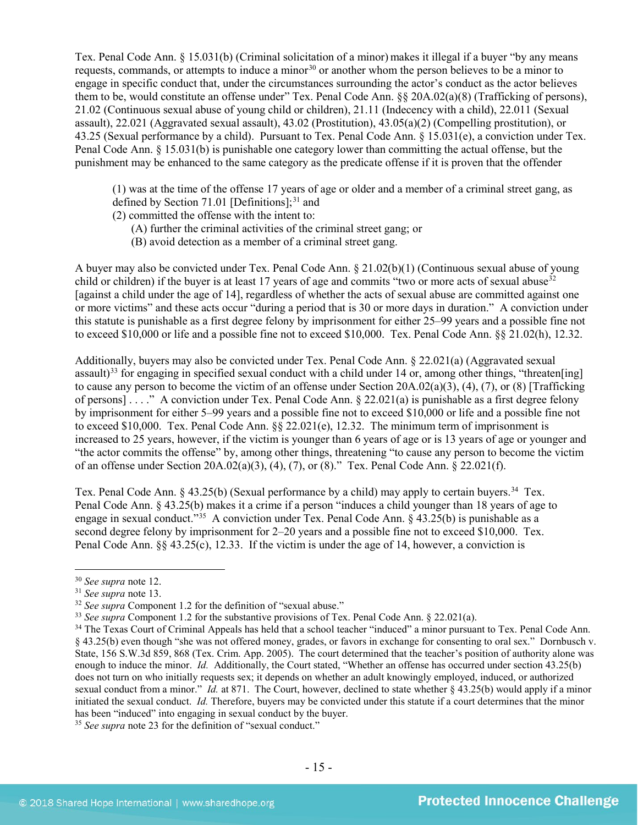Tex. Penal Code Ann. § 15.031(b) (Criminal solicitation of a minor) makes it illegal if a buyer "by any means requests, commands, or attempts to induce a minor<sup>[30](#page-14-0)</sup> or another whom the person believes to be a minor to engage in specific conduct that, under the circumstances surrounding the actor's conduct as the actor believes them to be, would constitute an offense under" Tex. Penal Code Ann. §§ 20A.02(a)(8) (Trafficking of persons), 21.02 (Continuous sexual abuse of young child or children), 21.11 (Indecency with a child), 22.011 (Sexual assault), 22.021 (Aggravated sexual assault), 43.02 (Prostitution), 43.05(a)(2) (Compelling prostitution), or 43.25 (Sexual performance by a child). Pursuant to Tex. Penal Code Ann. § 15.031(e), a conviction under Tex. Penal Code Ann. § 15.031(b) is punishable one category lower than committing the actual offense, but the punishment may be enhanced to the same category as the predicate offense if it is proven that the offender

(1) was at the time of the offense 17 years of age or older and a member of a criminal street gang, as defined by Section 71.01 [Definitions]; $^{31}$  $^{31}$  $^{31}$  and

- (2) committed the offense with the intent to:
	- (A) further the criminal activities of the criminal street gang; or
	- (B) avoid detection as a member of a criminal street gang.

A buyer may also be convicted under Tex. Penal Code Ann. § 21.02(b)(1) (Continuous sexual abuse of young child or children) if the buyer is at least 17 years of age and commits "two or more acts of sexual abuse $32$ [against a child under the age of 14], regardless of whether the acts of sexual abuse are committed against one or more victims" and these acts occur "during a period that is 30 or more days in duration." A conviction under this statute is punishable as a first degree felony by imprisonment for either 25–99 years and a possible fine not to exceed \$10,000 or life and a possible fine not to exceed \$10,000. Tex. Penal Code Ann. §§ 21.02(h), 12.32.

Additionally, buyers may also be convicted under Tex. Penal Code Ann. § 22.021(a) (Aggravated sexual assault)<sup>[33](#page-14-3)</sup> for engaging in specified sexual conduct with a child under 14 or, among other things, "threaten[ing] to cause any person to become the victim of an offense under Section 20A.02(a)(3), (4), (7), or (8) [Trafficking of persons] . . . ." A conviction under Tex. Penal Code Ann. § 22.021(a) is punishable as a first degree felony by imprisonment for either 5–99 years and a possible fine not to exceed \$10,000 or life and a possible fine not to exceed \$10,000. Tex. Penal Code Ann. §§ 22.021(e), 12.32. The minimum term of imprisonment is increased to 25 years, however, if the victim is younger than 6 years of age or is 13 years of age or younger and "the actor commits the offense" by, among other things, threatening "to cause any person to become the victim of an offense under Section 20A.02(a)(3), (4), (7), or (8)." Tex. Penal Code Ann.  $\S$  22.021(f).

Tex. Penal Code Ann. § 43.25(b) (Sexual performance by a child) may apply to certain buyers.<sup>34</sup> Tex. Penal Code Ann. § 43.25(b) makes it a crime if a person "induces a child younger than 18 years of age to engage in sexual conduct."[35](#page-14-5) A conviction under Tex. Penal Code Ann. § 43.25(b) is punishable as a second degree felony by imprisonment for 2–20 years and a possible fine not to exceed \$10,000. Tex. Penal Code Ann. §§ 43.25(c), 12.33. If the victim is under the age of 14, however, a conviction is

<span id="page-14-2"></span>

<span id="page-14-4"></span><span id="page-14-3"></span>

<span id="page-14-1"></span><span id="page-14-0"></span><sup>&</sup>lt;sup>30</sup> See supra note 12.<br><sup>31</sup> See supra note 13.<br><sup>32</sup> See supra Component 1.2 for the definition of "sexual abuse."<br><sup>32</sup> See supra Component 1.2 for the substantive provisions of Tex. Penal Code Ann. § 22.021(a).<br><sup>34</sup> The § 43.25(b) even though "she was not offered money, grades, or favors in exchange for consenting to oral sex." Dornbusch v. State, 156 S.W.3d 859, 868 (Tex. Crim. App. 2005). The court determined that the teacher's position of authority alone was enough to induce the minor. *Id.* Additionally, the Court stated, "Whether an offense has occurred under section 43.25(b) does not turn on who initially requests sex; it depends on whether an adult knowingly employed, induced, or authorized sexual conduct from a minor." *Id.* at 871. The Court, however, declined to state whether § 43.25(b) would apply if a minor initiated the sexual conduct. *Id.* Therefore, buyers may be convicted under this statute if a court determines that the minor has been "induced" into engaging in sexual conduct by the buyer.

<span id="page-14-5"></span><sup>35</sup> *See supra* note [23](#page-8-2) for the definition of "sexual conduct."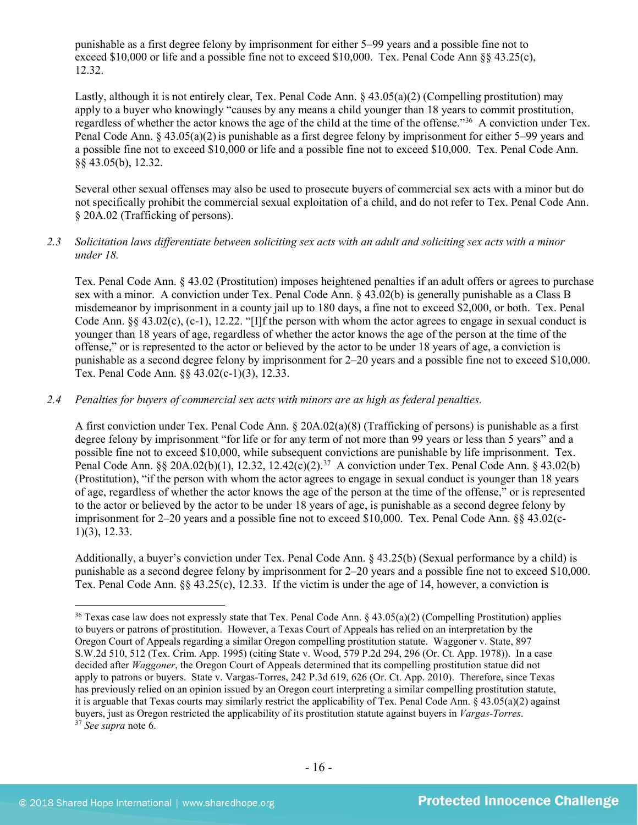punishable as a first degree felony by imprisonment for either 5–99 years and a possible fine not to exceed \$10,000 or life and a possible fine not to exceed \$10,000. Tex. Penal Code Ann  $\S$ § 43.25(c), 12.32.

Lastly, although it is not entirely clear, Tex. Penal Code Ann. § 43.05(a)(2) (Compelling prostitution) may apply to a buyer who knowingly "causes by any means a child younger than 18 years to commit prostitution, regardless of whether the actor knows the age of the child at the time of the offense."[36](#page-15-0) A conviction under Tex. Penal Code Ann. § 43.05(a)(2)is punishable as a first degree felony by imprisonment for either 5–99 years and a possible fine not to exceed \$10,000 or life and a possible fine not to exceed \$10,000. Tex. Penal Code Ann. §§ 43.05(b), 12.32.

Several other sexual offenses may also be used to prosecute buyers of commercial sex acts with a minor but do not specifically prohibit the commercial sexual exploitation of a child, and do not refer to Tex. Penal Code Ann. § 20A.02 (Trafficking of persons).

#### *2.3 Solicitation laws differentiate between soliciting sex acts with an adult and soliciting sex acts with a minor under 18.*

Tex. Penal Code Ann. § 43.02 (Prostitution) imposes heightened penalties if an adult offers or agrees to purchase sex with a minor. A conviction under Tex. Penal Code Ann. § 43.02(b) is generally punishable as a Class B misdemeanor by imprisonment in a county jail up to 180 days, a fine not to exceed \$2,000, or both. Tex. Penal Code Ann. §§ 43.02(c), (c-1), 12.22. "[I]f the person with whom the actor agrees to engage in sexual conduct is younger than 18 years of age, regardless of whether the actor knows the age of the person at the time of the offense," or is represented to the actor or believed by the actor to be under 18 years of age, a conviction is punishable as a second degree felony by imprisonment for 2–20 years and a possible fine not to exceed \$10,000. Tex. Penal Code Ann. §§ 43.02(c-1)(3), 12.33.

#### *2.4 Penalties for buyers of commercial sex acts with minors are as high as federal penalties.*

A first conviction under Tex. Penal Code Ann. § 20A.02(a)(8) (Trafficking of persons) is punishable as a first degree felony by imprisonment "for life or for any term of not more than 99 years or less than 5 years" and a possible fine not to exceed \$10,000, while subsequent convictions are punishable by life imprisonment. Tex. Penal Code Ann. §§ 20A.02(b)(1), 12.32, 12.42(c)(2).<sup>37</sup> A conviction under Tex. Penal Code Ann. § 43.02(b) (Prostitution), "if the person with whom the actor agrees to engage in sexual conduct is younger than 18 years of age, regardless of whether the actor knows the age of the person at the time of the offense," or is represented to the actor or believed by the actor to be under 18 years of age, is punishable as a second degree felony by imprisonment for 2–20 years and a possible fine not to exceed \$10,000. Tex. Penal Code Ann. §§ 43.02(c-1)(3), 12.33.

Additionally, a buyer's conviction under Tex. Penal Code Ann. § 43.25(b) (Sexual performance by a child) is punishable as a second degree felony by imprisonment for 2–20 years and a possible fine not to exceed \$10,000. Tex. Penal Code Ann. §§ 43.25(c), 12.33. If the victim is under the age of 14, however, a conviction is

<span id="page-15-1"></span><span id="page-15-0"></span> <sup>36</sup> Texas case law does not expressly state that Tex. Penal Code Ann. § 43.05(a)(2) (Compelling Prostitution) applies to buyers or patrons of prostitution. However, a Texas Court of Appeals has relied on an interpretation by the Oregon Court of Appeals regarding a similar Oregon compelling prostitution statute. Waggoner v. State, 897 S.W.2d 510, 512 (Tex. Crim. App. 1995) (citing State v. Wood, 579 P.2d 294, 296 (Or. Ct. App. 1978)). In a case decided after *Waggoner*, the Oregon Court of Appeals determined that its compelling prostitution statue did not apply to patrons or buyers. State v. Vargas-Torres, 242 P.3d 619, 626 (Or. Ct. App. 2010). Therefore, since Texas has previously relied on an opinion issued by an Oregon court interpreting a similar compelling prostitution statute, it is arguable that Texas courts may similarly restrict the applicability of Tex. Penal Code Ann. § 43.05(a)(2) against buyers, just as Oregon restricted the applicability of its prostitution statute against buyers in *Vargas-Torres*. 37 *See supra* note [6.](#page-2-1)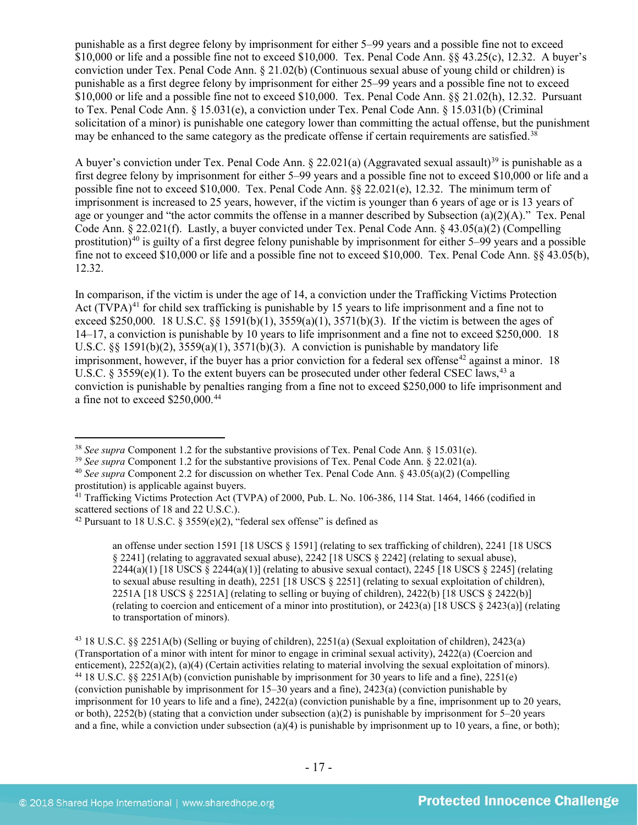punishable as a first degree felony by imprisonment for either 5–99 years and a possible fine not to exceed \$10,000 or life and a possible fine not to exceed \$10,000. Tex. Penal Code Ann. §§ 43.25(c), 12.32. A buyer's conviction under Tex. Penal Code Ann. § 21.02(b) (Continuous sexual abuse of young child or children) is punishable as a first degree felony by imprisonment for either 25–99 years and a possible fine not to exceed \$10,000 or life and a possible fine not to exceed \$10,000. Tex. Penal Code Ann. §§ 21.02(h), 12.32. Pursuant to Tex. Penal Code Ann. § 15.031(e), a conviction under Tex. Penal Code Ann. § 15.031(b) (Criminal solicitation of a minor) is punishable one category lower than committing the actual offense, but the punishment may be enhanced to the same category as the predicate offense if certain requirements are satisfied.<sup>[38](#page-16-0)</sup>

A buyer's conviction under Tex. Penal Code Ann.  $\S 22.021(a)$  (Aggravated sexual assault)<sup>[39](#page-16-1)</sup> is punishable as a first degree felony by imprisonment for either 5–99 years and a possible fine not to exceed \$10,000 or life and a possible fine not to exceed \$10,000. Tex. Penal Code Ann. §§ 22.021(e), 12.32. The minimum term of imprisonment is increased to 25 years, however, if the victim is younger than 6 years of age or is 13 years of age or younger and "the actor commits the offense in a manner described by Subsection (a)(2)(A)." Tex. Penal Code Ann. § 22.021(f). Lastly, a buyer convicted under Tex. Penal Code Ann. § 43.05(a)(2) (Compelling prostitution)<sup>[40](#page-16-2)</sup> is guilty of a first degree felony punishable by imprisonment for either  $5-99$  years and a possible fine not to exceed \$10,000 or life and a possible fine not to exceed \$10,000. Tex. Penal Code Ann. §§ 43.05(b), 12.32.

<span id="page-16-8"></span><span id="page-16-7"></span>In comparison, if the victim is under the age of 14, a conviction under the Trafficking Victims Protection Act (TVPA)<sup>[41](#page-16-3)</sup> for child sex trafficking is punishable by 15 years to life imprisonment and a fine not to exceed \$250,000. 18 U.S.C. §§ 1591(b)(1), 3559(a)(1), 3571(b)(3). If the victim is between the ages of 14–17, a conviction is punishable by 10 years to life imprisonment and a fine not to exceed \$250,000. 18 U.S.C. §§ 1591(b)(2),  $3559(a)(1)$ ,  $3571(b)(3)$ . A conviction is punishable by mandatory life imprisonment, however, if the buyer has a prior conviction for a federal sex offense<sup>[42](#page-16-4)</sup> against a minor. 18 U.S.C. § 3559(e)(1). To the extent buyers can be prosecuted under other federal CSEC laws,  $43$  a conviction is punishable by penalties ranging from a fine not to exceed \$250,000 to life imprisonment and a fine not to exceed \$250,000.[44](#page-16-6)

an offense under section 1591 [18 USCS § 1591] (relating to sex trafficking of children), 2241 [18 USCS § 2241] (relating to aggravated sexual abuse), 2242 [18 USCS § 2242] (relating to sexual abuse),  $2244(a)(1)$  [18 USCS  $\S 2244(a)(1)$ ] (relating to abusive sexual contact), 2245 [18 USCS  $\S 2245$ ] (relating to sexual abuse resulting in death), 2251 [18 USCS § 2251] (relating to sexual exploitation of children), 2251A [18 USCS § 2251A] (relating to selling or buying of children), 2422(b) [18 USCS § 2422(b)] (relating to coercion and enticement of a minor into prostitution), or 2423(a) [18 USCS § 2423(a)] (relating to transportation of minors).

<span id="page-16-6"></span><span id="page-16-5"></span><sup>43</sup> 18 U.S.C. §§ 2251A(b) (Selling or buying of children), 2251(a) (Sexual exploitation of children), 2423(a) (Transportation of a minor with intent for minor to engage in criminal sexual activity), 2422(a) (Coercion and enticement), 2252(a)(2), (a)(4) (Certain activities relating to material involving the sexual exploitation of minors). <sup>44</sup> 18 U.S.C. §§ 2251A(b) (conviction punishable by imprisonment for 30 years to life and a fine), 2251(e) (conviction punishable by imprisonment for 15–30 years and a fine), 2423(a) (conviction punishable by imprisonment for 10 years to life and a fine), 2422(a) (conviction punishable by a fine, imprisonment up to 20 years, or both),  $2252(b)$  (stating that a conviction under subsection (a)(2) is punishable by imprisonment for  $5-20$  years and a fine, while a conviction under subsection (a)(4) is punishable by imprisonment up to 10 years, a fine, or both);

<span id="page-16-1"></span>

<span id="page-16-0"></span><sup>&</sup>lt;sup>38</sup> See supra Component 1.2 for the substantive provisions of Tex. Penal Code Ann. § 15.031(e).<br><sup>39</sup> See supra Component 1.2 for the substantive provisions of Tex. Penal Code Ann. § 22.021(a).<br><sup>40</sup> See supra Component 2.

<span id="page-16-2"></span>prostitution) is applicable against buyers.

<span id="page-16-3"></span> $41$  Trafficking Victims Protection Act (TVPA) of 2000, Pub. L. No. 106-386, 114 Stat. 1464, 1466 (codified in scattered sections of 18 and 22 U.S.C.).

<span id="page-16-4"></span><sup>&</sup>lt;sup>42</sup> Pursuant to 18 U.S.C. § 3559(e)(2), "federal sex offense" is defined as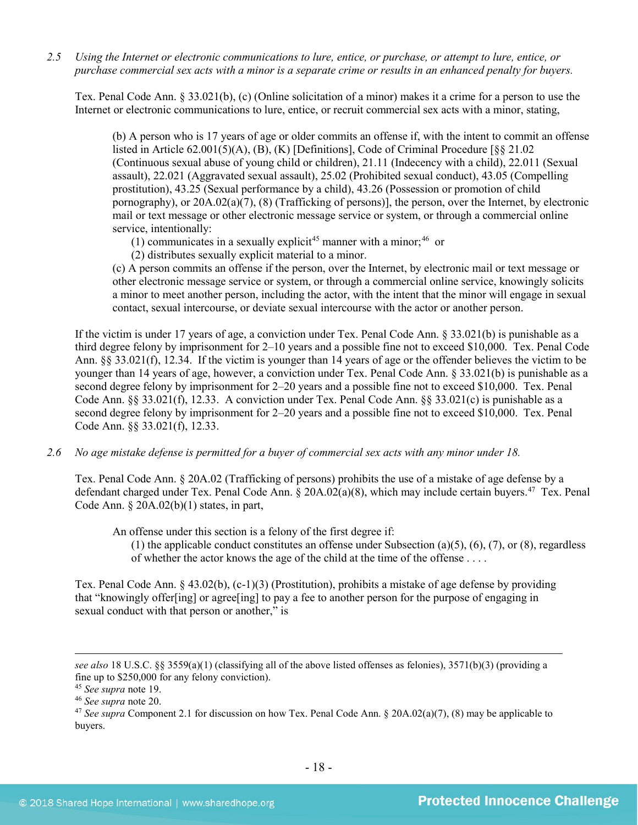*2.5 Using the Internet or electronic communications to lure, entice, or purchase, or attempt to lure, entice, or purchase commercial sex acts with a minor is a separate crime or results in an enhanced penalty for buyers.*

Tex. Penal Code Ann. § 33.021(b), (c) (Online solicitation of a minor) makes it a crime for a person to use the Internet or electronic communications to lure, entice, or recruit commercial sex acts with a minor, stating,

(b) A person who is 17 years of age or older commits an offense if, with the intent to commit an offense listed in Article 62.001(5)(A), (B), (K) [Definitions], Code of Criminal Procedure [§§ 21.02 (Continuous sexual abuse of young child or children), 21.11 (Indecency with a child), 22.011 (Sexual assault), 22.021 (Aggravated sexual assault), 25.02 (Prohibited sexual conduct), 43.05 (Compelling prostitution), 43.25 (Sexual performance by a child), 43.26 (Possession or promotion of child pornography), or 20A.02(a)(7), (8) (Trafficking of persons)], the person, over the Internet, by electronic mail or text message or other electronic message service or system, or through a commercial online service, intentionally:

(1) communicates in a sexually explicit<sup>[45](#page-17-0)</sup> manner with a minor;<sup>46</sup> or

(2) distributes sexually explicit material to a minor.

(c) A person commits an offense if the person, over the Internet, by electronic mail or text message or other electronic message service or system, or through a commercial online service, knowingly solicits a minor to meet another person, including the actor, with the intent that the minor will engage in sexual contact, sexual intercourse, or deviate sexual intercourse with the actor or another person.

If the victim is under 17 years of age, a conviction under Tex. Penal Code Ann. § 33.021(b) is punishable as a third degree felony by imprisonment for 2–10 years and a possible fine not to exceed \$10,000. Tex. Penal Code Ann. §§ 33.021(f), 12.34. If the victim is younger than 14 years of age or the offender believes the victim to be younger than 14 years of age, however, a conviction under Tex. Penal Code Ann. § 33.021(b) is punishable as a second degree felony by imprisonment for 2–20 years and a possible fine not to exceed \$10,000. Tex. Penal Code Ann. §§ 33.021(f), 12.33. A conviction under Tex. Penal Code Ann. §§ 33.021(c) is punishable as a second degree felony by imprisonment for 2–20 years and a possible fine not to exceed \$10,000. Tex. Penal Code Ann. §§ 33.021(f), 12.33.

*2.6 No age mistake defense is permitted for a buyer of commercial sex acts with any minor under 18.*

Tex. Penal Code Ann. § 20A.02 (Trafficking of persons) prohibits the use of a mistake of age defense by a defendant charged under Tex. Penal Code Ann. § 20A.02(a)(8), which may include certain buyers.<sup>47</sup> Tex. Penal Code Ann.  $\S$  20A.02(b)(1) states, in part,

An offense under this section is a felony of the first degree if:

(1) the applicable conduct constitutes an offense under Subsection (a)(5), (6), (7), or (8), regardless of whether the actor knows the age of the child at the time of the offense . . . .

Tex. Penal Code Ann. § 43.02(b), (c-1)(3) (Prostitution), prohibits a mistake of age defense by providing that "knowingly offer[ing] or agree[ing] to pay a fee to another person for the purpose of engaging in sexual conduct with that person or another," is

 $\overline{a}$ 

*see also* 18 U.S.C. §§ 3559(a)(1) (classifying all of the above listed offenses as felonies), 3571(b)(3) (providing a fine up to \$250,000 for any felony conviction).<br><sup>45</sup> See supra note 19.

<span id="page-17-2"></span><span id="page-17-1"></span><span id="page-17-0"></span><sup>&</sup>lt;sup>46</sup> *See supra* note 20.<br><sup>47</sup> *See supra* Component 2.1 for discussion on how Tex. Penal Code Ann. § 20A.02(a)(7), (8) may be applicable to buyers.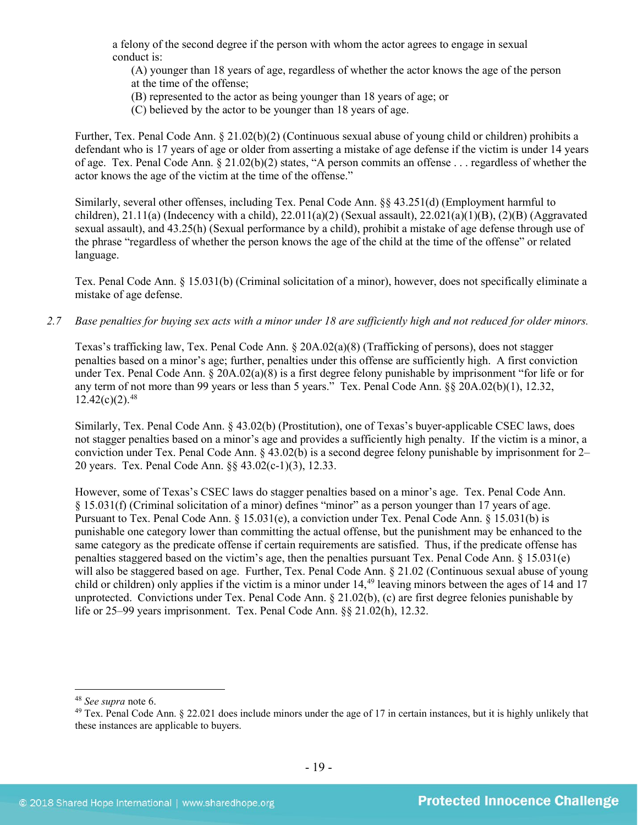a felony of the second degree if the person with whom the actor agrees to engage in sexual conduct is:

(A) younger than 18 years of age, regardless of whether the actor knows the age of the person at the time of the offense;

- (B) represented to the actor as being younger than 18 years of age; or
- (C) believed by the actor to be younger than 18 years of age.

Further, Tex. Penal Code Ann. § 21.02(b)(2) (Continuous sexual abuse of young child or children) prohibits a defendant who is 17 years of age or older from asserting a mistake of age defense if the victim is under 14 years of age. Tex. Penal Code Ann. § 21.02(b)(2) states, "A person commits an offense . . . regardless of whether the actor knows the age of the victim at the time of the offense."

Similarly, several other offenses, including Tex. Penal Code Ann. §§ 43.251(d) (Employment harmful to children), 21.11(a) (Indecency with a child), 22.011(a)(2) (Sexual assault), 22.021(a)(1)(B), (2)(B) (Aggravated sexual assault), and 43.25(h) (Sexual performance by a child), prohibit a mistake of age defense through use of the phrase "regardless of whether the person knows the age of the child at the time of the offense" or related language.

Tex. Penal Code Ann. § 15.031(b) (Criminal solicitation of a minor), however, does not specifically eliminate a mistake of age defense.

*2.7 Base penalties for buying sex acts with a minor under 18 are sufficiently high and not reduced for older minors.*

Texas's trafficking law, Tex. Penal Code Ann. § 20A.02(a)(8) (Trafficking of persons), does not stagger penalties based on a minor's age; further, penalties under this offense are sufficiently high. A first conviction under Tex. Penal Code Ann. § 20A.02(a)(8) is a first degree felony punishable by imprisonment "for life or for any term of not more than 99 years or less than 5 years." Tex. Penal Code Ann. §§ 20A.02(b)(1), 12.32,  $12.42(c)(2).48$  $12.42(c)(2).48$ 

Similarly, Tex. Penal Code Ann. § 43.02(b) (Prostitution), one of Texas's buyer-applicable CSEC laws, does not stagger penalties based on a minor's age and provides a sufficiently high penalty. If the victim is a minor, a conviction under Tex. Penal Code Ann. § 43.02(b) is a second degree felony punishable by imprisonment for 2– 20 years. Tex. Penal Code Ann. §§ 43.02(c-1)(3), 12.33.

However, some of Texas's CSEC laws do stagger penalties based on a minor's age. Tex. Penal Code Ann. § 15.031(f) (Criminal solicitation of a minor) defines "minor" as a person younger than 17 years of age. Pursuant to Tex. Penal Code Ann. § 15.031(e), a conviction under Tex. Penal Code Ann. § 15.031(b) is punishable one category lower than committing the actual offense, but the punishment may be enhanced to the same category as the predicate offense if certain requirements are satisfied. Thus, if the predicate offense has penalties staggered based on the victim's age, then the penalties pursuant Tex. Penal Code Ann. § 15.031(e) will also be staggered based on age. Further, Tex. Penal Code Ann. § 21.02 (Continuous sexual abuse of young child or children) only applies if the victim is a minor under 14, [49](#page-18-1) leaving minors between the ages of 14 and 17 unprotected. Convictions under Tex. Penal Code Ann. § 21.02(b), (c) are first degree felonies punishable by life or 25–99 years imprisonment. Tex. Penal Code Ann. §§ 21.02(h), 12.32.

<span id="page-18-1"></span><span id="page-18-0"></span><sup>&</sup>lt;sup>48</sup> *See supra* note [6.](#page-2-1)<br><sup>49</sup> Tex. Penal Code Ann. § 22.021 does include minors under the age of 17 in certain instances, but it is highly unlikely that these instances are applicable to buyers.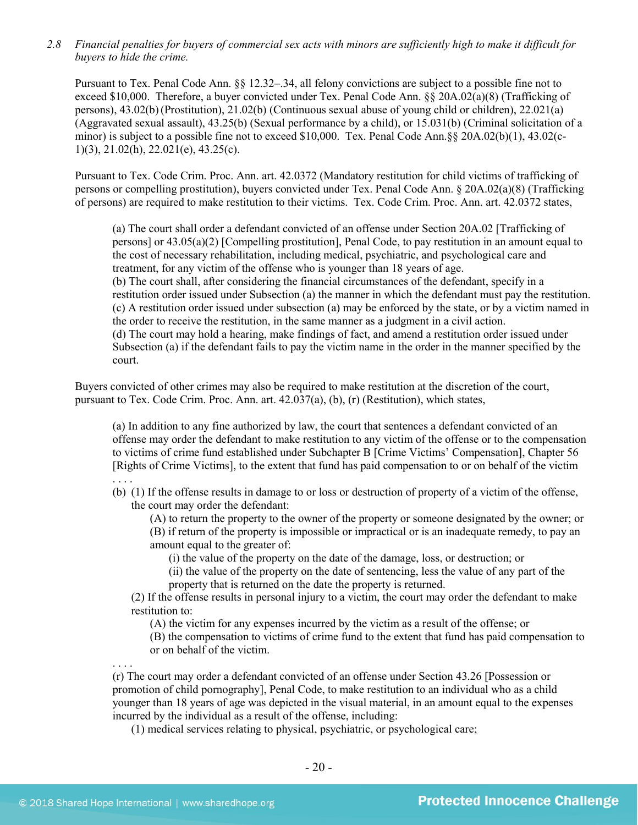*2.8 Financial penalties for buyers of commercial sex acts with minors are sufficiently high to make it difficult for buyers to hide the crime.* 

Pursuant to Tex. Penal Code Ann. §§ 12.32–.34, all felony convictions are subject to a possible fine not to exceed \$10,000. Therefore, a buyer convicted under Tex. Penal Code Ann. §§ 20A.02(a)(8) (Trafficking of persons), 43.02(b)(Prostitution), 21.02(b) (Continuous sexual abuse of young child or children), 22.021(a) (Aggravated sexual assault), 43.25(b) (Sexual performance by a child), or 15.031(b) (Criminal solicitation of a minor) is subject to a possible fine not to exceed \$10,000. Tex. Penal Code Ann.§§ 20A.02(b)(1), 43.02(c-1)(3), 21.02(h), 22.021(e), 43.25(c).

Pursuant to Tex. Code Crim. Proc. Ann. art. 42.0372 (Mandatory restitution for child victims of trafficking of persons or compelling prostitution), buyers convicted under Tex. Penal Code Ann. § 20A.02(a)(8) (Trafficking of persons) are required to make restitution to their victims. Tex. Code Crim. Proc. Ann. art. 42.0372 states,

(a) The court shall order a defendant convicted of an offense under Section 20A.02 [Trafficking of persons] or 43.05(a)(2) [Compelling prostitution], Penal Code, to pay restitution in an amount equal to the cost of necessary rehabilitation, including medical, psychiatric, and psychological care and treatment, for any victim of the offense who is younger than 18 years of age.

(b) The court shall, after considering the financial circumstances of the defendant, specify in a restitution order issued under Subsection (a) the manner in which the defendant must pay the restitution. (c) A restitution order issued under subsection (a) may be enforced by the state, or by a victim named in the order to receive the restitution, in the same manner as a judgment in a civil action.

(d) The court may hold a hearing, make findings of fact, and amend a restitution order issued under Subsection (a) if the defendant fails to pay the victim name in the order in the manner specified by the court.

Buyers convicted of other crimes may also be required to make restitution at the discretion of the court, pursuant to Tex. Code Crim. Proc. Ann. art. 42.037(a), (b), (r) (Restitution), which states,

(a) In addition to any fine authorized by law, the court that sentences a defendant convicted of an offense may order the defendant to make restitution to any victim of the offense or to the compensation to victims of crime fund established under Subchapter B [Crime Victims' Compensation], Chapter 56 [Rights of Crime Victims], to the extent that fund has paid compensation to or on behalf of the victim . . . .

(b) (1) If the offense results in damage to or loss or destruction of property of a victim of the offense, the court may order the defendant:

(A) to return the property to the owner of the property or someone designated by the owner; or (B) if return of the property is impossible or impractical or is an inadequate remedy, to pay an amount equal to the greater of:

(i) the value of the property on the date of the damage, loss, or destruction; or

(ii) the value of the property on the date of sentencing, less the value of any part of the property that is returned on the date the property is returned.

(2) If the offense results in personal injury to a victim, the court may order the defendant to make restitution to:

(A) the victim for any expenses incurred by the victim as a result of the offense; or

(B) the compensation to victims of crime fund to the extent that fund has paid compensation to or on behalf of the victim.

. . . . (r) The court may order a defendant convicted of an offense under Section 43.26 [Possession or promotion of child pornography], Penal Code, to make restitution to an individual who as a child younger than 18 years of age was depicted in the visual material, in an amount equal to the expenses incurred by the individual as a result of the offense, including:

(1) medical services relating to physical, psychiatric, or psychological care;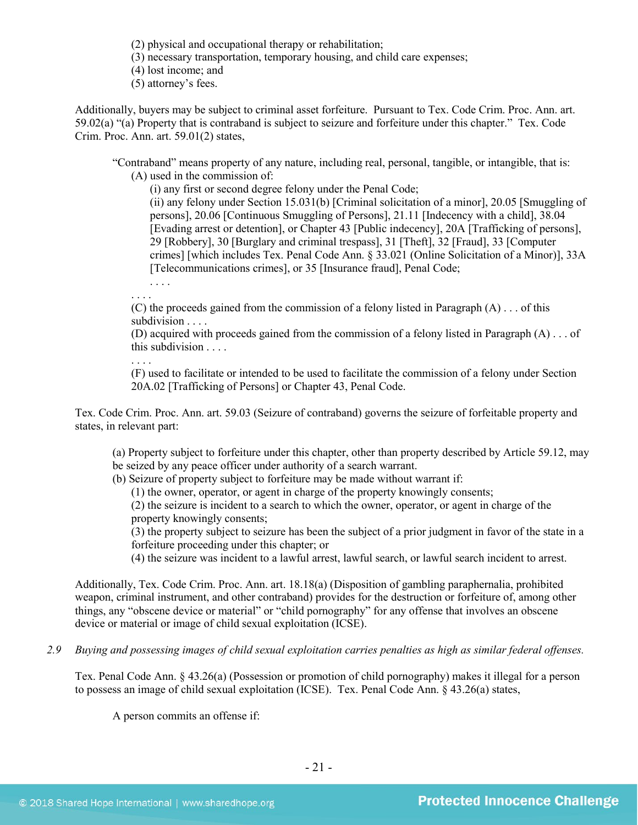(2) physical and occupational therapy or rehabilitation;

(3) necessary transportation, temporary housing, and child care expenses;

(4) lost income; and

(5) attorney's fees.

Additionally, buyers may be subject to criminal asset forfeiture. Pursuant to Tex. Code Crim. Proc. Ann. art. 59.02(a) "(a) Property that is contraband is subject to seizure and forfeiture under this chapter." Tex. Code Crim. Proc. Ann. art. 59.01(2) states,

"Contraband" means property of any nature, including real, personal, tangible, or intangible, that is: (A) used in the commission of:

(i) any first or second degree felony under the Penal Code;

(ii) any felony under Section 15.031(b) [Criminal solicitation of a minor], 20.05 [Smuggling of persons], 20.06 [Continuous Smuggling of Persons], 21.11 [Indecency with a child], 38.04 [Evading arrest or detention], or Chapter 43 [Public indecency], 20A [Trafficking of persons], 29 [Robbery], 30 [Burglary and criminal trespass], 31 [Theft], 32 [Fraud], 33 [Computer crimes] [which includes Tex. Penal Code Ann. § 33.021 (Online Solicitation of a Minor)], 33A [Telecommunications crimes], or 35 [Insurance fraud], Penal Code;

. . . . . . . .

(C) the proceeds gained from the commission of a felony listed in Paragraph  $(A)$ ... of this subdivision . . . .

(D) acquired with proceeds gained from the commission of a felony listed in Paragraph (A) . . . of this subdivision . . . .

. . . .

(F) used to facilitate or intended to be used to facilitate the commission of a felony under Section 20A.02 [Trafficking of Persons] or Chapter 43, Penal Code.

Tex. Code Crim. Proc. Ann. art. 59.03 (Seizure of contraband) governs the seizure of forfeitable property and states, in relevant part:

(a) Property subject to forfeiture under this chapter, other than property described by Article 59.12, may be seized by any peace officer under authority of a search warrant.

(b) Seizure of property subject to forfeiture may be made without warrant if:

(1) the owner, operator, or agent in charge of the property knowingly consents;

(2) the seizure is incident to a search to which the owner, operator, or agent in charge of the property knowingly consents;

(3) the property subject to seizure has been the subject of a prior judgment in favor of the state in a forfeiture proceeding under this chapter; or

(4) the seizure was incident to a lawful arrest, lawful search, or lawful search incident to arrest.

Additionally, Tex. Code Crim. Proc. Ann. art. 18.18(a) (Disposition of gambling paraphernalia, prohibited weapon, criminal instrument, and other contraband) provides for the destruction or forfeiture of, among other things, any "obscene device or material" or "child pornography" for any offense that involves an obscene device or material or image of child sexual exploitation (ICSE).

*2.9 Buying and possessing images of child sexual exploitation carries penalties as high as similar federal offenses.*

Tex. Penal Code Ann. § 43.26(a) (Possession or promotion of child pornography) makes it illegal for a person to possess an image of child sexual exploitation (ICSE). Tex. Penal Code Ann. § 43.26(a) states,

A person commits an offense if: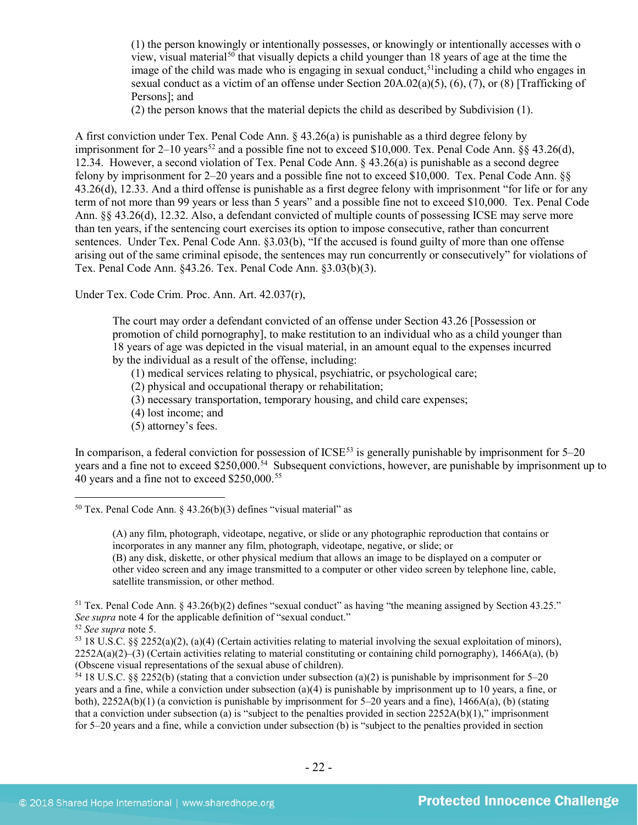<span id="page-21-6"></span>(1) the person knowingly or intentionally possesses, or knowingly or intentionally accesses with o view, visual material<sup>[50](#page-21-0)</sup> that visually depicts a child younger than 18 years of age at the time the image of the child was made who is engaging in sexual conduct,<sup>[51](#page-21-1)</sup> including a child who engages in sexual conduct as a victim of an offense under Section 20A.02(a)(5), (6), (7), or (8) [Trafficking of Persons]; and

(2) the person knows that the material depicts the child as described by Subdivision (1).

A first conviction under Tex. Penal Code Ann. § 43.26(a) is punishable as a third degree felony by imprisonment for  $2-10$  years<sup>[52](#page-21-2)</sup> and a possible fine not to exceed \$10,000. Tex. Penal Code Ann. §§ 43.26(d), 12.34. However, a second violation of Tex. Penal Code Ann. § 43.26(a) is punishable as a second degree felony by imprisonment for 2–20 years and a possible fine not to exceed \$10,000. Tex. Penal Code Ann. §§ 43.26(d), 12.33. And a third offense is punishable as a first degree felony with imprisonment "for life or for any term of not more than 99 years or less than 5 years" and a possible fine not to exceed \$10,000. Tex. Penal Code Ann. §§ 43.26(d), 12.32. Also, a defendant convicted of multiple counts of possessing ICSE may serve more than ten years, if the sentencing court exercises its option to impose consecutive, rather than concurrent sentences. Under Tex. Penal Code Ann. §3.03(b), "If the accused is found guilty of more than one offense arising out of the same criminal episode, the sentences may run concurrently or consecutively" for violations of Tex. Penal Code Ann. §43.26. Tex. Penal Code Ann. §3.03(b)(3).

Under Tex. Code Crim. Proc. Ann. Art. 42.037(r),

The court may order a defendant convicted of an offense under Section [43.26](http://www.statutes.legis.state.tx.us/GetStatute.aspx?Code=PE&Value=43.26&Date=6/1/2015) [Possession or promotion of child pornography], to make restitution to an individual who as a child younger than 18 years of age was depicted in the visual material, in an amount equal to the expenses incurred by the individual as a result of the offense, including:

(1) medical services relating to physical, psychiatric, or psychological care;

(2) physical and occupational therapy or rehabilitation;

- (3) necessary transportation, temporary housing, and child care expenses;
- (4) lost income; and
- (5) attorney's fees.

In comparison, a federal conviction for possession of  $ICSE<sup>53</sup>$  $ICSE<sup>53</sup>$  $ICSE<sup>53</sup>$  is generally punishable by imprisonment for  $5-20$ years and a fine not to exceed \$250,000.<sup>54</sup> Subsequent convictions, however, are punishable by imprisonment up to 40 years and a fine not to exceed \$250,000.[55](#page-21-5)

(B) any disk, diskette, or other physical medium that allows an image to be displayed on a computer or other video screen and any image transmitted to a computer or other video screen by telephone line, cable, satellite transmission, or other method.

<span id="page-21-1"></span> $51$  Tex. Penal Code Ann. § 43.26(b)(2) defines "sexual conduct" as having "the meaning assigned by Section 43.25." *See supra* note [4](#page-1-3) for the applicable definition of "sexual conduct."

<span id="page-21-2"></span><sup>52</sup> *See supra* note [5.](#page-1-2)

<span id="page-21-5"></span><span id="page-21-3"></span><sup>53</sup> 18 U.S.C. §§ 2252(a)(2), (a)(4) (Certain activities relating to material involving the sexual exploitation of minors),  $2252A(a)(2)$ –(3) (Certain activities relating to material constituting or containing child pornography), 1466A(a), (b) (Obscene visual representations of the sexual abuse of children).

<span id="page-21-4"></span><sup>54</sup> 18 U.S.C. §§ 2252(b) (stating that a conviction under subsection (a)(2) is punishable by imprisonment for 5–20 years and a fine, while a conviction under subsection (a)(4) is punishable by imprisonment up to 10 years, a fine, or both), 2252A(b)(1) (a conviction is punishable by imprisonment for 5–20 years and a fine), 1466A(a), (b) (stating that a conviction under subsection (a) is "subject to the penalties provided in section  $2252A(b)(1)$ ," imprisonment for 5–20 years and a fine, while a conviction under subsection (b) is "subject to the penalties provided in section

<span id="page-21-0"></span> $50$  Tex. Penal Code Ann. § 43.26(b)(3) defines "visual material" as

<sup>(</sup>A) any film, photograph, videotape, negative, or slide or any photographic reproduction that contains or incorporates in any manner any film, photograph, videotape, negative, or slide; or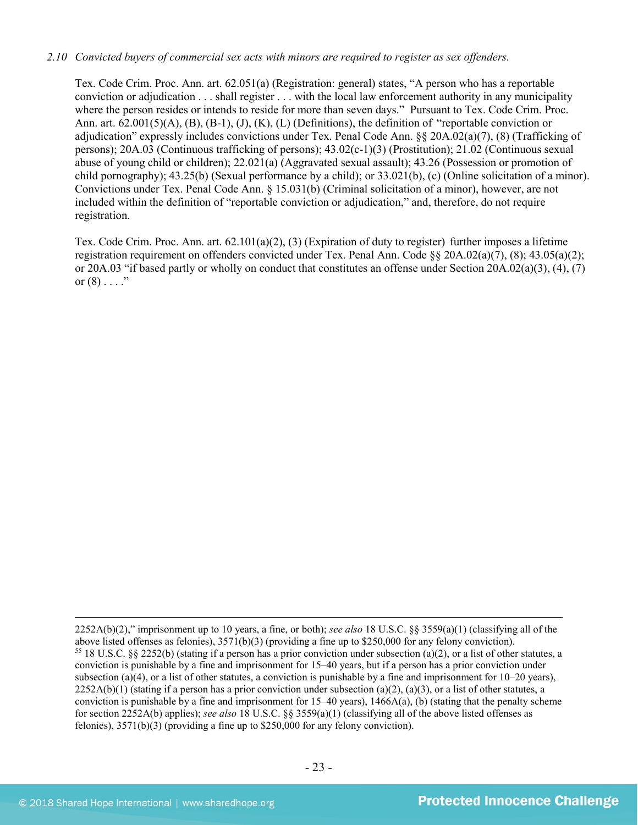#### *2.10 Convicted buyers of commercial sex acts with minors are required to register as sex offenders.*

Tex. Code Crim. Proc. Ann. art. 62.051(a) (Registration: general) states, "A person who has a reportable conviction or adjudication . . . shall register . . . with the local law enforcement authority in any municipality where the person resides or intends to reside for more than seven days." Pursuant to Tex. Code Crim. Proc. Ann. art.  $62.001(5)(A)$ ,  $(B)$ ,  $(B-1)$ ,  $(J)$ ,  $(K)$ ,  $(L)$  (Definitions), the definition of "reportable conviction or adjudication" expressly includes convictions under Tex. Penal Code Ann. §§ 20A.02(a)(7), (8) (Trafficking of persons); 20A.03 (Continuous trafficking of persons); 43.02(c-1)(3) (Prostitution); 21.02 (Continuous sexual abuse of young child or children); 22.021(a) (Aggravated sexual assault); 43.26 (Possession or promotion of child pornography); 43.25(b) (Sexual performance by a child); or 33.021(b), (c) (Online solicitation of a minor). Convictions under Tex. Penal Code Ann. § 15.031(b) (Criminal solicitation of a minor), however, are not included within the definition of "reportable conviction or adjudication," and, therefore, do not require registration.

Tex. Code Crim. Proc. Ann. art.  $62.101(a)(2)$ ,  $(3)$  (Expiration of duty to register) further imposes a lifetime registration requirement on offenders convicted under Tex. Penal Ann. Code §§ 20A.02(a)(7), (8); 43.05(a)(2); or 20A.03 "if based partly or wholly on conduct that constitutes an offense under Section 20A.02(a)(3), (4), (7) or  $(8)$  . . . ."

 $\overline{a}$ 2252A(b)(2)," imprisonment up to 10 years, a fine, or both); *see also* 18 U.S.C. §§ 3559(a)(1) (classifying all of the <sup>55</sup> 18 U.S.C. §§ 2252(b) (stating if a person has a prior conviction under subsection (a)(2), or a list of other statutes, a conviction is punishable by a fine and imprisonment for 15–40 years, but if a person has a prior conviction under subsection (a)(4), or a list of other statutes, a conviction is punishable by a fine and imprisonment for  $10-20$  years),  $2252A(b)(1)$  (stating if a person has a prior conviction under subsection (a)(2), (a)(3), or a list of other statutes, a conviction is punishable by a fine and imprisonment for  $15-40$  years),  $1466A(a)$ , (b) (stating that the penalty scheme for section 2252A(b) applies); *see also* 18 U.S.C. §§ 3559(a)(1) (classifying all of the above listed offenses as felonies), 3571(b)(3) (providing a fine up to \$250,000 for any felony conviction).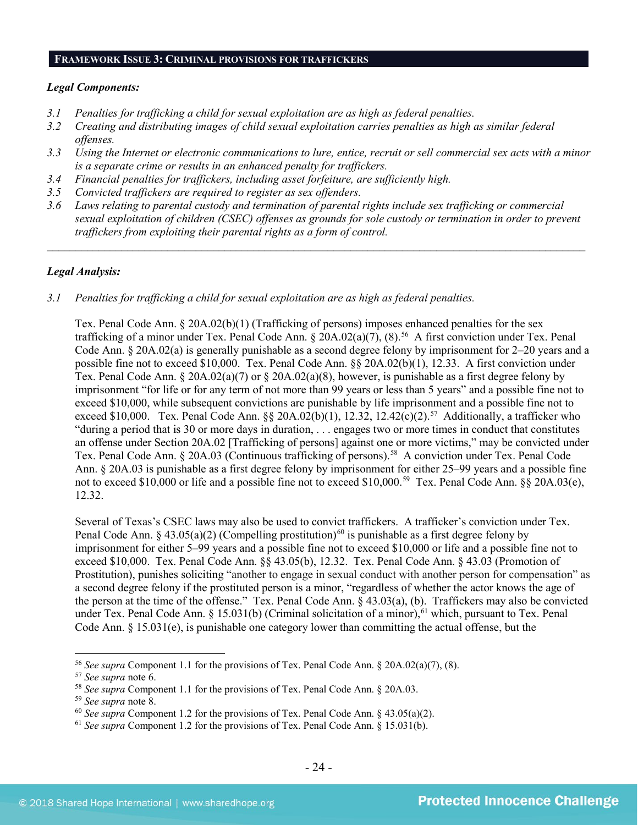#### **FRAMEWORK ISSUE 3: CRIMINAL PROVISIONS FOR TRAFFICKERS**

#### *Legal Components:*

- *3.1 Penalties for trafficking a child for sexual exploitation are as high as federal penalties.*
- *3.2 Creating and distributing images of child sexual exploitation carries penalties as high as similar federal offenses.*
- *3.3 Using the Internet or electronic communications to lure, entice, recruit or sell commercial sex acts with a minor is a separate crime or results in an enhanced penalty for traffickers.*
- *3.4 Financial penalties for traffickers, including asset forfeiture, are sufficiently high.*
- *3.5 Convicted traffickers are required to register as sex offenders.*
- *3.6 Laws relating to parental custody and termination of parental rights include sex trafficking or commercial sexual exploitation of children (CSEC) offenses as grounds for sole custody or termination in order to prevent traffickers from exploiting their parental rights as a form of control.*

 $\mathcal{L}_\mathcal{L} = \mathcal{L}_\mathcal{L} = \mathcal{L}_\mathcal{L} = \mathcal{L}_\mathcal{L} = \mathcal{L}_\mathcal{L} = \mathcal{L}_\mathcal{L} = \mathcal{L}_\mathcal{L} = \mathcal{L}_\mathcal{L} = \mathcal{L}_\mathcal{L} = \mathcal{L}_\mathcal{L} = \mathcal{L}_\mathcal{L} = \mathcal{L}_\mathcal{L} = \mathcal{L}_\mathcal{L} = \mathcal{L}_\mathcal{L} = \mathcal{L}_\mathcal{L} = \mathcal{L}_\mathcal{L} = \mathcal{L}_\mathcal{L}$ 

#### *Legal Analysis:*

#### *3.1 Penalties for trafficking a child for sexual exploitation are as high as federal penalties.*

Tex. Penal Code Ann.  $\S 20A.02(b)(1)$  (Trafficking of persons) imposes enhanced penalties for the sex trafficking of a minor under Tex. Penal Code Ann. § 20A.02(a)(7), (8).<sup>[56](#page-23-0)</sup> A first conviction under Tex. Penal Code Ann. § 20A.02(a) is generally punishable as a second degree felony by imprisonment for 2–20 years and a possible fine not to exceed \$10,000. Tex. Penal Code Ann. §§ 20A.02(b)(1), 12.33. A first conviction under Tex. Penal Code Ann.  $\S 20A.02(a)(7)$  or  $\S 20A.02(a)(8)$ , however, is punishable as a first degree felony by imprisonment "for life or for any term of not more than 99 years or less than 5 years" and a possible fine not to exceed \$10,000, while subsequent convictions are punishable by life imprisonment and a possible fine not to exceed \$10,000. Tex. Penal Code Ann.  $\S$ § 20A.02(b)(1), 12.32, 12.42(c)(2).<sup>[57](#page-23-1)</sup> Additionally, a trafficker who "during a period that is 30 or more days in duration, . . . engages two or more times in conduct that constitutes an offense under Section 20A.02 [Trafficking of persons] against one or more victims," may be convicted under Tex. Penal Code Ann. § 20A.03 (Continuous trafficking of persons).<sup>58</sup> A conviction under Tex. Penal Code Ann. § 20A.03 is punishable as a first degree felony by imprisonment for either 25–99 years and a possible fine not to exceed \$10,000 or life and a possible fine not to exceed \$10,000.<sup>[59](#page-23-3)</sup> Tex. Penal Code Ann. §§ 20A.03(e), 12.32.

Several of Texas's CSEC laws may also be used to convict traffickers. A trafficker's conviction under Tex. Penal Code Ann. § 43.05(a)(2) (Compelling prostitution)<sup>[60](#page-23-4)</sup> is punishable as a first degree felony by imprisonment for either 5–99 years and a possible fine not to exceed \$10,000 or life and a possible fine not to exceed \$10,000. Tex. Penal Code Ann. §§ 43.05(b), 12.32. Tex. Penal Code Ann. § 43.03 (Promotion of Prostitution), punishes soliciting "another to engage in sexual conduct with another person for compensation" as a second degree felony if the prostituted person is a minor, "regardless of whether the actor knows the age of the person at the time of the offense." Tex. Penal Code Ann. § 43.03(a), (b). Traffickers may also be convicted under Tex. Penal Code Ann. § 15.031(b) (Criminal solicitation of a minor), $^{61}$  $^{61}$  $^{61}$  which, pursuant to Tex. Penal Code Ann. § 15.031(e), is punishable one category lower than committing the actual offense, but the

<span id="page-23-0"></span><sup>&</sup>lt;sup>56</sup> *See supra* Component 1.1 for the provisions of Tex. Penal Code Ann. § 20A.02(a)(7), (8).<br><sup>57</sup> *See supra* note 6.

<span id="page-23-1"></span>

<span id="page-23-2"></span><sup>&</sup>lt;sup>58</sup> *See supra* Component 1.1 for the provisions of Tex. Penal Code Ann. § 20A.03.<br><sup>59</sup> *See supra* note 8.

<span id="page-23-3"></span>

<span id="page-23-4"></span><sup>&</sup>lt;sup>60</sup> *See supra* Component 1.2 for the provisions of Tex. Penal Code Ann. § 43.05(a)(2).

<span id="page-23-5"></span><sup>61</sup> *See supra* Component 1.2 for the provisions of Tex. Penal Code Ann. § 15.031(b).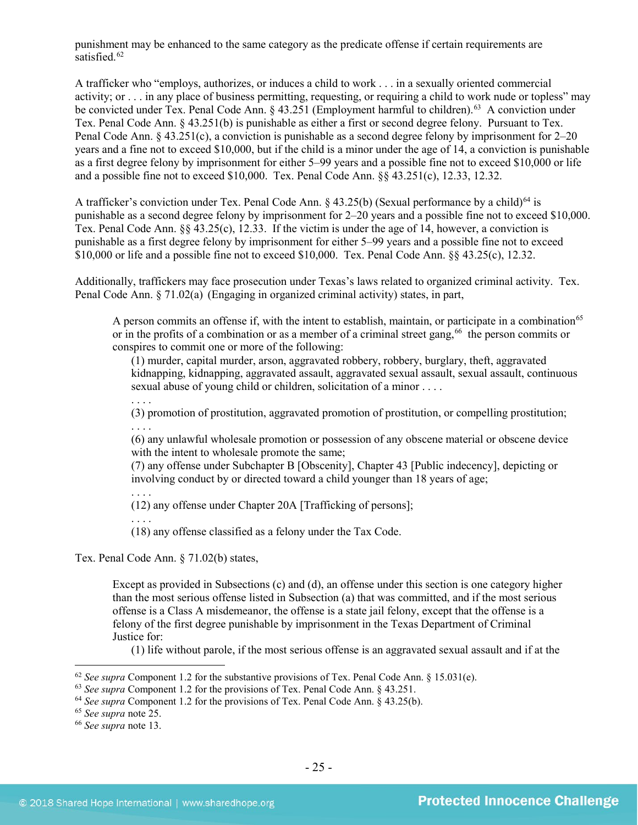punishment may be enhanced to the same category as the predicate offense if certain requirements are satisfied.<sup>[62](#page-24-0)</sup>

A trafficker who "employs, authorizes, or induces a child to work . . . in a sexually oriented commercial activity; or . . . in any place of business permitting, requesting, or requiring a child to work nude or topless" may be convicted under Tex. Penal Code Ann. § 43.251 (Employment harmful to children). [63](#page-24-1) A conviction under Tex. Penal Code Ann. § 43.251(b) is punishable as either a first or second degree felony. Pursuant to Tex. Penal Code Ann. § 43.251(c), a conviction is punishable as a second degree felony by imprisonment for 2–20 years and a fine not to exceed \$10,000, but if the child is a minor under the age of 14, a conviction is punishable as a first degree felony by imprisonment for either 5–99 years and a possible fine not to exceed \$10,000 or life and a possible fine not to exceed \$10,000. Tex. Penal Code Ann. §§ 43.251(c), 12.33, 12.32.

A trafficker's conviction under Tex. Penal Code Ann.  $\S$  43.25(b) (Sexual performance by a child)<sup>[64](#page-24-2)</sup> is punishable as a second degree felony by imprisonment for 2–20 years and a possible fine not to exceed \$10,000. Tex. Penal Code Ann. §§ 43.25(c), 12.33. If the victim is under the age of 14, however, a conviction is punishable as a first degree felony by imprisonment for either 5–99 years and a possible fine not to exceed \$10,000 or life and a possible fine not to exceed \$10,000. Tex. Penal Code Ann. §§ 43.25(c), 12.32.

Additionally, traffickers may face prosecution under Texas's laws related to organized criminal activity. Tex. Penal Code Ann. § 71.02(a) (Engaging in organized criminal activity) states, in part,

A person commits an offense if, with the intent to establish, maintain, or participate in a combination<sup>[65](#page-24-3)</sup> or in the profits of a combination or as a member of a criminal street gang,<sup>[66](#page-24-4)</sup> the person commits or conspires to commit one or more of the following:

(1) murder, capital murder, arson, aggravated robbery, robbery, burglary, theft, aggravated kidnapping, kidnapping, aggravated assault, aggravated sexual assault, sexual assault, continuous sexual abuse of young child or children, solicitation of a minor . . . .

. . . . (3) promotion of prostitution, aggravated promotion of prostitution, or compelling prostitution; . . . .

(6) any unlawful wholesale promotion or possession of any obscene material or obscene device with the intent to wholesale promote the same;

(7) any offense under Subchapter B [Obscenity], Chapter 43 [Public indecency], depicting or involving conduct by or directed toward a child younger than 18 years of age;

. . . . (12) any offense under Chapter 20A [Trafficking of persons];

. . . .

(18) any offense classified as a felony under the Tax Code.

Tex. Penal Code Ann. § 71.02(b) states,

Except as provided in Subsections (c) and (d), an offense under this section is one category higher than the most serious offense listed in Subsection (a) that was committed, and if the most serious offense is a Class A misdemeanor, the offense is a state jail felony, except that the offense is a felony of the first degree punishable by imprisonment in the Texas Department of Criminal Justice for:

(1) life without parole, if the most serious offense is an aggravated sexual assault and if at the

<span id="page-24-0"></span><sup>&</sup>lt;sup>62</sup> *See supra* Component 1.2 for the substantive provisions of Tex. Penal Code Ann. § 15.031(e). <sup>63</sup> *See supra* Component 1.2 for the provisions of Tex. Penal Code Ann. § 43.251.

<span id="page-24-2"></span><span id="page-24-1"></span><sup>64</sup> *See supra* Component 1.2 for the provisions of Tex. Penal Code Ann. § 43.25(b).

<span id="page-24-3"></span><sup>65</sup> *See supra* note [25.](#page-9-2)

<span id="page-24-4"></span><sup>66</sup> *See supra* note [13.](#page-4-5)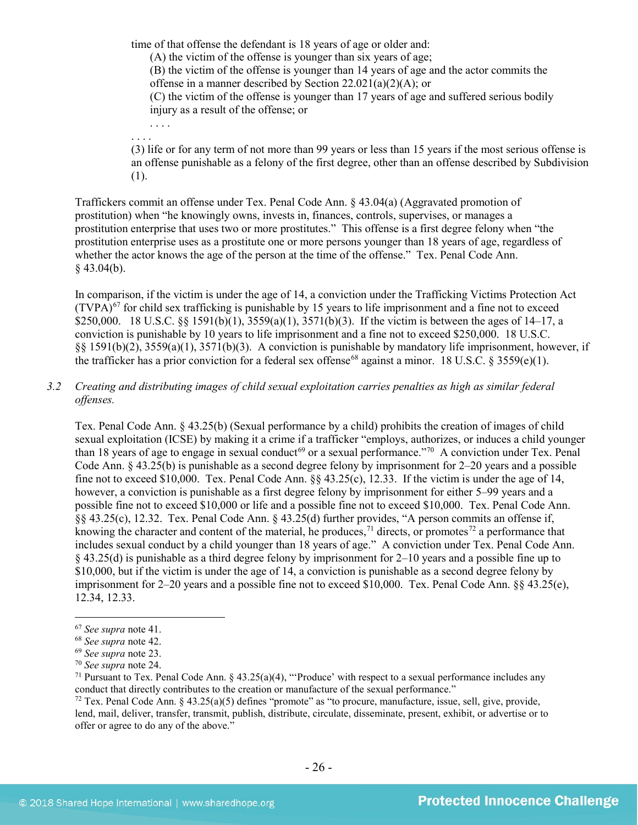time of that offense the defendant is 18 years of age or older and: (A) the victim of the offense is younger than six years of age; (B) the victim of the offense is younger than 14 years of age and the actor commits the offense in a manner described by Section 22.021(a)(2)(A); or (C) the victim of the offense is younger than 17 years of age and suffered serious bodily injury as a result of the offense; or . . . .

(3) life or for any term of not more than 99 years or less than 15 years if the most serious offense is an offense punishable as a felony of the first degree, other than an offense described by Subdivision (1).

Traffickers commit an offense under Tex. Penal Code Ann. § 43.04(a) (Aggravated promotion of prostitution) when "he knowingly owns, invests in, finances, controls, supervises, or manages a prostitution enterprise that uses two or more prostitutes." This offense is a first degree felony when "the prostitution enterprise uses as a prostitute one or more persons younger than 18 years of age, regardless of whether the actor knows the age of the person at the time of the offense." Tex. Penal Code Ann.  $§$  43.04(b).

In comparison, if the victim is under the age of 14, a conviction under the Trafficking Victims Protection Act  $(TVPA)<sup>67</sup>$  $(TVPA)<sup>67</sup>$  $(TVPA)<sup>67</sup>$  for child sex trafficking is punishable by 15 years to life imprisonment and a fine not to exceed \$250,000. 18 U.S.C. §§ 1591(b)(1), 3559(a)(1), 3571(b)(3). If the victim is between the ages of 14–17, a conviction is punishable by 10 years to life imprisonment and a fine not to exceed \$250,000. 18 U.S.C. §§ 1591(b)(2), 3559(a)(1), 3571(b)(3). A conviction is punishable by mandatory life imprisonment, however, if the trafficker has a prior conviction for a federal sex offense<sup>[68](#page-25-1)</sup> against a minor. 18 U.S.C. § 3559(e)(1).

*3.2 Creating and distributing images of child sexual exploitation carries penalties as high as similar federal offenses.*

Tex. Penal Code Ann. § 43.25(b) (Sexual performance by a child) prohibits the creation of images of child sexual exploitation (ICSE) by making it a crime if a trafficker "employs, authorizes, or induces a child younger than 18 years of age to engage in sexual conduct<sup>[69](#page-25-2)</sup> or a sexual performance."<sup>70</sup> A conviction under Tex. Penal Code Ann.  $\S$  43.25(b) is punishable as a second degree felony by imprisonment for 2–20 years and a possible fine not to exceed \$10,000. Tex. Penal Code Ann.  $\S$ § 43.25(c), 12.33. If the victim is under the age of 14, however, a conviction is punishable as a first degree felony by imprisonment for either 5–99 years and a possible fine not to exceed \$10,000 or life and a possible fine not to exceed \$10,000. Tex. Penal Code Ann. §§ 43.25(c), 12.32. Tex. Penal Code Ann. § 43.25(d) further provides, "A person commits an offense if, knowing the character and content of the material, he produces,<sup>[71](#page-25-4)</sup> directs, or promotes<sup>[72](#page-25-5)</sup> a performance that includes sexual conduct by a child younger than 18 years of age." A conviction under Tex. Penal Code Ann. § 43.25(d) is punishable as a third degree felony by imprisonment for 2–10 years and a possible fine up to \$10,000, but if the victim is under the age of 14, a conviction is punishable as a second degree felony by imprisonment for 2–20 years and a possible fine not to exceed \$10,000. Tex. Penal Code Ann. §§ 43.25(e), 12.34, 12.33.

<span id="page-25-6"></span><span id="page-25-0"></span> <sup>67</sup> *See supra* note [41.](#page-16-7)

<span id="page-25-1"></span><sup>68</sup> *See supra* note [42.](#page-16-8)

<span id="page-25-4"></span><span id="page-25-3"></span><span id="page-25-2"></span><sup>&</sup>lt;sup>70</sup> *See supra* note 24.<br><sup>71</sup> Pursuant to Tex. Penal Code Ann. § 43.25(a)(4), "Produce' with respect to a sexual performance includes any conduct that directly contributes to the creation or manufacture of the sexual performance."

<span id="page-25-5"></span> $72$  Tex. Penal Code Ann. § 43.25(a)(5) defines "promote" as "to procure, manufacture, issue, sell, give, provide, lend, mail, deliver, transfer, transmit, publish, distribute, circulate, disseminate, present, exhibit, or advertise or to offer or agree to do any of the above."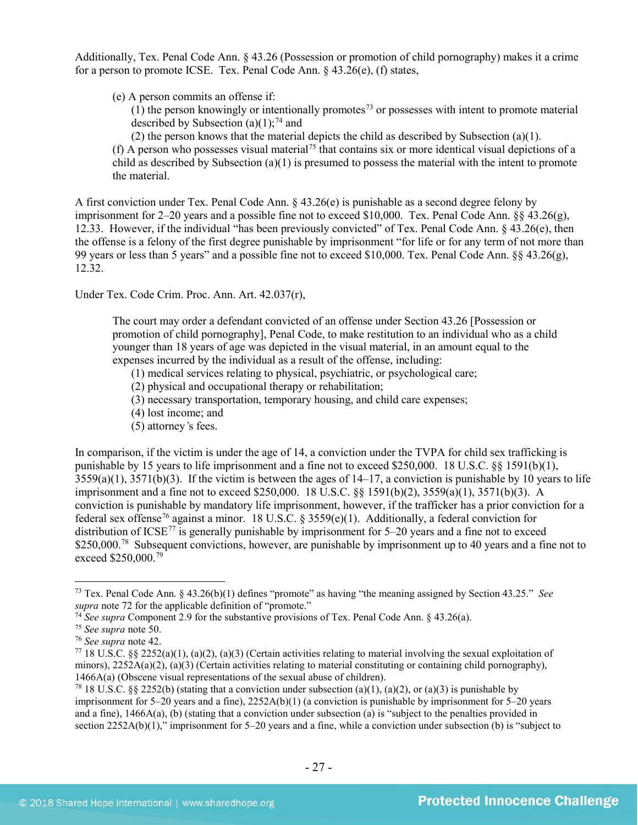Additionally, Tex. Penal Code Ann. § 43.26 (Possession or promotion of child pornography) makes it a crime for a person to promote ICSE. Tex. Penal Code Ann. § 43.26(e), (f) states,

(e) A person commits an offense if:

 $(1)$  the person knowingly or intentionally promotes<sup>[73](#page-26-0)</sup> or possesses with intent to promote material described by Subsection (a)(1);<sup>[74](#page-26-1)</sup> and

(2) the person knows that the material depicts the child as described by Subsection (a)(1).

(f) A person who possesses visual material<sup>[75](#page-26-2)</sup> that contains six or more identical visual depictions of a child as described by Subsection (a)(1) is presumed to possess the material with the intent to promote the material.

A first conviction under Tex. Penal Code Ann. § 43.26(e) is punishable as a second degree felony by imprisonment for 2–20 years and a possible fine not to exceed \$10,000. Tex. Penal Code Ann. §§ 43.26(g), 12.33. However, if the individual "has been previously convicted" of Tex. Penal Code Ann. § 43.26(e), then the offense is a felony of the first degree punishable by imprisonment "for life or for any term of not more than 99 years or less than 5 years" and a possible fine not to exceed \$10,000. Tex. Penal Code Ann. §§ 43.26(g), 12.32.

Under Tex. Code Crim. Proc. Ann. Art. 42.037(r),

The court may order a defendant convicted of an offense under Section 43.26 [Possession or promotion of child pornography], Penal Code, to make restitution to an individual who as a child younger than 18 years of age was depicted in the visual material, in an amount equal to the expenses incurred by the individual as a result of the offense, including:

(1) medical services relating to physical, psychiatric, or psychological care;

- (2) physical and occupational therapy or rehabilitation;
- (3) necessary transportation, temporary housing, and child care expenses;
- (4) lost income; and
- (5) attorney*'*s fees.

In comparison, if the victim is under the age of 14, a conviction under the TVPA for child sex trafficking is punishable by 15 years to life imprisonment and a fine not to exceed \$250,000. 18 U.S.C. §§ 1591(b)(1),  $3559(a)(1)$ ,  $3571(b)(3)$ . If the victim is between the ages of  $14-17$ , a conviction is punishable by 10 years to life imprisonment and a fine not to exceed \$250,000. 18 U.S.C. §§ 1591(b)(2), 3559(a)(1), 3571(b)(3). A conviction is punishable by mandatory life imprisonment, however, if the trafficker has a prior conviction for a federal sex offense<sup>[76](#page-26-3)</sup> against a minor. 18 U.S.C. § 3559(e)(1). Additionally, a federal conviction for distribution of  $ICSE^{77}$  $ICSE^{77}$  $ICSE^{77}$  is generally punishable by imprisonment for 5–20 years and a fine not to exceed \$250,000.<sup>[78](#page-26-5)</sup> Subsequent convictions, however, are punishable by imprisonment up to 40 years and a fine not to exceed \$250,000.[79](#page-26-3)

<span id="page-26-0"></span> <sup>73</sup> Tex. Penal Code Ann. § 43.26(b)(1) defines "promote" as having "the meaning assigned by Section 43.25." *See* 

<span id="page-26-2"></span><span id="page-26-1"></span><sup>&</sup>lt;sup>74</sup> *See supra* Component 2.9 for the substantive provisions of Tex. Penal Code Ann. § 43.26(a). <sup>75</sup> *See supra* note [50.](#page-21-6)<br><sup>75</sup> *See supra* note 42.

<span id="page-26-4"></span><span id="page-26-3"></span><sup>&</sup>lt;sup>77</sup> 18 U.S.C. §§ 2252(a)(1), (a)(2), (a)(3) (Certain activities relating to material involving the sexual exploitation of minors),  $2252A(a)(2)$ ,  $(a)(3)$  (Certain activities relating to material constituting or containing child pornography), 1466A(a) (Obscene visual representations of the sexual abuse of children).

<span id="page-26-5"></span><sup>&</sup>lt;sup>78</sup> 18 U.S.C. §§ 2252(b) (stating that a conviction under subsection (a)(1), (a)(2), or (a)(3) is punishable by imprisonment for 5–20 years and a fine), 2252A(b)(1) (a conviction is punishable by imprisonment for 5–20 years and a fine), 1466A(a), (b) (stating that a conviction under subsection (a) is "subject to the penalties provided in section 2252A(b)(1)," imprisonment for 5–20 years and a fine, while a conviction under subsection (b) is "subject to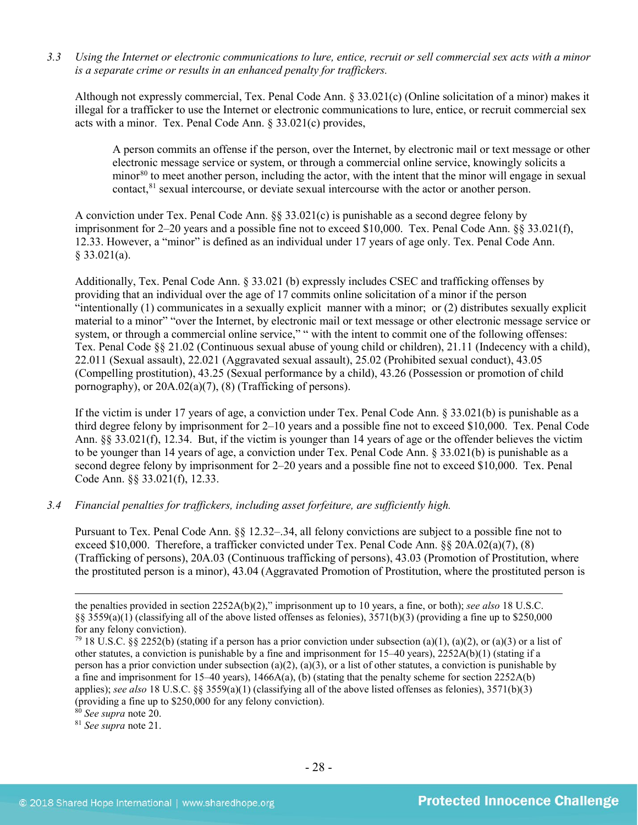*3.3 Using the Internet or electronic communications to lure, entice, recruit or sell commercial sex acts with a minor is a separate crime or results in an enhanced penalty for traffickers.*

Although not expressly commercial, Tex. Penal Code Ann. § 33.021(c) (Online solicitation of a minor) makes it illegal for a trafficker to use the Internet or electronic communications to lure, entice, or recruit commercial sex acts with a minor. Tex. Penal Code Ann. § 33.021(c) provides,

A person commits an offense if the person, over the Internet, by electronic mail or text message or other electronic message service or system, or through a commercial online service, knowingly solicits a minor<sup>[80](#page-27-0)</sup> to meet another person, including the actor, with the intent that the minor will engage in sexual contact,<sup>[81](#page-27-1)</sup> sexual intercourse, or deviate sexual intercourse with the actor or another person.

A conviction under Tex. Penal Code Ann. §§ 33.021(c) is punishable as a second degree felony by imprisonment for 2–20 years and a possible fine not to exceed \$10,000. Tex. Penal Code Ann. §§ 33.021(f), 12.33. However, a "minor" is defined as an individual under 17 years of age only. Tex. Penal Code Ann.  $§$  33.021(a).

Additionally, Tex. Penal Code Ann. § 33.021 (b) expressly includes CSEC and trafficking offenses by providing that an individual over the age of 17 commits online solicitation of a minor if the person "intentionally (1) communicates in a sexually explicit manner with a minor; or (2) distributes sexually explicit material to a minor" "over the Internet, by electronic mail or text message or other electronic message service or system, or through a commercial online service," " with the intent to commit one of the following offenses: Tex. Penal Code §§ 21.02 (Continuous sexual abuse of young child or children), 21.11 (Indecency with a child), 22.011 (Sexual assault), 22.021 (Aggravated sexual assault), 25.02 (Prohibited sexual conduct), 43.05 (Compelling prostitution), 43.25 (Sexual performance by a child), 43.26 (Possession or promotion of child pornography), or 20A.02(a)(7), (8) (Trafficking of persons).

If the victim is under 17 years of age, a conviction under Tex. Penal Code Ann. § 33.021(b) is punishable as a third degree felony by imprisonment for 2–10 years and a possible fine not to exceed \$10,000. Tex. Penal Code Ann. §§ 33.021(f), 12.34. But, if the victim is younger than 14 years of age or the offender believes the victim to be younger than 14 years of age, a conviction under Tex. Penal Code Ann. § 33.021(b) is punishable as a second degree felony by imprisonment for 2–20 years and a possible fine not to exceed \$10,000. Tex. Penal Code Ann. §§ 33.021(f), 12.33.

#### *3.4 Financial penalties for traffickers, including asset forfeiture, are sufficiently high.*

Pursuant to Tex. Penal Code Ann. §§ 12.32–.34, all felony convictions are subject to a possible fine not to exceed \$10,000. Therefore, a trafficker convicted under Tex. Penal Code Ann. §§ 20A.02(a)(7), (8) (Trafficking of persons), 20A.03 (Continuous trafficking of persons), 43.03 (Promotion of Prostitution, where the prostituted person is a minor), 43.04 (Aggravated Promotion of Prostitution, where the prostituted person is

<sup>81</sup> See supra note 21.

the penalties provided in section 2252A(b)(2)," imprisonment up to 10 years, a fine, or both); *see also* 18 U.S.C. §§ 3559(a)(1) (classifying all of the above listed offenses as felonies), 3571(b)(3) (providing a fine up to \$250,000 for any felony conviction).

<sup>&</sup>lt;sup>79</sup> 18 U.S.C. §§ 2252(b) (stating if a person has a prior conviction under subsection (a)(1), (a)(2), or (a)(3) or a list of other statutes, a conviction is punishable by a fine and imprisonment for 15–40 years), 2252A(b)(1) (stating if a person has a prior conviction under subsection (a)(2), (a)(3), or a list of other statutes, a conviction is punishable by a fine and imprisonment for 15–40 years),  $1466A(a)$ , (b) (stating that the penalty scheme for section 2252A(b) applies); *see also* 18 U.S.C. §§ 3559(a)(1) (classifying all of the above listed offenses as felonies), 3571(b)(3) (providing a fine up to \$250,000 for any felony conviction). <sup>80</sup> See supra note 20.

<span id="page-27-1"></span><span id="page-27-0"></span>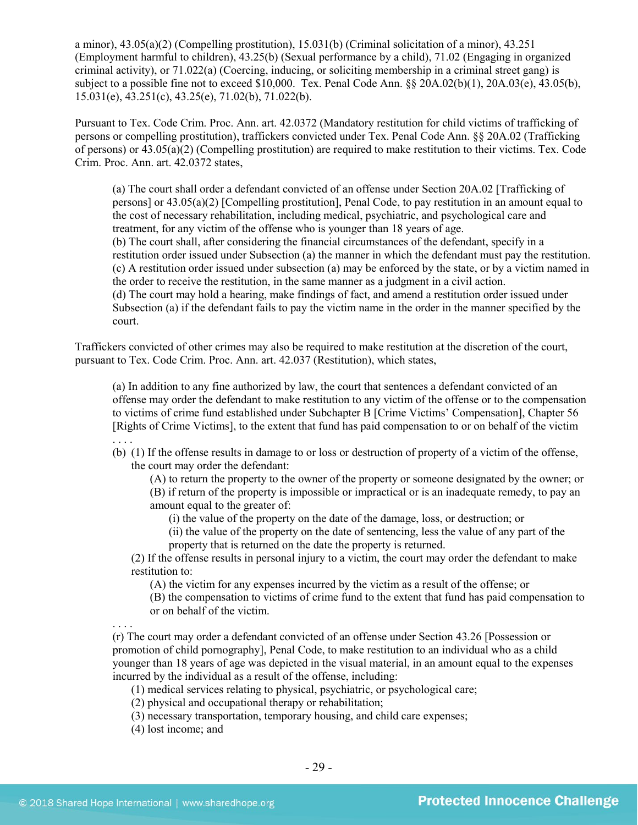a minor), 43.05(a)(2) (Compelling prostitution), 15.031(b) (Criminal solicitation of a minor), 43.251 (Employment harmful to children), 43.25(b) (Sexual performance by a child), 71.02 (Engaging in organized criminal activity), or 71.022(a) (Coercing, inducing, or soliciting membership in a criminal street gang) is subject to a possible fine not to exceed \$10,000. Tex. Penal Code Ann. §§ 20A.02(b)(1), 20A.03(e), 43.05(b), 15.031(e), 43.251(c), 43.25(e), 71.02(b), 71.022(b).

Pursuant to Tex. Code Crim. Proc. Ann. art. 42.0372 (Mandatory restitution for child victims of trafficking of persons or compelling prostitution), traffickers convicted under Tex. Penal Code Ann. §§ 20A.02 (Trafficking of persons) or 43.05(a)(2) (Compelling prostitution) are required to make restitution to their victims. Tex. Code Crim. Proc. Ann. art. 42.0372 states,

(a) The court shall order a defendant convicted of an offense under Section 20A.02 [Trafficking of persons] or 43.05(a)(2) [Compelling prostitution], Penal Code, to pay restitution in an amount equal to the cost of necessary rehabilitation, including medical, psychiatric, and psychological care and treatment, for any victim of the offense who is younger than 18 years of age. (b) The court shall, after considering the financial circumstances of the defendant, specify in a restitution order issued under Subsection (a) the manner in which the defendant must pay the restitution. (c) A restitution order issued under subsection (a) may be enforced by the state, or by a victim named in the order to receive the restitution, in the same manner as a judgment in a civil action. (d) The court may hold a hearing, make findings of fact, and amend a restitution order issued under Subsection (a) if the defendant fails to pay the victim name in the order in the manner specified by the court.

Traffickers convicted of other crimes may also be required to make restitution at the discretion of the court, pursuant to Tex. Code Crim. Proc. Ann. art. 42.037 (Restitution), which states,

(a) In addition to any fine authorized by law, the court that sentences a defendant convicted of an offense may order the defendant to make restitution to any victim of the offense or to the compensation to victims of crime fund established under Subchapter B [Crime Victims' Compensation], Chapter 56 [Rights of Crime Victims], to the extent that fund has paid compensation to or on behalf of the victim . . . .

(b) (1) If the offense results in damage to or loss or destruction of property of a victim of the offense, the court may order the defendant:

(A) to return the property to the owner of the property or someone designated by the owner; or

(B) if return of the property is impossible or impractical or is an inadequate remedy, to pay an amount equal to the greater of:

(i) the value of the property on the date of the damage, loss, or destruction; or

(ii) the value of the property on the date of sentencing, less the value of any part of the property that is returned on the date the property is returned.

(2) If the offense results in personal injury to a victim, the court may order the defendant to make restitution to:

(A) the victim for any expenses incurred by the victim as a result of the offense; or

(B) the compensation to victims of crime fund to the extent that fund has paid compensation to or on behalf of the victim.

. . . . (r) The court may order a defendant convicted of an offense under Section 43.26 [Possession or promotion of child pornography], Penal Code, to make restitution to an individual who as a child younger than 18 years of age was depicted in the visual material, in an amount equal to the expenses incurred by the individual as a result of the offense, including:

(1) medical services relating to physical, psychiatric, or psychological care;

(2) physical and occupational therapy or rehabilitation;

(3) necessary transportation, temporary housing, and child care expenses;

(4) lost income; and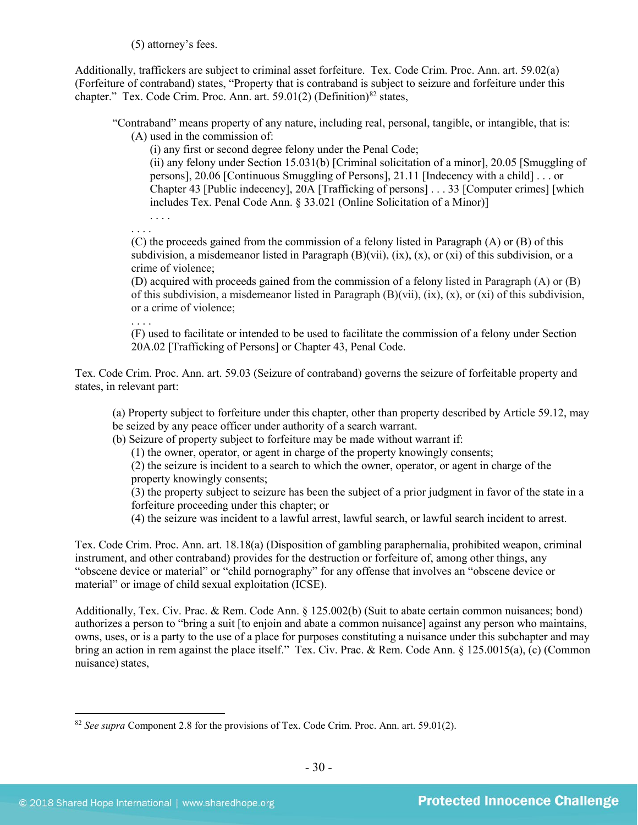(5) attorney's fees.

Additionally, traffickers are subject to criminal asset forfeiture. Tex. Code Crim. Proc. Ann. art. 59.02(a) (Forfeiture of contraband) states, "Property that is contraband is subject to seizure and forfeiture under this chapter." Tex. Code Crim. Proc. Ann. art. 59.01(2) (Definition)<sup>[82](#page-29-0)</sup> states,

"Contraband" means property of any nature, including real, personal, tangible, or intangible, that is: (A) used in the commission of:

(i) any first or second degree felony under the Penal Code;

(ii) any felony under Section 15.031(b) [Criminal solicitation of a minor], 20.05 [Smuggling of persons], 20.06 [Continuous Smuggling of Persons], 21.11 [Indecency with a child] . . . or Chapter 43 [Public indecency], 20A [Trafficking of persons] . . . 33 [Computer crimes] [which includes Tex. Penal Code Ann. § 33.021 (Online Solicitation of a Minor)]

. . . . . . . .

(C) the proceeds gained from the commission of a felony listed in Paragraph (A) or (B) of this subdivision, a misdemeanor listed in Paragraph  $(B)(vii)$ ,  $(ix)$ ,  $(x)$ , or  $(xi)$  of this subdivision, or a crime of violence;

(D) acquired with proceeds gained from the commission of a felony listed in Paragraph (A) or (B) of this subdivision, a misdemeanor listed in Paragraph  $(B)(vii)$ ,  $(ix)$ ,  $(x)$ , or  $(xi)$  of this subdivision, or a crime of violence;

. . . .

(F) used to facilitate or intended to be used to facilitate the commission of a felony under Section 20A.02 [Trafficking of Persons] or Chapter 43, Penal Code.

Tex. Code Crim. Proc. Ann. art. 59.03 (Seizure of contraband) governs the seizure of forfeitable property and states, in relevant part:

(a) Property subject to forfeiture under this chapter, other than property described by Article 59.12, may be seized by any peace officer under authority of a search warrant.

(b) Seizure of property subject to forfeiture may be made without warrant if:

(1) the owner, operator, or agent in charge of the property knowingly consents;

(2) the seizure is incident to a search to which the owner, operator, or agent in charge of the property knowingly consents;

(3) the property subject to seizure has been the subject of a prior judgment in favor of the state in a forfeiture proceeding under this chapter; or

(4) the seizure was incident to a lawful arrest, lawful search, or lawful search incident to arrest.

Tex. Code Crim. Proc. Ann. art. 18.18(a) (Disposition of gambling paraphernalia, prohibited weapon, criminal instrument, and other contraband) provides for the destruction or forfeiture of, among other things, any "obscene device or material" or "child pornography" for any offense that involves an "obscene device or material" or image of child sexual exploitation (ICSE).

Additionally, Tex. Civ. Prac. & Rem. Code Ann. § 125.002(b) (Suit to abate certain common nuisances; bond) authorizes a person to "bring a suit [to enjoin and abate a common nuisance] against any person who maintains, owns, uses, or is a party to the use of a place for purposes constituting a nuisance under this subchapter and may bring an action in rem against the place itself." Tex. Civ. Prac. & Rem. Code Ann. § 125.0015(a), (c) (Common nuisance) states,

<span id="page-29-0"></span> <sup>82</sup> *See supra* Component 2.8 for the provisions of Tex. Code Crim. Proc. Ann. art. 59.01(2).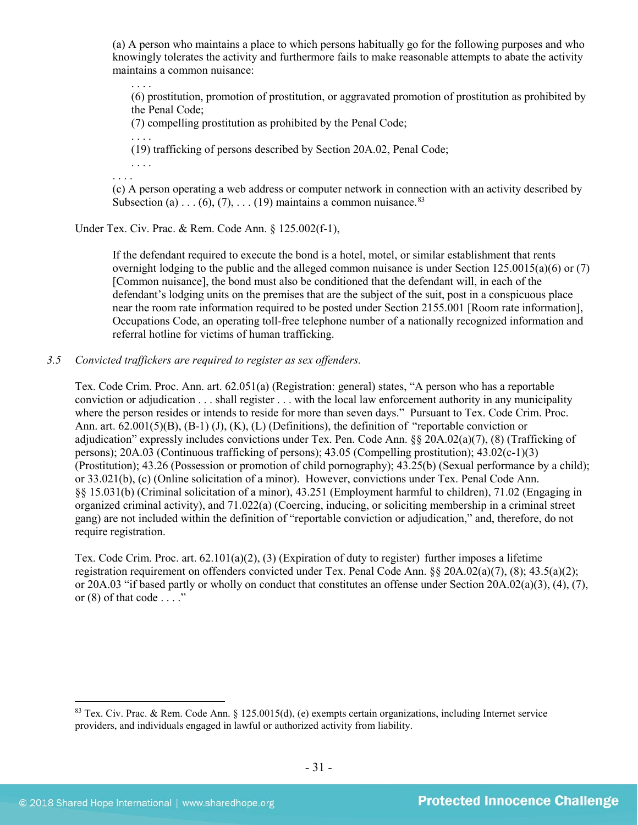(a) A person who maintains a place to which persons habitually go for the following purposes and who knowingly tolerates the activity and furthermore fails to make reasonable attempts to abate the activity maintains a common nuisance:

. . . . (6) prostitution, promotion of prostitution, or aggravated promotion of prostitution as prohibited by the Penal Code;

(7) compelling prostitution as prohibited by the Penal Code;

. . . . (19) trafficking of persons described by Section 20A.02, Penal Code;

. . . .

(c) A person operating a web address or computer network in connection with an activity described by Subsection (a) . . . (6), (7), . . . (19) maintains a common nuisance.<sup>[83](#page-30-0)</sup>

Under Tex. Civ. Prac. & Rem. Code Ann. § 125.002(f-1),

If the defendant required to execute the bond is a hotel, motel, or similar establishment that rents overnight lodging to the public and the alleged common nuisance is under Section 125.0015(a)(6) or (7) [Common nuisance], the bond must also be conditioned that the defendant will, in each of the defendant's lodging units on the premises that are the subject of the suit, post in a conspicuous place near the room rate information required to be posted under Section 2155.001 [Room rate information], Occupations Code, an operating toll-free telephone number of a nationally recognized information and referral hotline for victims of human trafficking.

#### *3.5 Convicted traffickers are required to register as sex offenders.*

Tex. Code Crim. Proc. Ann. art. 62.051(a) (Registration: general) states, "A person who has a reportable conviction or adjudication . . . shall register . . . with the local law enforcement authority in any municipality where the person resides or intends to reside for more than seven days." Pursuant to Tex. Code Crim. Proc. Ann. art. 62.001(5)(B), (B-1) (J), (K), (L) (Definitions), the definition of "reportable conviction or adjudication" expressly includes convictions under Tex. Pen. Code Ann. §§ 20A.02(a)(7), (8) (Trafficking of persons); 20A.03 (Continuous trafficking of persons); 43.05 (Compelling prostitution); 43.02(c-1)(3) (Prostitution); 43.26 (Possession or promotion of child pornography); 43.25(b) (Sexual performance by a child); or 33.021(b), (c) (Online solicitation of a minor). However, convictions under Tex. Penal Code Ann. §§ 15.031(b) (Criminal solicitation of a minor), 43.251 (Employment harmful to children), 71.02 (Engaging in organized criminal activity), and 71.022(a) (Coercing, inducing, or soliciting membership in a criminal street gang) are not included within the definition of "reportable conviction or adjudication," and, therefore, do not require registration.

Tex. Code Crim. Proc. art. 62.101(a)(2), (3) (Expiration of duty to register) further imposes a lifetime registration requirement on offenders convicted under Tex. Penal Code Ann. §§ 20A.02(a)(7), (8); 43.5(a)(2); or 20A.03 "if based partly or wholly on conduct that constitutes an offense under Section 20A.02(a)(3), (4), (7), or  $(8)$  of that code  $\dots$ ."

<span id="page-30-0"></span> <sup>83</sup> Tex. Civ. Prac. & Rem. Code Ann. § 125.0015(d), (e) exempts certain organizations, including Internet service providers, and individuals engaged in lawful or authorized activity from liability.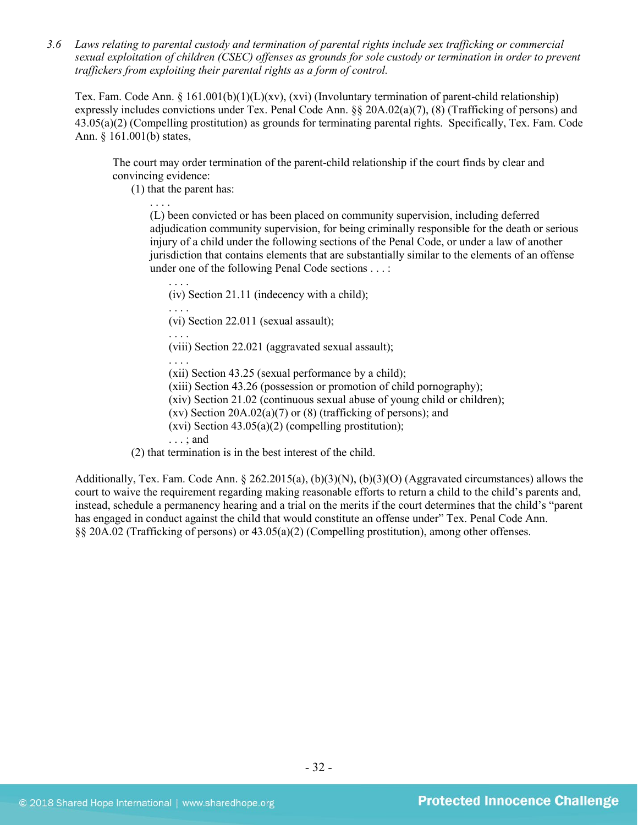*3.6 Laws relating to parental custody and termination of parental rights include sex trafficking or commercial sexual exploitation of children (CSEC) offenses as grounds for sole custody or termination in order to prevent traffickers from exploiting their parental rights as a form of control.* 

Tex. Fam. Code Ann. § 161.001(b)(1)(L)(xv), (xvi) (Involuntary termination of parent-child relationship) expressly includes convictions under Tex. Penal Code Ann. §§ 20A.02(a)(7), (8) (Trafficking of persons) and 43.05(a)(2) (Compelling prostitution) as grounds for terminating parental rights. Specifically, Tex. Fam. Code Ann. § 161.001(b) states,

The court may order termination of the parent-child relationship if the court finds by clear and convincing evidence:

(1) that the parent has:

. . . .

(L) been convicted or has been placed on community supervision, including deferred adjudication community supervision, for being criminally responsible for the death or serious injury of a child under the following sections of the Penal Code, or under a law of another jurisdiction that contains elements that are substantially similar to the elements of an offense under one of the following Penal Code sections . . . :

(iv) Section 21.11 (indecency with a child);

. . . . (vi) Section 22.011 (sexual assault);

. . . .

. . . .

(viii) Section 22.021 (aggravated sexual assault);

. . . .

(xii) Section 43.25 (sexual performance by a child);

(xiii) Section 43.26 (possession or promotion of child pornography);

(xiv) Section 21.02 (continuous sexual abuse of young child or children);

(xv) Section  $20A.02(a)(7)$  or  $(8)$  (trafficking of persons); and

 $(xvi)$  Section 43.05(a)(2) (compelling prostitution);

. . . ; and

(2) that termination is in the best interest of the child.

Additionally, Tex. Fam. Code Ann. § 262.2015(a), (b)(3)(N), (b)(3)(O) (Aggravated circumstances) allows the court to waive the requirement regarding making reasonable efforts to return a child to the child's parents and, instead, schedule a permanency hearing and a trial on the merits if the court determines that the child's "parent has engaged in conduct against the child that would constitute an offense under" Tex. Penal Code Ann. §§ 20A.02 (Trafficking of persons) or 43.05(a)(2) (Compelling prostitution), among other offenses.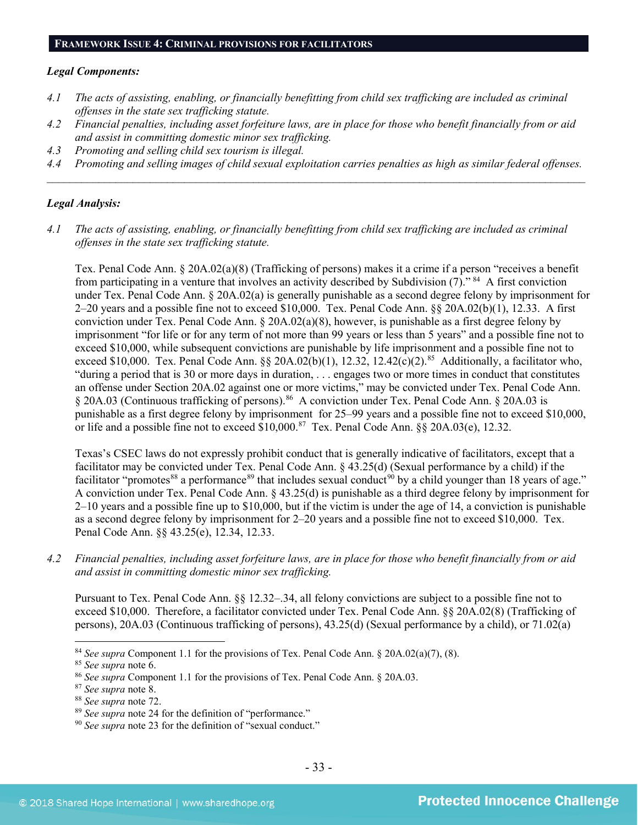#### **FRAMEWORK ISSUE 4: CRIMINAL PROVISIONS FOR FACILITATORS**

#### *Legal Components:*

- *4.1 The acts of assisting, enabling, or financially benefitting from child sex trafficking are included as criminal offenses in the state sex trafficking statute.*
- *4.2 Financial penalties, including asset forfeiture laws, are in place for those who benefit financially from or aid and assist in committing domestic minor sex trafficking.*
- *4.3 Promoting and selling child sex tourism is illegal.*
- *4.4 Promoting and selling images of child sexual exploitation carries penalties as high as similar federal offenses.*  $\mathcal{L}_\mathcal{L} = \mathcal{L}_\mathcal{L} = \mathcal{L}_\mathcal{L} = \mathcal{L}_\mathcal{L} = \mathcal{L}_\mathcal{L} = \mathcal{L}_\mathcal{L} = \mathcal{L}_\mathcal{L} = \mathcal{L}_\mathcal{L} = \mathcal{L}_\mathcal{L} = \mathcal{L}_\mathcal{L} = \mathcal{L}_\mathcal{L} = \mathcal{L}_\mathcal{L} = \mathcal{L}_\mathcal{L} = \mathcal{L}_\mathcal{L} = \mathcal{L}_\mathcal{L} = \mathcal{L}_\mathcal{L} = \mathcal{L}_\mathcal{L}$

#### *Legal Analysis:*

*4.1 The acts of assisting, enabling, or financially benefitting from child sex trafficking are included as criminal offenses in the state sex trafficking statute.*

Tex. Penal Code Ann. § 20A.02(a)(8) (Trafficking of persons) makes it a crime if a person "receives a benefit from participating in a venture that involves an activity described by Subdivision  $(7)$ ." <sup>84</sup> A first conviction under Tex. Penal Code Ann. § 20A.02(a) is generally punishable as a second degree felony by imprisonment for 2–20 years and a possible fine not to exceed \$10,000. Tex. Penal Code Ann. §§ 20A.02(b)(1), 12.33. A first conviction under Tex. Penal Code Ann. § 20A.02(a)(8), however, is punishable as a first degree felony by imprisonment "for life or for any term of not more than 99 years or less than 5 years" and a possible fine not to exceed \$10,000, while subsequent convictions are punishable by life imprisonment and a possible fine not to exceed \$10,000. Tex. Penal Code Ann. §§ 20A.02(b)(1), 12.32, 12.42(c)(2).<sup>85</sup> Additionally, a facilitator who, "during a period that is 30 or more days in duration, . . . engages two or more times in conduct that constitutes an offense under Section 20A.02 against one or more victims," may be convicted under Tex. Penal Code Ann. § 20A.03 (Continuous trafficking of persons).<sup>86</sup> A conviction under Tex. Penal Code Ann. § 20A.03 is punishable as a first degree felony by imprisonment for 25–99 years and a possible fine not to exceed \$10,000, or life and a possible fine not to exceed  $$10,000$ .<sup>87</sup> Tex. Penal Code Ann. §§ 20A.03(e), 12.32.

Texas's CSEC laws do not expressly prohibit conduct that is generally indicative of facilitators, except that a facilitator may be convicted under Tex. Penal Code Ann. § 43.25(d) (Sexual performance by a child) if the facilitator "promotes<sup>[88](#page-32-4)</sup> a performance<sup>[89](#page-32-5)</sup> that includes sexual conduct<sup>[90](#page-32-6)</sup> by a child younger than 18 years of age." A conviction under Tex. Penal Code Ann. § 43.25(d) is punishable as a third degree felony by imprisonment for 2–10 years and a possible fine up to \$10,000, but if the victim is under the age of 14, a conviction is punishable as a second degree felony by imprisonment for 2–20 years and a possible fine not to exceed \$10,000. Tex. Penal Code Ann. §§ 43.25(e), 12.34, 12.33.

*4.2 Financial penalties, including asset forfeiture laws, are in place for those who benefit financially from or aid and assist in committing domestic minor sex trafficking.*

Pursuant to Tex. Penal Code Ann. §§ 12.32–.34, all felony convictions are subject to a possible fine not to exceed \$10,000. Therefore, a facilitator convicted under Tex. Penal Code Ann. §§ 20A.02(8) (Trafficking of persons), 20A.03 (Continuous trafficking of persons), 43.25(d) (Sexual performance by a child), or 71.02(a)

<span id="page-32-0"></span><sup>&</sup>lt;sup>84</sup> *See supra* Component 1.1 for the provisions of Tex. Penal Code Ann. § 20A.02(a)(7), (8). <sup>85</sup> *See supra* note 6.

<span id="page-32-1"></span>

<span id="page-32-2"></span><sup>&</sup>lt;sup>86</sup> *See supra* Component 1.1 for the provisions of Tex. Penal Code Ann. § 20A.03. <sup>87</sup> *See supra* note 8.

<span id="page-32-3"></span>

<span id="page-32-5"></span><span id="page-32-4"></span><sup>&</sup>lt;sup>88</sup> *See supra* note 72.<br><sup>89</sup> *See supra* note 24 for the definition of "performance." <br><sup>90</sup> *See supra* note [23](#page-8-2) for the definition of "sexual conduct."

<span id="page-32-6"></span>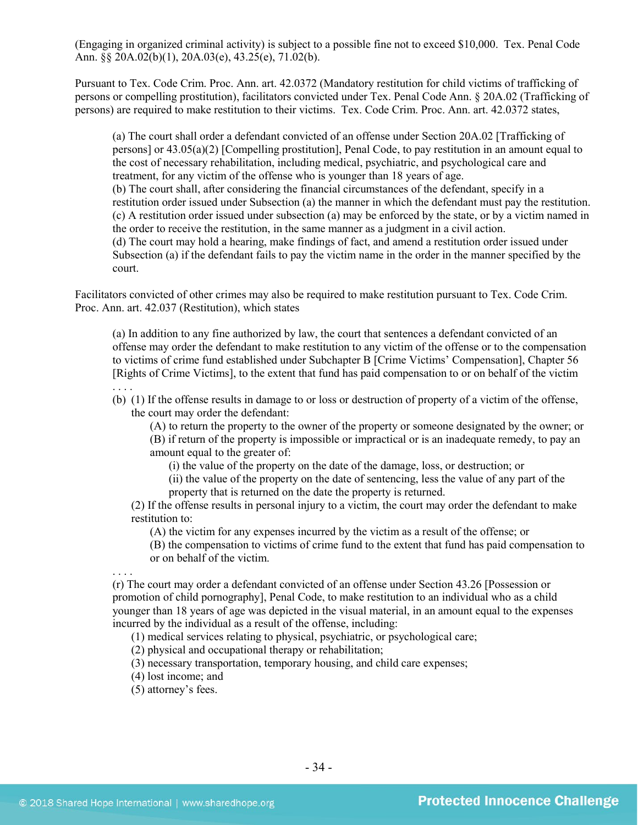(Engaging in organized criminal activity) is subject to a possible fine not to exceed \$10,000. Tex. Penal Code Ann. §§ 20A.02(b)(1), 20A.03(e), 43.25(e), 71.02(b).

Pursuant to Tex. Code Crim. Proc. Ann. art. 42.0372 (Mandatory restitution for child victims of trafficking of persons or compelling prostitution), facilitators convicted under Tex. Penal Code Ann. § 20A.02 (Trafficking of persons) are required to make restitution to their victims. Tex. Code Crim. Proc. Ann. art. 42.0372 states,

(a) The court shall order a defendant convicted of an offense under Section 20A.02 [Trafficking of persons] or 43.05(a)(2) [Compelling prostitution], Penal Code, to pay restitution in an amount equal to the cost of necessary rehabilitation, including medical, psychiatric, and psychological care and treatment, for any victim of the offense who is younger than 18 years of age. (b) The court shall, after considering the financial circumstances of the defendant, specify in a restitution order issued under Subsection (a) the manner in which the defendant must pay the restitution. (c) A restitution order issued under subsection (a) may be enforced by the state, or by a victim named in the order to receive the restitution, in the same manner as a judgment in a civil action.

(d) The court may hold a hearing, make findings of fact, and amend a restitution order issued under Subsection (a) if the defendant fails to pay the victim name in the order in the manner specified by the court.

Facilitators convicted of other crimes may also be required to make restitution pursuant to Tex. Code Crim. Proc. Ann. art. 42.037 (Restitution), which states

(a) In addition to any fine authorized by law, the court that sentences a defendant convicted of an offense may order the defendant to make restitution to any victim of the offense or to the compensation to victims of crime fund established under Subchapter B [Crime Victims' Compensation], Chapter 56 [Rights of Crime Victims], to the extent that fund has paid compensation to or on behalf of the victim . . . .

(b) (1) If the offense results in damage to or loss or destruction of property of a victim of the offense, the court may order the defendant:

(A) to return the property to the owner of the property or someone designated by the owner; or

(B) if return of the property is impossible or impractical or is an inadequate remedy, to pay an amount equal to the greater of:

(i) the value of the property on the date of the damage, loss, or destruction; or

(ii) the value of the property on the date of sentencing, less the value of any part of the property that is returned on the date the property is returned.

(2) If the offense results in personal injury to a victim, the court may order the defendant to make restitution to:

(A) the victim for any expenses incurred by the victim as a result of the offense; or

(B) the compensation to victims of crime fund to the extent that fund has paid compensation to or on behalf of the victim.

. . . .

(r) The court may order a defendant convicted of an offense under Section 43.26 [Possession or promotion of child pornography], Penal Code, to make restitution to an individual who as a child younger than 18 years of age was depicted in the visual material, in an amount equal to the expenses incurred by the individual as a result of the offense, including:

(1) medical services relating to physical, psychiatric, or psychological care;

(2) physical and occupational therapy or rehabilitation;

(3) necessary transportation, temporary housing, and child care expenses;

(4) lost income; and

(5) attorney's fees.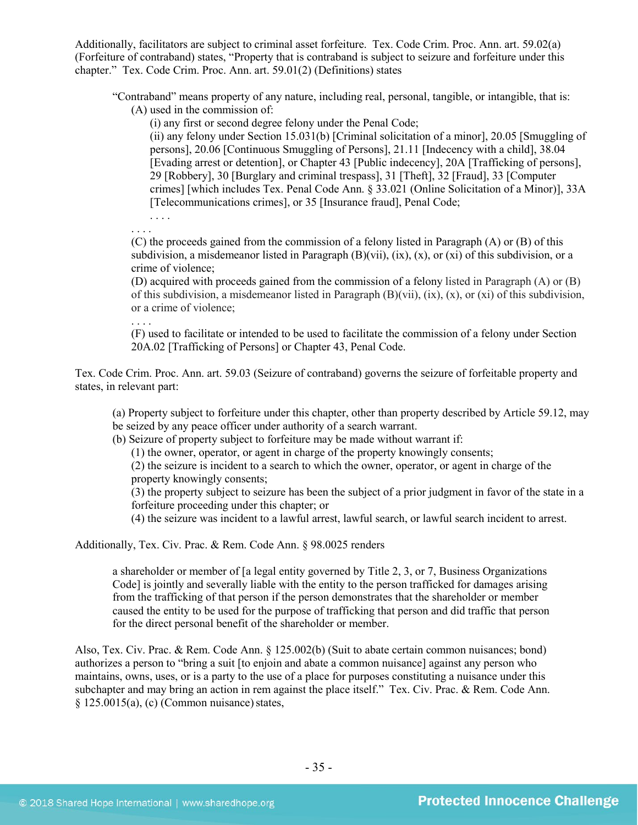Additionally, facilitators are subject to criminal asset forfeiture. Tex. Code Crim. Proc. Ann. art. 59.02(a) (Forfeiture of contraband) states, "Property that is contraband is subject to seizure and forfeiture under this chapter." Tex. Code Crim. Proc. Ann. art. 59.01(2) (Definitions) states

"Contraband" means property of any nature, including real, personal, tangible, or intangible, that is:

(A) used in the commission of:

(i) any first or second degree felony under the Penal Code;

(ii) any felony under Section 15.031(b) [Criminal solicitation of a minor], 20.05 [Smuggling of persons], 20.06 [Continuous Smuggling of Persons], 21.11 [Indecency with a child], 38.04 [Evading arrest or detention], or Chapter 43 [Public indecency], 20A [Trafficking of persons], 29 [Robbery], 30 [Burglary and criminal trespass], 31 [Theft], 32 [Fraud], 33 [Computer crimes] [which includes Tex. Penal Code Ann. § 33.021 (Online Solicitation of a Minor)], 33A [Telecommunications crimes], or 35 [Insurance fraud], Penal Code;

. . . . . . . .

(C) the proceeds gained from the commission of a felony listed in Paragraph (A) or (B) of this subdivision, a misdemeanor listed in Paragraph  $(B)(vii)$ ,  $(ix)$ ,  $(x)$ , or  $(xi)$  of this subdivision, or a crime of violence;

(D) acquired with proceeds gained from the commission of a felony listed in Paragraph (A) or (B) of this subdivision, a misdemeanor listed in Paragraph  $(B)(vii)$ ,  $(ix)$ ,  $(x)$ , or  $(xi)$  of this subdivision, or a crime of violence;

. . . .

(F) used to facilitate or intended to be used to facilitate the commission of a felony under Section 20A.02 [Trafficking of Persons] or Chapter 43, Penal Code.

Tex. Code Crim. Proc. Ann. art. 59.03 (Seizure of contraband) governs the seizure of forfeitable property and states, in relevant part:

(a) Property subject to forfeiture under this chapter, other than property described by Article 59.12, may be seized by any peace officer under authority of a search warrant.

(b) Seizure of property subject to forfeiture may be made without warrant if:

(1) the owner, operator, or agent in charge of the property knowingly consents;

(2) the seizure is incident to a search to which the owner, operator, or agent in charge of the property knowingly consents;

(3) the property subject to seizure has been the subject of a prior judgment in favor of the state in a forfeiture proceeding under this chapter; or

(4) the seizure was incident to a lawful arrest, lawful search, or lawful search incident to arrest.

Additionally, Tex. Civ. Prac. & Rem. Code Ann. § 98.0025 renders

a shareholder or member of [a legal entity governed by Title 2, 3, or 7, Business Organizations Code] is jointly and severally liable with the entity to the person trafficked for damages arising from the trafficking of that person if the person demonstrates that the shareholder or member caused the entity to be used for the purpose of trafficking that person and did traffic that person for the direct personal benefit of the shareholder or member.

Also, Tex. Civ. Prac. & Rem. Code Ann. § 125.002(b) (Suit to abate certain common nuisances; bond) authorizes a person to "bring a suit [to enjoin and abate a common nuisance] against any person who maintains, owns, uses, or is a party to the use of a place for purposes constituting a nuisance under this subchapter and may bring an action in rem against the place itself." Tex. Civ. Prac. & Rem. Code Ann.  $§ 125.0015(a), (c) (Common nuisance) states,$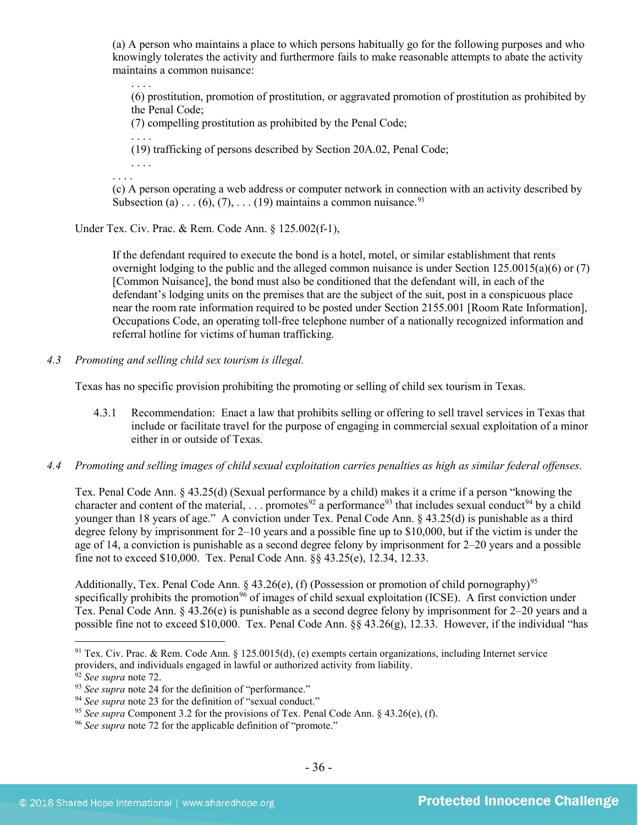(a) A person who maintains a place to which persons habitually go for the following purposes and who knowingly tolerates the activity and furthermore fails to make reasonable attempts to abate the activity maintains a common nuisance:

. . . . (6) prostitution, promotion of prostitution, or aggravated promotion of prostitution as prohibited by the Penal Code;

(7) compelling prostitution as prohibited by the Penal Code;

. . . . (19) trafficking of persons described by Section 20A.02, Penal Code;

. . . .

(c) A person operating a web address or computer network in connection with an activity described by Subsection (a) . . . (6), (7), . . . (19) maintains a common nuisance.<sup>[91](#page-35-0)</sup>

Under Tex. Civ. Prac. & Rem. Code Ann. § 125.002(f-1),

If the defendant required to execute the bond is a hotel, motel, or similar establishment that rents overnight lodging to the public and the alleged common nuisance is under Section 125.0015(a)(6) or (7) [Common Nuisance], the bond must also be conditioned that the defendant will, in each of the defendant's lodging units on the premises that are the subject of the suit, post in a conspicuous place near the room rate information required to be posted under Section 2155.001 [Room Rate Information], Occupations Code, an operating toll-free telephone number of a nationally recognized information and referral hotline for victims of human trafficking.

*4.3 Promoting and selling child sex tourism is illegal.*

Texas has no specific provision prohibiting the promoting or selling of child sex tourism in Texas.

- 4.3.1 Recommendation: Enact a law that prohibits selling or offering to sell travel services in Texas that include or facilitate travel for the purpose of engaging in commercial sexual exploitation of a minor either in or outside of Texas.
- *4.4 Promoting and selling images of child sexual exploitation carries penalties as high as similar federal offenses.*

Tex. Penal Code Ann. § 43.25(d) (Sexual performance by a child) makes it a crime if a person "knowing the character and content of the material, ... promotes<sup>92</sup> a performance<sup>[93](#page-35-2)</sup> that includes sexual conduct<sup>[94](#page-35-3)</sup> by a child younger than 18 years of age." A conviction under Tex. Penal Code Ann. § 43.25(d) is punishable as a third degree felony by imprisonment for 2–10 years and a possible fine up to \$10,000, but if the victim is under the age of 14, a conviction is punishable as a second degree felony by imprisonment for 2–20 years and a possible fine not to exceed \$10,000. Tex. Penal Code Ann. §§ 43.25(e), 12.34, 12.33.

Additionally, Tex. Penal Code Ann. § 43.26(e), (f) (Possession or promotion of child pornography)<sup>[95](#page-35-4)</sup> specifically prohibits the promotion<sup>[96](#page-35-5)</sup> of images of child sexual exploitation (ICSE). A first conviction under Tex. Penal Code Ann. § 43.26(e) is punishable as a second degree felony by imprisonment for 2–20 years and a possible fine not to exceed \$10,000. Tex. Penal Code Ann. §§ 43.26(g), 12.33. However, if the individual "has

<span id="page-35-0"></span><sup>&</sup>lt;sup>91</sup> Tex. Civ. Prac. & Rem. Code Ann. § 125.0015(d), (e) exempts certain organizations, including Internet service providers, and individuals engaged in lawful or authorized activity from liability.<br><sup>92</sup> See supra note 72.

<span id="page-35-3"></span><span id="page-35-2"></span><span id="page-35-1"></span><sup>&</sup>lt;sup>93</sup> See supra note 24 for the definition of "performance."<br><sup>94</sup> See supra note 23 for the definition of "sexual conduct."<br><sup>95</sup> See supra Component 3.2 for the provisions of Tex. Penal Code Ann. § 43.26(e), (f).

<span id="page-35-5"></span><span id="page-35-4"></span><sup>96</sup> *See supra* note [72](#page-25-6) for the applicable definition of "promote."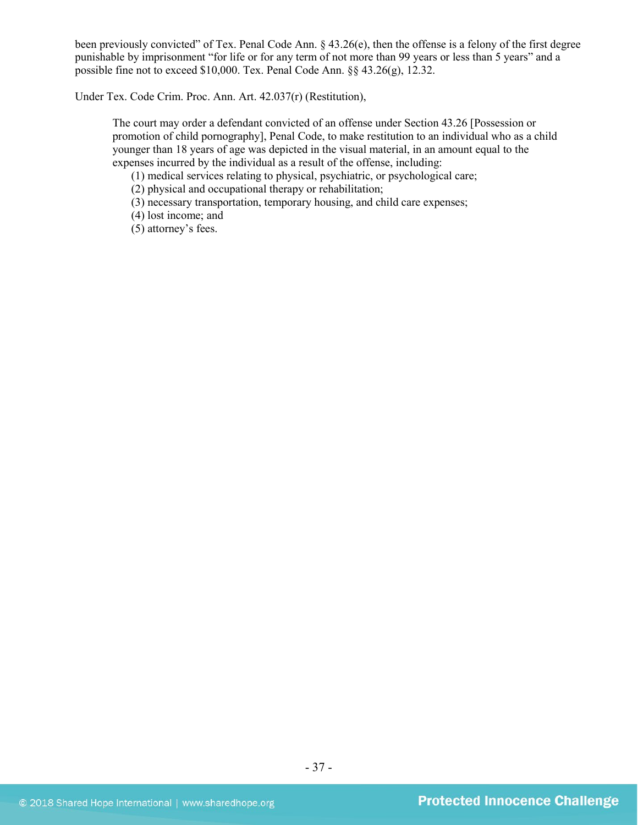been previously convicted" of Tex. Penal Code Ann. § 43.26(e), then the offense is a felony of the first degree punishable by imprisonment "for life or for any term of not more than 99 years or less than 5 years" and a possible fine not to exceed \$10,000. Tex. Penal Code Ann. §§ 43.26(g), 12.32.

Under Tex. Code Crim. Proc. Ann. Art. 42.037(r) (Restitution),

The court may order a defendant convicted of an offense under Section 43.26 [Possession or promotion of child pornography], Penal Code, to make restitution to an individual who as a child younger than 18 years of age was depicted in the visual material, in an amount equal to the expenses incurred by the individual as a result of the offense, including:

(1) medical services relating to physical, psychiatric, or psychological care;

(2) physical and occupational therapy or rehabilitation;

(3) necessary transportation, temporary housing, and child care expenses;

(4) lost income; and

(5) attorney's fees.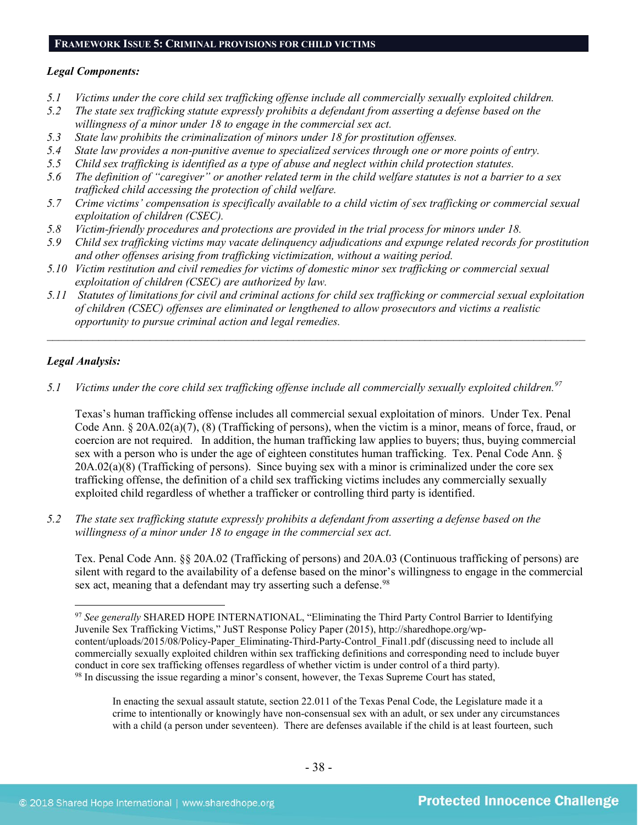#### **FRAMEWORK ISSUE 5: CRIMINAL PROVISIONS FOR CHILD VICTIMS**

#### *Legal Components:*

- *5.1 Victims under the core child sex trafficking offense include all commercially sexually exploited children.*
- *5.2 The state sex trafficking statute expressly prohibits a defendant from asserting a defense based on the willingness of a minor under 18 to engage in the commercial sex act.*
- *5.3 State law prohibits the criminalization of minors under 18 for prostitution offenses.*
- *5.4 State law provides a non-punitive avenue to specialized services through one or more points of entry.*
- *5.5 Child sex trafficking is identified as a type of abuse and neglect within child protection statutes.*
- *5.6 The definition of "caregiver" or another related term in the child welfare statutes is not a barrier to a sex trafficked child accessing the protection of child welfare.*
- *5.7 Crime victims' compensation is specifically available to a child victim of sex trafficking or commercial sexual exploitation of children (CSEC).*
- *5.8 Victim-friendly procedures and protections are provided in the trial process for minors under 18.*
- *5.9 Child sex trafficking victims may vacate delinquency adjudications and expunge related records for prostitution and other offenses arising from trafficking victimization, without a waiting period.*
- *5.10 Victim restitution and civil remedies for victims of domestic minor sex trafficking or commercial sexual exploitation of children (CSEC) are authorized by law.*
- *5.11 Statutes of limitations for civil and criminal actions for child sex trafficking or commercial sexual exploitation of children (CSEC) offenses are eliminated or lengthened to allow prosecutors and victims a realistic opportunity to pursue criminal action and legal remedies.*

 $\mathcal{L}_\mathcal{L} = \mathcal{L}_\mathcal{L} = \mathcal{L}_\mathcal{L} = \mathcal{L}_\mathcal{L} = \mathcal{L}_\mathcal{L} = \mathcal{L}_\mathcal{L} = \mathcal{L}_\mathcal{L} = \mathcal{L}_\mathcal{L} = \mathcal{L}_\mathcal{L} = \mathcal{L}_\mathcal{L} = \mathcal{L}_\mathcal{L} = \mathcal{L}_\mathcal{L} = \mathcal{L}_\mathcal{L} = \mathcal{L}_\mathcal{L} = \mathcal{L}_\mathcal{L} = \mathcal{L}_\mathcal{L} = \mathcal{L}_\mathcal{L}$ 

## *Legal Analysis:*

*5.1 Victims under the core child sex trafficking offense include all commercially sexually exploited children. [97](#page-37-0)* 

Texas's human trafficking offense includes all commercial sexual exploitation of minors. Under Tex. Penal Code Ann. § 20A.02(a)(7), (8) (Trafficking of persons), when the victim is a minor, means of force, fraud, or coercion are not required. In addition, the human trafficking law applies to buyers; thus, buying commercial sex with a person who is under the age of eighteen constitutes human trafficking. Tex. Penal Code Ann. § 20A.02(a)(8) (Trafficking of persons). Since buying sex with a minor is criminalized under the core sex trafficking offense, the definition of a child sex trafficking victims includes any commercially sexually exploited child regardless of whether a trafficker or controlling third party is identified.

*5.2 The state sex trafficking statute expressly prohibits a defendant from asserting a defense based on the willingness of a minor under 18 to engage in the commercial sex act.*

Tex. Penal Code Ann. §§ 20A.02 (Trafficking of persons) and 20A.03 (Continuous trafficking of persons) are silent with regard to the availability of a defense based on the minor's willingness to engage in the commercial sex act, meaning that a defendant may try asserting such a defense.<sup>[98](#page-37-1)</sup>

<span id="page-37-1"></span><span id="page-37-0"></span><sup>&</sup>lt;sup>97</sup> See generally SHARED HOPE INTERNATIONAL, "Eliminating the Third Party Control Barrier to Identifying Juvenile Sex Trafficking Victims," JuST Response Policy Paper (2015), http://sharedhope.org/wpcontent/uploads/2015/08/Policy-Paper\_Eliminating-Third-Party-Control\_Final1.pdf (discussing need to include all commercially sexually exploited children within sex trafficking definitions and corresponding need to include buyer conduct in core sex trafficking offenses regardless of whether victim is under control of a third party). <sup>98</sup> In discussing the issue regarding a minor's consent, however, the Texas Supreme Court has stated,

In enacting the sexual assault statute, section 22.011 of the Texas Penal Code, the Legislature made it a crime to intentionally or knowingly have non-consensual sex with an adult, or sex under any circumstances with a child (a person under seventeen). There are defenses available if the child is at least fourteen, such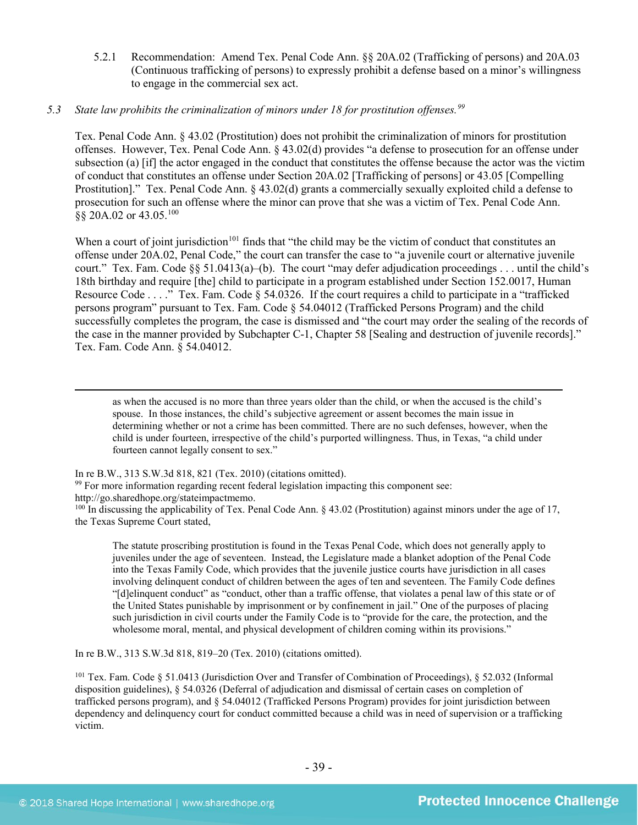5.2.1 Recommendation: Amend Tex. Penal Code Ann. §§ 20A.02 (Trafficking of persons) and 20A.03 (Continuous trafficking of persons) to expressly prohibit a defense based on a minor's willingness to engage in the commercial sex act.

#### *5.3 State law prohibits the criminalization of minors under 18 for prostitution offenses.[99](#page-38-0)*

Tex. Penal Code Ann. § 43.02 (Prostitution) does not prohibit the criminalization of minors for prostitution offenses. However, Tex. Penal Code Ann. § 43.02(d) provides "a defense to prosecution for an offense under subsection (a) [if] the actor engaged in the conduct that constitutes the offense because the actor was the victim of conduct that constitutes an offense under Section 20A.02 [Trafficking of persons] or 43.05 [Compelling Prostitution]." Tex. Penal Code Ann. § 43.02(d) grants a commercially sexually exploited child a defense to prosecution for such an offense where the minor can prove that she was a victim of Tex. Penal Code Ann. §§ 20A.02 or 43.05. [100](#page-38-1)

When a court of joint jurisdiction<sup>101</sup> finds that "the child may be the victim of conduct that constitutes an offense under 20A.02, Penal Code," the court can transfer the case to "a juvenile court or alternative juvenile court." Tex. Fam. Code §§ 51.0413(a)–(b). The court "may defer adjudication proceedings . . . until the child's 18th birthday and require [the] child to participate in a program established under Section 152.0017, Human Resource Code . . . ." Tex. Fam. Code § 54.0326. If the court requires a child to participate in a "trafficked persons program" pursuant to Tex. Fam. Code § 54.04012 (Trafficked Persons Program) and the child successfully completes the program, the case is dismissed and "the court may order the sealing of the records of the case in the manner provided by Subchapter C-1, Chapter 58 [Sealing and destruction of juvenile records]." Tex. Fam. Code Ann. § 54.04012.

 as when the accused is no more than three years older than the child, or when the accused is the child's spouse. In those instances, the child's subjective agreement or assent becomes the main issue in determining whether or not a crime has been committed. There are no such defenses, however, when the child is under fourteen, irrespective of the child's purported willingness. Thus, in Texas, "a child under fourteen cannot legally consent to sex."

In re B.W., 313 S.W.3d 818, 821 (Tex. 2010) (citations omitted).

<span id="page-38-0"></span><sup>99</sup> For more information regarding recent federal legislation impacting this component see:

http://go.sharedhope.org/stateimpactmemo.

<span id="page-38-1"></span> $100$  In discussing the applicability of Tex. Penal Code Ann. § 43.02 (Prostitution) against minors under the age of 17, the Texas Supreme Court stated,

The statute proscribing prostitution is found in the Texas Penal Code, which does not generally apply to juveniles under the age of seventeen. Instead, the Legislature made a blanket adoption of the Penal Code into the Texas Family Code, which provides that the juvenile justice courts have jurisdiction in all cases involving delinquent conduct of children between the ages of ten and seventeen. The Family Code defines "[d]elinquent conduct" as "conduct, other than a traffic offense, that violates a penal law of this state or of the United States punishable by imprisonment or by confinement in jail." One of the purposes of placing such jurisdiction in civil courts under the Family Code is to "provide for the care, the protection, and the wholesome moral, mental, and physical development of children coming within its provisions."

In re B.W., 313 S.W.3d 818, 819–20 (Tex. 2010) (citations omitted).

<span id="page-38-2"></span><sup>101</sup> Tex. Fam. Code § 51.0413 (Jurisdiction Over and Transfer of Combination of Proceedings), § 52.032 (Informal disposition guidelines), § 54.0326 (Deferral of adjudication and dismissal of certain cases on completion of trafficked persons program), and § 54.04012 (Trafficked Persons Program) provides for joint jurisdiction between dependency and delinquency court for conduct committed because a child was in need of supervision or a trafficking victim.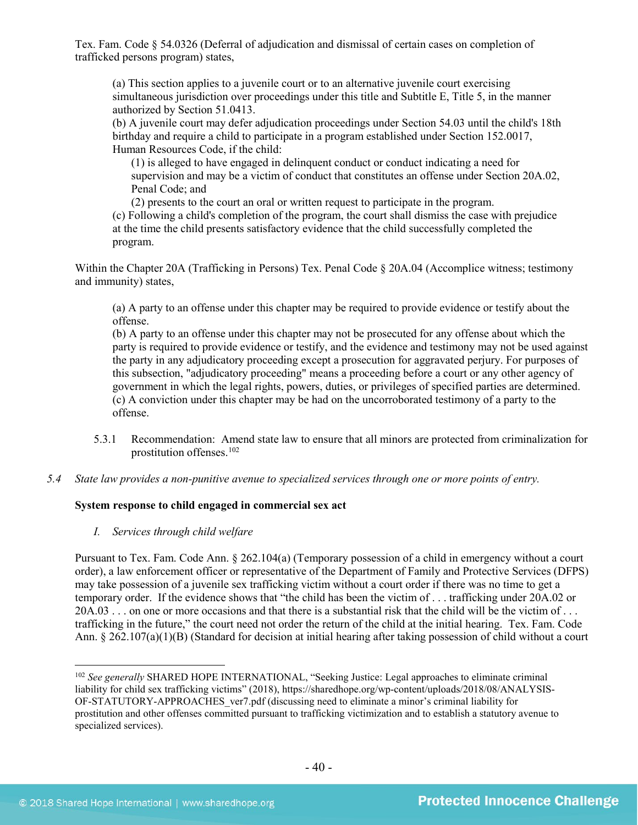Tex. Fam. Code § 54.0326 (Deferral of adjudication and dismissal of certain cases on completion of trafficked persons program) states,

(a) This section applies to a juvenile court or to an alternative juvenile court exercising simultaneous jurisdiction over proceedings under this title and Subtitle E, Title 5, in the manner authorized by Section 51.0413.

(b) A juvenile court may defer adjudication proceedings under Section 54.03 until the child's 18th birthday and require a child to participate in a program established under Section 152.0017, Human Resources Code, if the child:

(1) is alleged to have engaged in delinquent conduct or conduct indicating a need for supervision and may be a victim of conduct that constitutes an offense under Section 20A.02, Penal Code; and

(2) presents to the court an oral or written request to participate in the program. (c) Following a child's completion of the program, the court shall dismiss the case with prejudice at the time the child presents satisfactory evidence that the child successfully completed the program.

Within the Chapter 20A (Trafficking in Persons) Tex. Penal Code § 20A.04 (Accomplice witness; testimony and immunity) states,

(a) A party to an offense under this chapter may be required to provide evidence or testify about the offense.

(b) A party to an offense under this chapter may not be prosecuted for any offense about which the party is required to provide evidence or testify, and the evidence and testimony may not be used against the party in any adjudicatory proceeding except a prosecution for aggravated perjury. For purposes of this subsection, "adjudicatory proceeding" means a proceeding before a court or any other agency of government in which the legal rights, powers, duties, or privileges of specified parties are determined. (c) A conviction under this chapter may be had on the uncorroborated testimony of a party to the offense.

- 5.3.1 Recommendation: Amend state law to ensure that all minors are protected from criminalization for prostitution offenses[.102](#page-39-0)
- *5.4 State law provides a non-punitive avenue to specialized services through one or more points of entry.*

## **System response to child engaged in commercial sex act**

*I. Services through child welfare*

Pursuant to Tex. Fam. Code Ann. § 262.104(a) (Temporary possession of a child in emergency without a court order), a law enforcement officer or representative of the Department of Family and Protective Services (DFPS) may take possession of a juvenile sex trafficking victim without a court order if there was no time to get a temporary order. If the evidence shows that "the child has been the victim of . . . trafficking under 20A.02 or  $20A.03...$  on one or more occasions and that there is a substantial risk that the child will be the victim of ... trafficking in the future," the court need not order the return of the child at the initial hearing. Tex. Fam. Code Ann. § 262.107(a)(1)(B) (Standard for decision at initial hearing after taking possession of child without a court

<span id="page-39-0"></span><sup>&</sup>lt;sup>102</sup> *See generally* SHARED HOPE INTERNATIONAL, "Seeking Justice: Legal approaches to eliminate criminal liability for child sex trafficking victims" (2018), https://sharedhope.org/wp-content/uploads/2018/08/ANALYSIS-OF-STATUTORY-APPROACHES\_ver7.pdf (discussing need to eliminate a minor's criminal liability for prostitution and other offenses committed pursuant to trafficking victimization and to establish a statutory avenue to specialized services).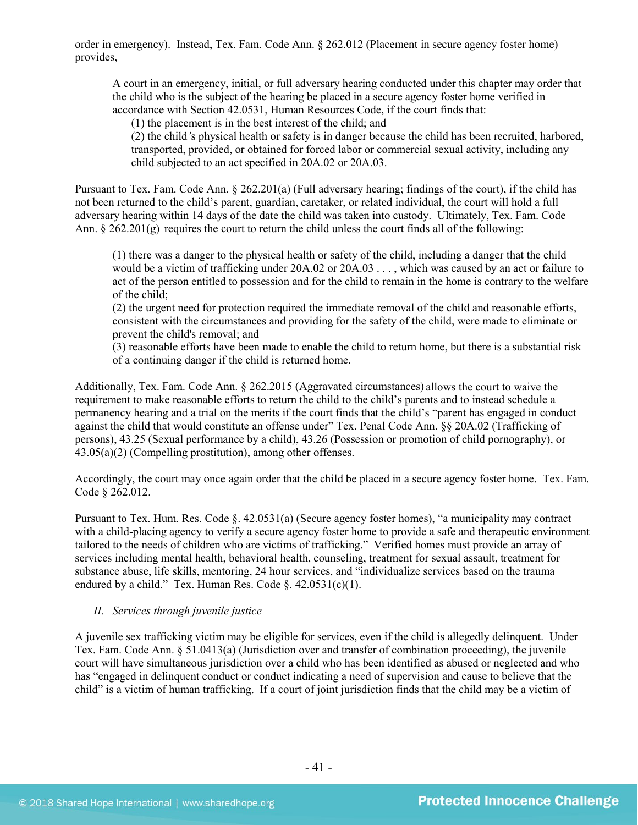order in emergency). Instead, Tex. Fam. Code Ann. § 262.012 (Placement in secure agency foster home) provides,

A court in an emergency, initial, or full adversary hearing conducted under this chapter may order that the child who is the subject of the hearing be placed in a secure agency foster home verified in accordance with Section 42.0531, Human Resources Code, if the court finds that:

(1) the placement is in the best interest of the child; and

(2) the child*'*s physical health or safety is in danger because the child has been recruited, harbored, transported, provided, or obtained for forced labor or commercial sexual activity, including any child subjected to an act specified in [20A.02](http://www.statutes.legis.state.tx.us/GetStatute.aspx?Code=PE&Value=20A.02&Date=5/24/2015) or 20A.03.

Pursuant to Tex. Fam. Code Ann. § 262.201(a) (Full adversary hearing; findings of the court), if the child has not been returned to the child's parent, guardian, caretaker, or related individual, the court will hold a full adversary hearing within 14 days of the date the child was taken into custody. Ultimately, Tex. Fam. Code Ann. § 262.201(g) requires the court to return the child unless the court finds all of the following:

(1) there was a danger to the physical health or safety of the child, including a danger that the child would be a victim of trafficking under 20A.02 or 20A.03 . . . , which was caused by an act or failure to act of the person entitled to possession and for the child to remain in the home is contrary to the welfare of the child;

(2) the urgent need for protection required the immediate removal of the child and reasonable efforts, consistent with the circumstances and providing for the safety of the child, were made to eliminate or prevent the child's removal; and

(3) reasonable efforts have been made to enable the child to return home, but there is a substantial risk of a continuing danger if the child is returned home.

Additionally, Tex. Fam. Code Ann. § 262.2015 (Aggravated circumstances) allows the court to waive the requirement to make reasonable efforts to return the child to the child's parents and to instead schedule a permanency hearing and a trial on the merits if the court finds that the child's "parent has engaged in conduct against the child that would constitute an offense under" Tex. Penal Code Ann. §§ 20A.02 (Trafficking of persons), 43.25 (Sexual performance by a child), 43.26 (Possession or promotion of child pornography), or 43.05(a)(2) (Compelling prostitution), among other offenses.

Accordingly, the court may once again order that the child be placed in a secure agency foster home. Tex. Fam. Code § 262.012.

Pursuant to Tex. Hum. Res. Code §. 42.0531(a) (Secure agency foster homes), "a municipality may contract with a child-placing agency to verify a secure agency foster home to provide a safe and therapeutic environment tailored to the needs of children who are victims of trafficking." Verified homes must provide an array of services including mental health, behavioral health, counseling, treatment for sexual assault, treatment for substance abuse, life skills, mentoring, 24 hour services, and "individualize services based on the trauma endured by a child." Tex. Human Res. Code §. 42.0531(c)(1).

#### *II. Services through juvenile justice*

A juvenile sex trafficking victim may be eligible for services, even if the child is allegedly delinquent. Under Tex. Fam. Code Ann. § 51.0413(a) (Jurisdiction over and transfer of combination proceeding), the juvenile court will have simultaneous jurisdiction over a child who has been identified as abused or neglected and who has "engaged in delinquent conduct or conduct indicating a need of supervision and cause to believe that the child" is a victim of human trafficking. If a court of joint jurisdiction finds that the child may be a victim of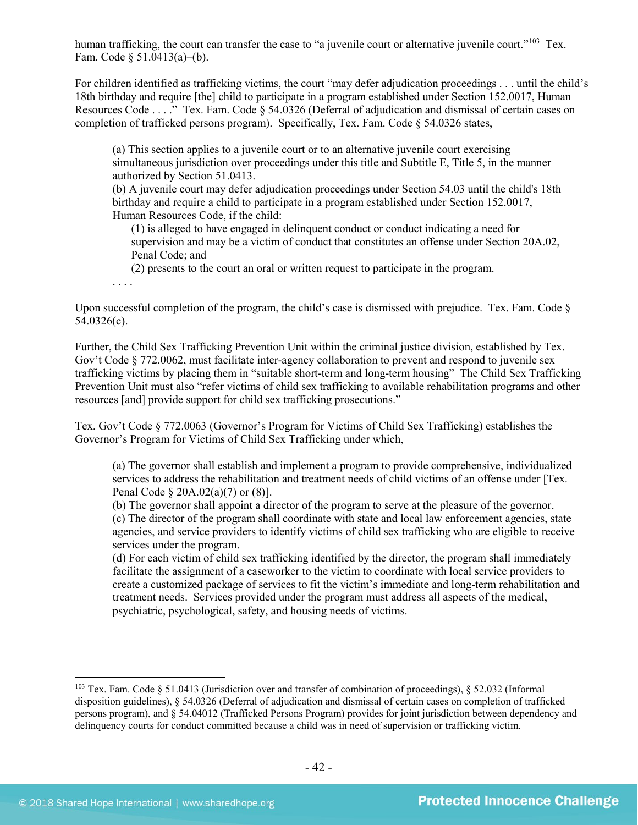human trafficking, the court can transfer the case to "a juvenile court or alternative juvenile court."<sup>[103](#page-41-0)</sup> Tex. Fam. Code § 51.0413(a)–(b).

For children identified as trafficking victims, the court "may defer adjudication proceedings . . . until the child's 18th birthday and require [the] child to participate in a program established under Section 152.0017, Human Resources Code . . . ." Tex. Fam. Code § 54.0326 (Deferral of adjudication and dismissal of certain cases on completion of trafficked persons program). Specifically, Tex. Fam. Code § 54.0326 states,

(a) This section applies to a juvenile court or to an alternative juvenile court exercising simultaneous jurisdiction over proceedings under this title and Subtitle E, Title 5, in the manner authorized by Section 51.0413.

(b) A juvenile court may defer adjudication proceedings under Section 54.03 until the child's 18th birthday and require a child to participate in a program established under Section 152.0017, Human Resources Code, if the child:

(1) is alleged to have engaged in delinquent conduct or conduct indicating a need for supervision and may be a victim of conduct that constitutes an offense under Section 20A.02, Penal Code; and

(2) presents to the court an oral or written request to participate in the program.

. . . .

Upon successful completion of the program, the child's case is dismissed with prejudice. Tex. Fam. Code  $\delta$ 54.0326(c).

Further, the Child Sex Trafficking Prevention Unit within the criminal justice division, established by Tex. Gov't Code § 772.0062, must facilitate inter-agency collaboration to prevent and respond to juvenile sex trafficking victims by placing them in "suitable short-term and long-term housing" The Child Sex Trafficking Prevention Unit must also "refer victims of child sex trafficking to available rehabilitation programs and other resources [and] provide support for child sex trafficking prosecutions."

Tex. Gov't Code § 772.0063 (Governor's Program for Victims of Child Sex Trafficking) establishes the Governor's Program for Victims of Child Sex Trafficking under which,

(a) The governor shall establish and implement a program to provide comprehensive, individualized services to address the rehabilitation and treatment needs of child victims of an offense under [Tex. Penal Code § 20A.02(a)(7) or (8)].

(b) The governor shall appoint a director of the program to serve at the pleasure of the governor. (c) The director of the program shall coordinate with state and local law enforcement agencies, state agencies, and service providers to identify victims of child sex trafficking who are eligible to receive services under the program.

(d) For each victim of child sex trafficking identified by the director, the program shall immediately facilitate the assignment of a caseworker to the victim to coordinate with local service providers to create a customized package of services to fit the victim's immediate and long-term rehabilitation and treatment needs. Services provided under the program must address all aspects of the medical, psychiatric, psychological, safety, and housing needs of victims.

<span id="page-41-0"></span> <sup>103</sup> Tex. Fam. Code § 51.0413 (Jurisdiction over and transfer of combination of proceedings), § 52.032 (Informal disposition guidelines), § 54.0326 (Deferral of adjudication and dismissal of certain cases on completion of trafficked persons program), and § 54.04012 (Trafficked Persons Program) provides for joint jurisdiction between dependency and delinquency courts for conduct committed because a child was in need of supervision or trafficking victim.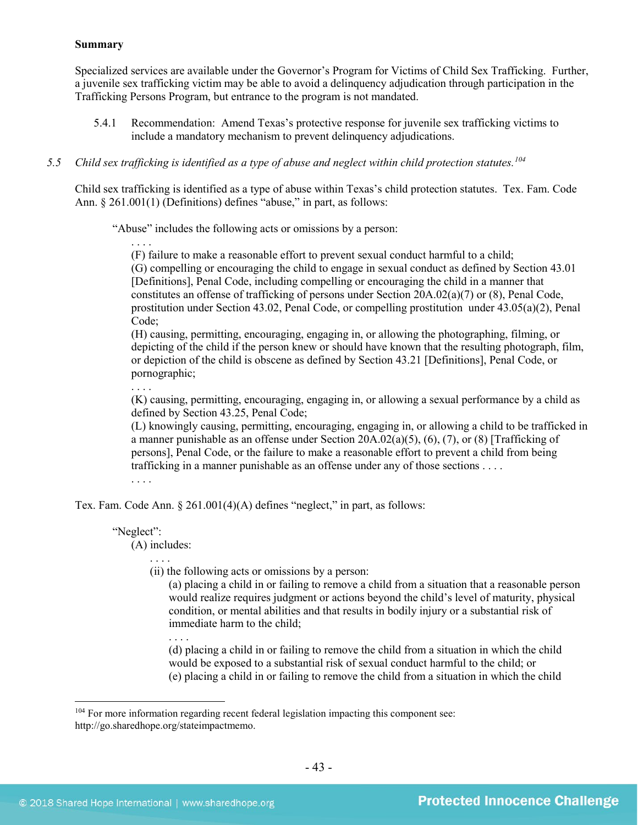#### **Summary**

Specialized services are available under the Governor's Program for Victims of Child Sex Trafficking. Further, a juvenile sex trafficking victim may be able to avoid a delinquency adjudication through participation in the Trafficking Persons Program, but entrance to the program is not mandated.

5.4.1 Recommendation: Amend Texas's protective response for juvenile sex trafficking victims to include a mandatory mechanism to prevent delinquency adjudications.

## *5.5 Child sex trafficking is identified as a type of abuse and neglect within child protection statutes.[104](#page-42-0)*

Child sex trafficking is identified as a type of abuse within Texas's child protection statutes. Tex. Fam. Code Ann. § 261.001(1) (Definitions) defines "abuse," in part, as follows:

"Abuse" includes the following acts or omissions by a person:

. . . .

(F) failure to make a reasonable effort to prevent sexual conduct harmful to a child;

(G) compelling or encouraging the child to engage in sexual conduct as defined by [Section 43.01](https://www.lexis.com/research/buttonTFLink?_m=83b2ce932a1e7eac9e414c9f32828c7c&_xfercite=%3ccite%20cc%3d%22USA%22%3e%3c%21%5bCDATA%5bTex.%20Fam.%20Code%20%a7%20261.001%5d%5d%3e%3c%2fcite%3e&_butType=4&_butStat=0&_butNum=6&_butInline=1&_butinfo=TX%20PEN%2043.01&_fmtstr=FULL&docnum=1&_startdoc=1&wchp=dGLzVlz-zSkAA&_md5=778cc6ae4cf2b3ddb079250489f65ae2)  [\[Definitions\], Penal Code,](https://www.lexis.com/research/buttonTFLink?_m=83b2ce932a1e7eac9e414c9f32828c7c&_xfercite=%3ccite%20cc%3d%22USA%22%3e%3c%21%5bCDATA%5bTex.%20Fam.%20Code%20%a7%20261.001%5d%5d%3e%3c%2fcite%3e&_butType=4&_butStat=0&_butNum=6&_butInline=1&_butinfo=TX%20PEN%2043.01&_fmtstr=FULL&docnum=1&_startdoc=1&wchp=dGLzVlz-zSkAA&_md5=778cc6ae4cf2b3ddb079250489f65ae2) including compelling or encouraging the child in a manner that constitutes an offense of trafficking of persons under Section 20A.02(a)(7) or (8), Penal Code, prostitution under Section 43.02, Penal Code, or compelling prostitution under 43.05(a)(2), Penal Code;

(H) causing, permitting, encouraging, engaging in, or allowing the photographing, filming, or depicting of the child if the person knew or should have known that the resulting photograph, film, or depiction of the child is obscene as defined by Section 43.21 [Definitions], Penal Code, or pornographic;

. . . .

(K) causing, permitting, encouraging, engaging in, or allowing a sexual performance by a child as defined by Section 43.25, Penal Code;

(L) knowingly causing, permitting, encouraging, engaging in, or allowing a child to be trafficked in a manner punishable as an offense under Section  $20A.02(a)(5)$ ,  $(6)$ ,  $(7)$ , or  $(8)$  [Trafficking of persons], Penal Code, or the failure to make a reasonable effort to prevent a child from being trafficking in a manner punishable as an offense under any of those sections . . . .

. . . .

Tex. Fam. Code Ann. § 261.001(4)(A) defines "neglect," in part, as follows:

#### "Neglect":

(A) includes:

(ii) the following acts or omissions by a person:

(a) placing a child in or failing to remove a child from a situation that a reasonable person would realize requires judgment or actions beyond the child's level of maturity, physical condition, or mental abilities and that results in bodily injury or a substantial risk of immediate harm to the child;

. . . .

(d) placing a child in or failing to remove the child from a situation in which the child would be exposed to a substantial risk of sexual conduct harmful to the child; or (e) placing a child in or failing to remove the child from a situation in which the child

<span id="page-42-0"></span><sup>&</sup>lt;sup>104</sup> For more information regarding recent federal legislation impacting this component see: http://go.sharedhope.org/stateimpactmemo.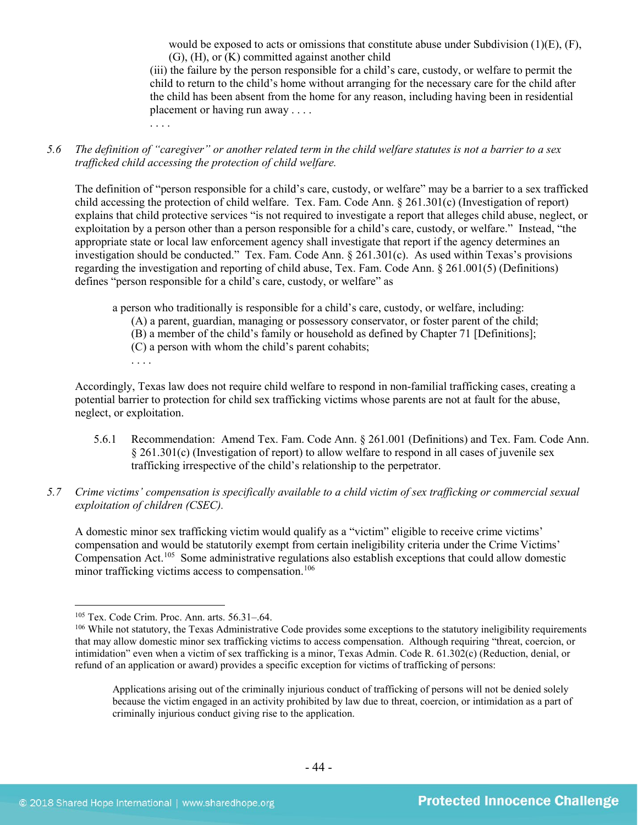would be exposed to acts or omissions that constitute abuse under Subdivision  $(1)(E)$ ,  $(F)$ , (G), (H), or (K) committed against another child

(iii) the failure by the person responsible for a child's care, custody, or welfare to permit the child to return to the child's home without arranging for the necessary care for the child after the child has been absent from the home for any reason, including having been in residential placement or having run away . . . .

*5.6 The definition of "caregiver" or another related term in the child welfare statutes is not a barrier to a sex trafficked child accessing the protection of child welfare.*

The definition of "person responsible for a child's care, custody, or welfare" may be a barrier to a sex trafficked child accessing the protection of child welfare. Tex. Fam. Code Ann. § 261.301(c) (Investigation of report) explains that child protective services "is not required to investigate a report that alleges child abuse, neglect, or exploitation by a person other than a person responsible for a child's care, custody, or welfare." Instead, "the appropriate state or local law enforcement agency shall investigate that report if the agency determines an investigation should be conducted." Tex. Fam. Code Ann.  $\S$  261.301(c). As used within Texas's provisions regarding the investigation and reporting of child abuse, Tex. Fam. Code Ann. § 261.001(5) (Definitions) defines "person responsible for a child's care, custody, or welfare" as

a person who traditionally is responsible for a child's care, custody, or welfare, including:

- (A) a parent, guardian, managing or possessory conservator, or foster parent of the child;
- (B) a member of the child's family or household as defined by Chapter 71 [Definitions];
- (C) a person with whom the child's parent cohabits;
- 

Accordingly, Texas law does not require child welfare to respond in non-familial trafficking cases, creating a potential barrier to protection for child sex trafficking victims whose parents are not at fault for the abuse, neglect, or exploitation.

- 5.6.1 Recommendation: Amend Tex. Fam. Code Ann. § 261.001 (Definitions) and Tex. Fam. Code Ann. § 261.301(c) (Investigation of report) to allow welfare to respond in all cases of juvenile sex trafficking irrespective of the child's relationship to the perpetrator.
- *5.7 Crime victims' compensation is specifically available to a child victim of sex trafficking or commercial sexual exploitation of children (CSEC).*

A domestic minor sex trafficking victim would qualify as a "victim" eligible to receive crime victims' compensation and would be statutorily exempt from certain ineligibility criteria under the Crime Victims' Compensation Act. [105](#page-43-0) Some administrative regulations also establish exceptions that could allow domestic minor trafficking victims access to compensation. [106](#page-43-1)

<span id="page-43-1"></span><span id="page-43-0"></span><sup>&</sup>lt;sup>105</sup> Tex. Code Crim. Proc. Ann. arts. 56.31–.64. 106 Provides some exceptions to the statutory ineligibility requirements  $106$  While not statutory, the Texas Administrative Code provides some exceptions to the statutory that may allow domestic minor sex trafficking victims to access compensation. Although requiring "threat, coercion, or intimidation" even when a victim of sex trafficking is a minor, Texas Admin. Code R. 61.302(c) (Reduction, denial, or refund of an application or award) provides a specific exception for victims of trafficking of persons:

Applications arising out of the criminally injurious conduct of trafficking of persons will not be denied solely because the victim engaged in an activity prohibited by law due to threat, coercion, or intimidation as a part of criminally injurious conduct giving rise to the application.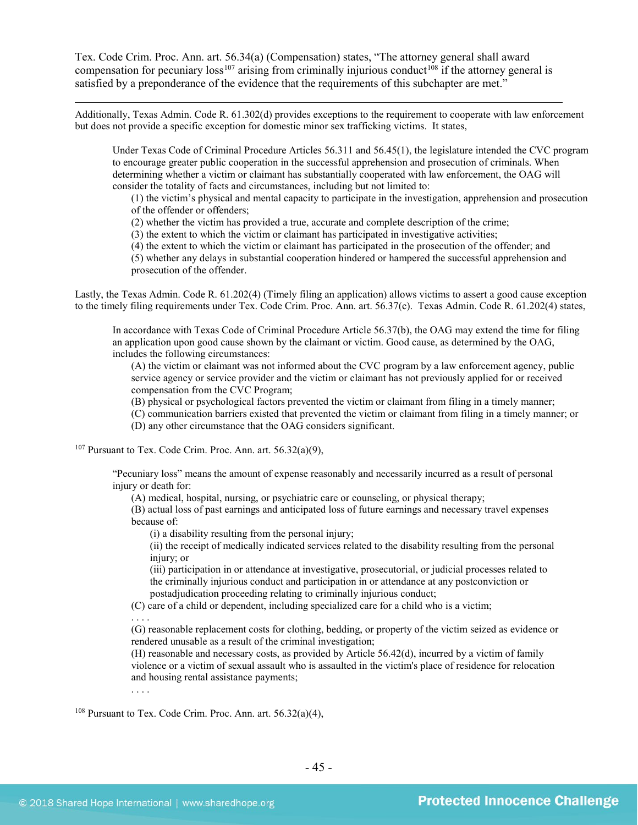Tex. Code Crim. Proc. Ann. art. 56.34(a) (Compensation) states, "The attorney general shall award compensation for pecuniary  $loss^{107}$  $loss^{107}$  $loss^{107}$  arising from criminally injurious conduct<sup>[108](#page-44-1)</sup> if the attorney general is satisfied by a preponderance of the evidence that the requirements of this subchapter are met."

Additionally, Texas Admin. Code R. 61.302(d) provides exceptions to the requirement to cooperate with law enforcement but does not provide a specific exception for domestic minor sex trafficking victims. It states,

Under Texas Code of Criminal Procedure Articles 56.311 and 56.45(1), the legislature intended the CVC program to encourage greater public cooperation in the successful apprehension and prosecution of criminals. When determining whether a victim or claimant has substantially cooperated with law enforcement, the OAG will consider the totality of facts and circumstances, including but not limited to:

(1) the victim's physical and mental capacity to participate in the investigation, apprehension and prosecution of the offender or offenders;

(2) whether the victim has provided a true, accurate and complete description of the crime;

(3) the extent to which the victim or claimant has participated in investigative activities;

(4) the extent to which the victim or claimant has participated in the prosecution of the offender; and

(5) whether any delays in substantial cooperation hindered or hampered the successful apprehension and prosecution of the offender.

Lastly, the Texas Admin. Code R. 61.202(4) (Timely filing an application) allows victims to assert a good cause exception to the timely filing requirements under Tex. Code Crim. Proc. Ann. art. 56.37(c). Texas Admin. Code R. 61.202(4) states,

In accordance with Texas Code of Criminal Procedure Article 56.37(b), the OAG may extend the time for filing an application upon good cause shown by the claimant or victim. Good cause, as determined by the OAG, includes the following circumstances:

(A) the victim or claimant was not informed about the CVC program by a law enforcement agency, public service agency or service provider and the victim or claimant has not previously applied for or received compensation from the CVC Program;

(B) physical or psychological factors prevented the victim or claimant from filing in a timely manner;

- (C) communication barriers existed that prevented the victim or claimant from filing in a timely manner; or
- (D) any other circumstance that the OAG considers significant.

<span id="page-44-0"></span><sup>107</sup> Pursuant to Tex. Code Crim. Proc. Ann. art.  $56.32(a)(9)$ ,

"Pecuniary loss" means the amount of expense reasonably and necessarily incurred as a result of personal injury or death for:

(A) medical, hospital, nursing, or psychiatric care or counseling, or physical therapy;

(B) actual loss of past earnings and anticipated loss of future earnings and necessary travel expenses because of:

(i) a disability resulting from the personal injury;

(ii) the receipt of medically indicated services related to the disability resulting from the personal injury; or

(iii) participation in or attendance at investigative, prosecutorial, or judicial processes related to the criminally injurious conduct and participation in or attendance at any postconviction or postadjudication proceeding relating to criminally injurious conduct;

(C) care of a child or dependent, including specialized care for a child who is a victim;

. . . .

. . . .

 $\overline{a}$ 

(G) reasonable replacement costs for clothing, bedding, or property of the victim seized as evidence or rendered unusable as a result of the criminal investigation;

(H) reasonable and necessary costs, as provided by Article 56.42(d), incurred by a victim of family violence or a victim of sexual assault who is assaulted in the victim's place of residence for relocation and housing rental assistance payments;

<span id="page-44-1"></span> $108$  Pursuant to Tex. Code Crim. Proc. Ann. art.  $56.32(a)(4)$ ,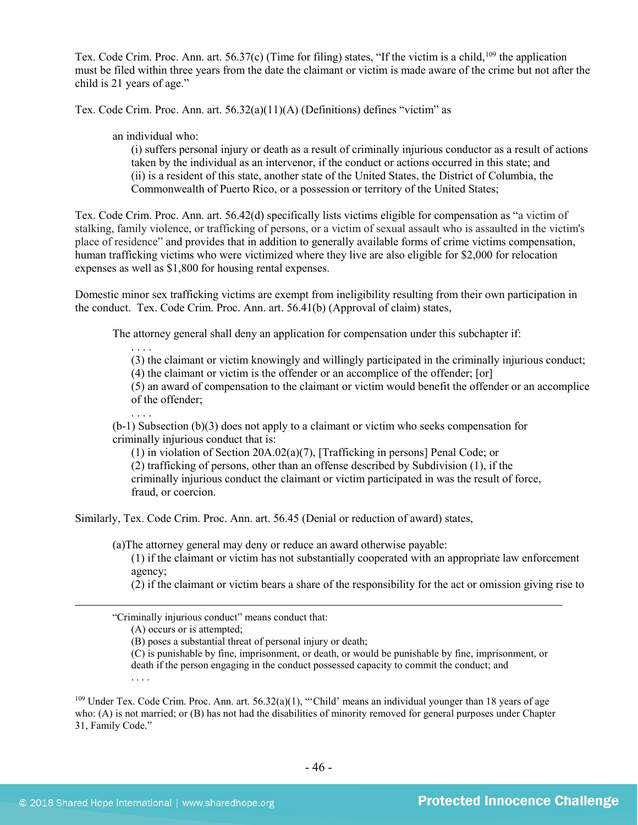Tex. Code Crim. Proc. Ann. art. 56.37(c) (Time for filing) states, "If the victim is a child,<sup>[109](#page-45-0)</sup> the application must be filed within three years from the date the claimant or victim is made aware of the crime but not after the child is 21 years of age."

Tex. Code Crim. Proc. Ann. art.  $56.32(a)(11)(A)$  (Definitions) defines "victim" as

an individual who:

(i) suffers personal injury or death as a result of criminally injurious conductor as a result of actions taken by the individual as an intervenor, if the conduct or actions occurred in this state; and (ii) is a resident of this state, another state of the United States, the District of Columbia, the Commonwealth of Puerto Rico, or a possession or territory of the United States;

Tex. Code Crim. Proc. Ann. art. 56.42(d) specifically lists victims eligible for compensation as "a victim of stalking, family violence, or trafficking of persons, or a victim of sexual assault who is assaulted in the victim's place of residence" and provides that in addition to generally available forms of crime victims compensation, human trafficking victims who were victimized where they live are also eligible for \$2,000 for relocation expenses as well as \$1,800 for housing rental expenses.

Domestic minor sex trafficking victims are exempt from ineligibility resulting from their own participation in the conduct. Tex. Code Crim. Proc. Ann. art. 56.41(b) (Approval of claim) states,

The attorney general shall deny an application for compensation under this subchapter if:

. . . . (3) the claimant or victim knowingly and willingly participated in the criminally injurious conduct;

(4) the claimant or victim is the offender or an accomplice of the offender; [or]

(5) an award of compensation to the claimant or victim would benefit the offender or an accomplice of the offender;

. . . . (b-1) Subsection (b)(3) does not apply to a claimant or victim who seeks compensation for criminally injurious conduct that is:

(1) in violation of Section 20A.02(a)(7), [Trafficking in persons] Penal Code; or (2) trafficking of persons, other than an offense described by Subdivision (1), if the criminally injurious conduct the claimant or victim participated in was the result of force, fraud, or coercion.

Similarly, Tex. Code Crim. Proc. Ann. art. 56.45 (Denial or reduction of award) states,

(a)The attorney general may deny or reduce an award otherwise payable:

(1) if the claimant or victim has not substantially cooperated with an appropriate law enforcement agency;

(2) if the claimant or victim bears a share of the responsibility for the act or omission giving rise to

(C) is punishable by fine, imprisonment, or death, or would be punishable by fine, imprisonment, or death if the person engaging in the conduct possessed capacity to commit the conduct; and . . . .

<span id="page-45-0"></span><sup>109</sup> Under Tex. Code Crim. Proc. Ann. art. 56.32(a)(1), "'Child' means an individual younger than 18 years of age who: (A) is not married; or (B) has not had the disabilities of minority removed for general purposes under Chapter 31, Family Code."

 $\overline{a}$ 

<sup>&</sup>quot;Criminally injurious conduct" means conduct that:

<sup>(</sup>A) occurs or is attempted;

<sup>(</sup>B) poses a substantial threat of personal injury or death;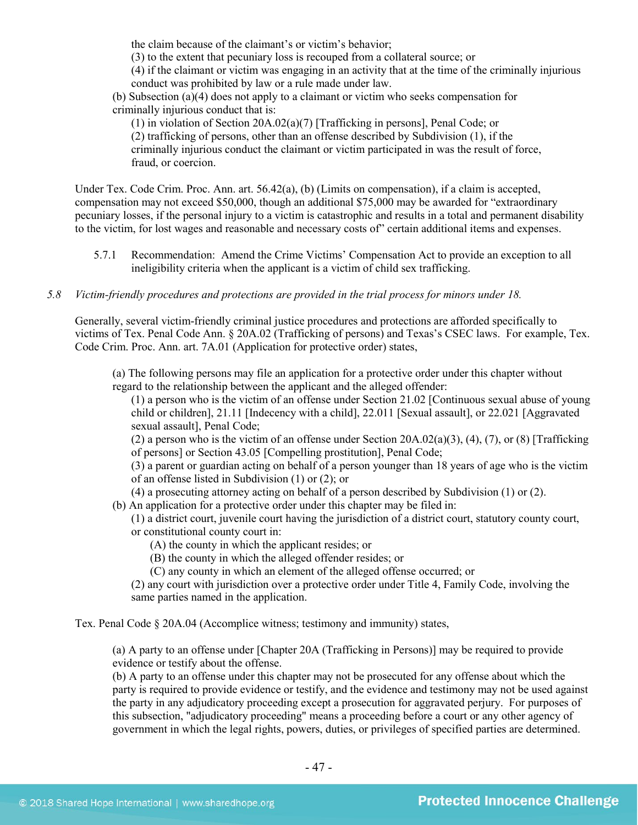the claim because of the claimant's or victim's behavior;

(3) to the extent that pecuniary loss is recouped from a collateral source; or

(4) if the claimant or victim was engaging in an activity that at the time of the criminally injurious conduct was prohibited by law or a rule made under law.

(b) Subsection (a)(4) does not apply to a claimant or victim who seeks compensation for criminally injurious conduct that is:

(1) in violation of Section 20A.02(a)(7) [Trafficking in persons], Penal Code; or (2) trafficking of persons, other than an offense described by Subdivision (1), if the criminally injurious conduct the claimant or victim participated in was the result of force, fraud, or coercion.

Under Tex. Code Crim. Proc. Ann. art. 56.42(a), (b) (Limits on compensation), if a claim is accepted, compensation may not exceed \$50,000, though an additional \$75,000 may be awarded for "extraordinary pecuniary losses, if the personal injury to a victim is catastrophic and results in a total and permanent disability to the victim, for lost wages and reasonable and necessary costs of" certain additional items and expenses.

5.7.1 Recommendation: Amend the Crime Victims' Compensation Act to provide an exception to all ineligibility criteria when the applicant is a victim of child sex trafficking.

## *5.8 Victim-friendly procedures and protections are provided in the trial process for minors under 18.*

Generally, several victim-friendly criminal justice procedures and protections are afforded specifically to victims of Tex. Penal Code Ann. § 20A.02 (Trafficking of persons) and Texas's CSEC laws. For example, Tex. Code Crim. Proc. Ann. art. 7A.01 (Application for protective order) states,

(a) The following persons may file an application for a protective order under this chapter without regard to the relationship between the applicant and the alleged offender:

(1) a person who is the victim of an offense under Section 21.02 [Continuous sexual abuse of young child or children], 21.11 [Indecency with a child], 22.011 [Sexual assault], or 22.021 [Aggravated sexual assault], Penal Code;

(2) a person who is the victim of an offense under Section  $20A.02(a)(3)$ ,  $(4)$ ,  $(7)$ , or  $(8)$  [Trafficking] of persons] or Section 43.05 [Compelling prostitution], Penal Code;

(3) a parent or guardian acting on behalf of a person younger than 18 years of age who is the victim of an offense listed in Subdivision (1) or (2); or

(4) a prosecuting attorney acting on behalf of a person described by Subdivision (1) or (2).

(b) An application for a protective order under this chapter may be filed in:

(1) a district court, juvenile court having the jurisdiction of a district court, statutory county court, or constitutional county court in:

(A) the county in which the applicant resides; or

(B) the county in which the alleged offender resides; or

(C) any county in which an element of the alleged offense occurred; or

(2) any court with jurisdiction over a protective order under Title 4, Family Code, involving the same parties named in the application.

Tex. Penal Code § 20A.04 (Accomplice witness; testimony and immunity) states,

(a) A party to an offense under [Chapter 20A (Trafficking in Persons)] may be required to provide evidence or testify about the offense.

(b) A party to an offense under this chapter may not be prosecuted for any offense about which the party is required to provide evidence or testify, and the evidence and testimony may not be used against the party in any adjudicatory proceeding except a prosecution for aggravated perjury. For purposes of this subsection, "adjudicatory proceeding" means a proceeding before a court or any other agency of government in which the legal rights, powers, duties, or privileges of specified parties are determined.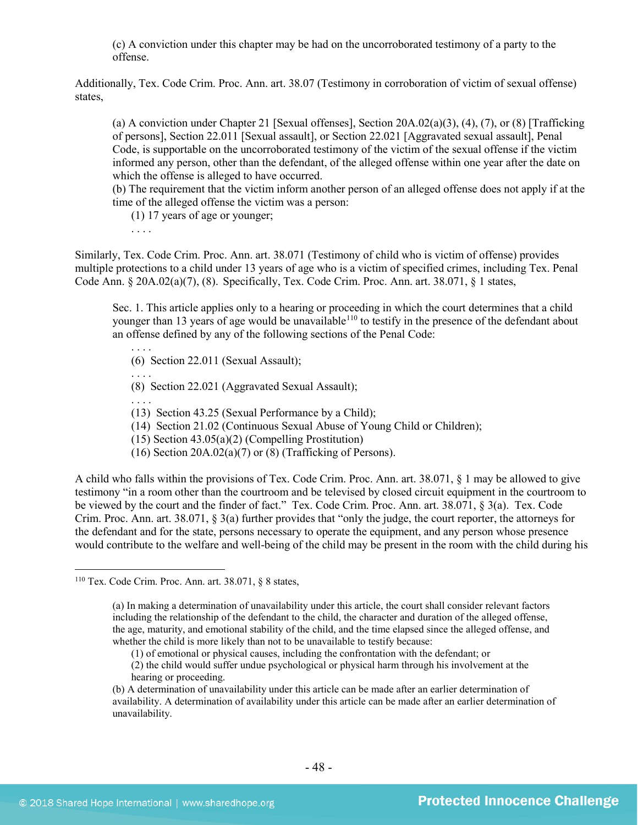(c) A conviction under this chapter may be had on the uncorroborated testimony of a party to the offense.

Additionally, Tex. Code Crim. Proc. Ann. art. 38.07 (Testimony in corroboration of victim of sexual offense) states,

(a) A conviction under Chapter 21 [Sexual offenses], Section 20A.02(a)(3), (4), (7), or (8) [Trafficking of persons], Section 22.011 [Sexual assault], or Section 22.021 [Aggravated sexual assault], Penal Code, is supportable on the uncorroborated testimony of the victim of the sexual offense if the victim informed any person, other than the defendant, of the alleged offense within one year after the date on which the offense is alleged to have occurred.

(b) The requirement that the victim inform another person of an alleged offense does not apply if at the time of the alleged offense the victim was a person:

(1) 17 years of age or younger;

. . . .

. . . .

. . . .

Similarly, Tex. Code Crim. Proc. Ann. art. 38.071 (Testimony of child who is victim of offense) provides multiple protections to a child under 13 years of age who is a victim of specified crimes, including Tex. Penal Code Ann.  $\S 20A.02(a)(7)$ , (8). Specifically, Tex. Code Crim. Proc. Ann. art. 38.071,  $\S 1$  states,

Sec. 1. This article applies only to a hearing or proceeding in which the court determines that a child younger than 13 years of age would be unavailable<sup>[110](#page-47-0)</sup> to testify in the presence of the defendant about an offense defined by any of the following sections of the Penal Code:

(6) Section 22.011 (Sexual Assault);

(8) Section 22.021 (Aggravated Sexual Assault);

. . . . (13) Section 43.25 (Sexual Performance by a Child);

(14) Section 21.02 (Continuous Sexual Abuse of Young Child or Children);

(15) Section 43.05(a)(2) (Compelling Prostitution)

(16) Section  $20A.02(a)(7)$  or  $(8)$  (Trafficking of Persons).

A child who falls within the provisions of Tex. Code Crim. Proc. Ann. art. 38.071, § 1 may be allowed to give testimony "in a room other than the courtroom and be televised by closed circuit equipment in the courtroom to be viewed by the court and the finder of fact." Tex. Code Crim. Proc. Ann. art. 38.071, § 3(a). Tex. Code Crim. Proc. Ann. art. 38.071, § 3(a) further provides that "only the judge, the court reporter, the attorneys for the defendant and for the state, persons necessary to operate the equipment, and any person whose presence would contribute to the welfare and well-being of the child may be present in the room with the child during his

<span id="page-47-0"></span> $110$  Tex. Code Crim. Proc. Ann. art. 38.071, § 8 states,

<sup>(</sup>a) In making a determination of unavailability under this article, the court shall consider relevant factors including the relationship of the defendant to the child, the character and duration of the alleged offense, the age, maturity, and emotional stability of the child, and the time elapsed since the alleged offense, and whether the child is more likely than not to be unavailable to testify because:

<sup>(1)</sup> of emotional or physical causes, including the confrontation with the defendant; or

<sup>(2)</sup> the child would suffer undue psychological or physical harm through his involvement at the hearing or proceeding.

<sup>(</sup>b) A determination of unavailability under this article can be made after an earlier determination of availability. A determination of availability under this article can be made after an earlier determination of unavailability.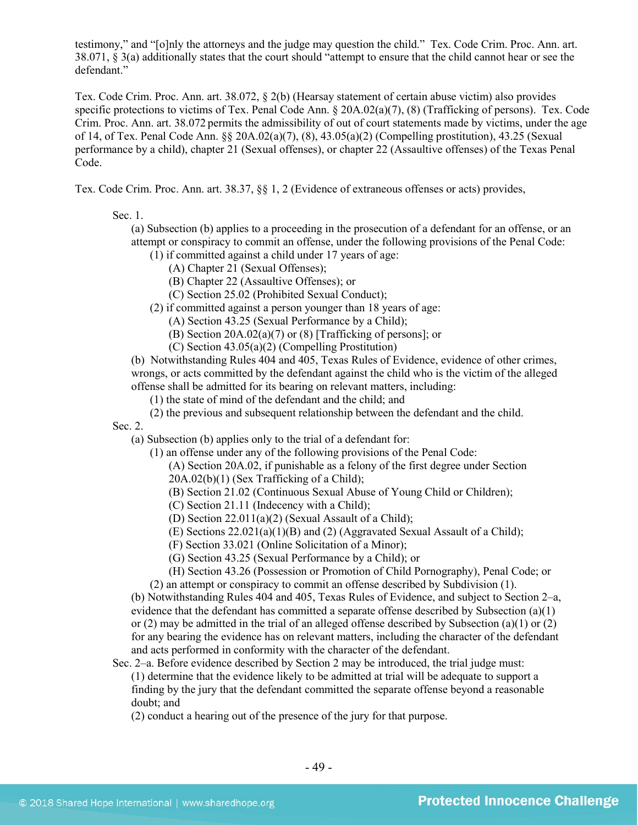testimony," and "[o]nly the attorneys and the judge may question the child." Tex. Code Crim. Proc. Ann. art. 38.071, § 3(a) additionally states that the court should "attempt to ensure that the child cannot hear or see the defendant."

Tex. Code Crim. Proc. Ann. art. 38.072, § 2(b) (Hearsay statement of certain abuse victim) also provides specific protections to victims of Tex. Penal Code Ann. § 20A.02(a)(7), (8) (Trafficking of persons). Tex. Code Crim. Proc. Ann. art. 38.072 permits the admissibility of out of court statements made by victims, under the age of 14, of Tex. Penal Code Ann. §§ 20A.02(a)(7), (8), 43.05(a)(2) (Compelling prostitution), 43.25 (Sexual performance by a child), chapter 21 (Sexual offenses), or chapter 22 (Assaultive offenses) of the Texas Penal Code.

Tex. Code Crim. Proc. Ann. art. 38.37, §§ 1, 2 (Evidence of extraneous offenses or acts) provides,

Sec. 1.

(a) Subsection (b) applies to a proceeding in the prosecution of a defendant for an offense, or an attempt or conspiracy to commit an offense, under the following provisions of the Penal Code:

- (1) if committed against a child under 17 years of age:
	- (A) Chapter 21 (Sexual Offenses);
	- (B) Chapter 22 (Assaultive Offenses); or
	- (C) Section 25.02 (Prohibited Sexual Conduct);
- (2) if committed against a person younger than 18 years of age:
	- (A) Section 43.25 (Sexual Performance by a Child);
	- (B) Section 20A.02(a)(7) or (8) [Trafficking of persons]; or
	- (C) Section 43.05(a)(2) (Compelling Prostitution)

(b) Notwithstanding Rules 404 and 405, Texas Rules of Evidence, evidence of other crimes, wrongs, or acts committed by the defendant against the child who is the victim of the alleged offense shall be admitted for its bearing on relevant matters, including:

- (1) the state of mind of the defendant and the child; and
- (2) the previous and subsequent relationship between the defendant and the child.

Sec. 2.

(a) Subsection (b) applies only to the trial of a defendant for:

- (1) an offense under any of the following provisions of the Penal Code:
	- (A) Section 20A.02, if punishable as a felony of the first degree under Section
	- 20A.02(b)(1) (Sex Trafficking of a Child);
	- (B) Section 21.02 (Continuous Sexual Abuse of Young Child or Children);
	- (C) Section 21.11 (Indecency with a Child);
	- (D) Section 22.011(a)(2) (Sexual Assault of a Child);
	- (E) Sections 22.021(a)(1)(B) and (2) (Aggravated Sexual Assault of a Child);
	- (F) Section 33.021 (Online Solicitation of a Minor);
	- (G) Section 43.25 (Sexual Performance by a Child); or
	- (H) Section 43.26 (Possession or Promotion of Child Pornography), Penal Code; or
- (2) an attempt or conspiracy to commit an offense described by Subdivision (1).

(b) Notwithstanding Rules 404 and 405, Texas Rules of Evidence, and subject to Section 2–a, evidence that the defendant has committed a separate offense described by Subsection (a)(1) or (2) may be admitted in the trial of an alleged offense described by Subsection (a)(1) or (2) for any bearing the evidence has on relevant matters, including the character of the defendant and acts performed in conformity with the character of the defendant.

- Sec. 2–a. Before evidence described by Section 2 may be introduced, the trial judge must: (1) determine that the evidence likely to be admitted at trial will be adequate to support a finding by the jury that the defendant committed the separate offense beyond a reasonable doubt; and
	- (2) conduct a hearing out of the presence of the jury for that purpose.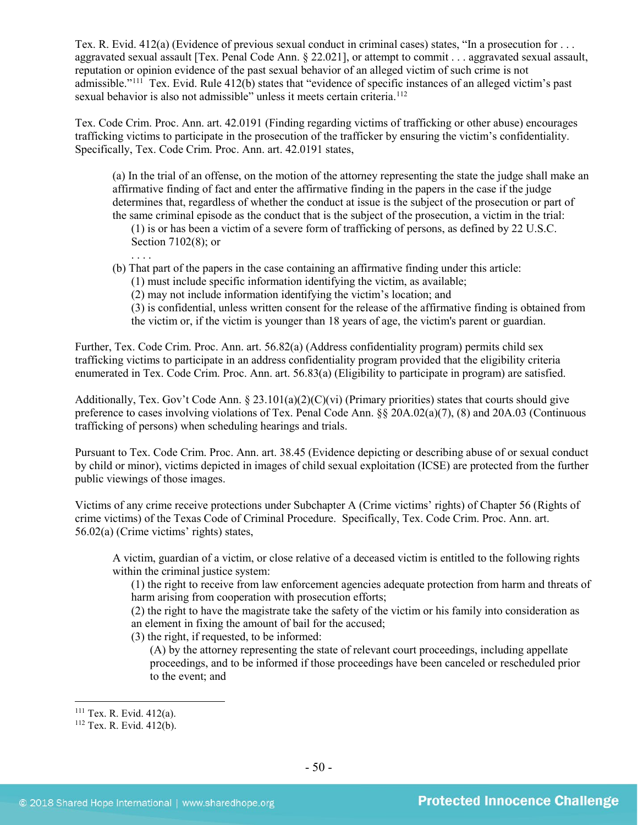Tex. R. Evid. 412(a) (Evidence of previous sexual conduct in criminal cases) states, "In a prosecution for . . . aggravated sexual assault [Tex. Penal Code Ann. § 22.021], or attempt to commit . . . aggravated sexual assault, reputation or opinion evidence of the past sexual behavior of an alleged victim of such crime is not admissible."[111](#page-49-0) Tex. Evid. Rule 412(b) states that "evidence of specific instances of an alleged victim's past sexual behavior is also not admissible" unless it meets certain criteria.<sup>[112](#page-49-1)</sup>

Tex. Code Crim. Proc. Ann. art. 42.0191 (Finding regarding victims of trafficking or other abuse) encourages trafficking victims to participate in the prosecution of the trafficker by ensuring the victim's confidentiality. Specifically, Tex. Code Crim. Proc. Ann. art. 42.0191 states,

(a) In the trial of an offense, on the motion of the attorney representing the state the judge shall make an affirmative finding of fact and enter the affirmative finding in the papers in the case if the judge determines that, regardless of whether the conduct at issue is the subject of the prosecution or part of the same criminal episode as the conduct that is the subject of the prosecution, a victim in the trial:

(1) is or has been a victim of a severe form of trafficking of persons, as defined by 22 U.S.C. Section 7102(8); or

(b) That part of the papers in the case containing an affirmative finding under this article:

(1) must include specific information identifying the victim, as available;

(2) may not include information identifying the victim's location; and

(3) is confidential, unless written consent for the release of the affirmative finding is obtained from the victim or, if the victim is younger than 18 years of age, the victim's parent or guardian.

Further, Tex. Code Crim. Proc. Ann. art. 56.82(a) (Address confidentiality program) permits child sex trafficking victims to participate in an address confidentiality program provided that the eligibility criteria enumerated in Tex. Code Crim. Proc. Ann. art. 56.83(a) (Eligibility to participate in program) are satisfied.

Additionally, Tex. Gov't Code Ann. § 23.101(a)(2)(C)(vi) (Primary priorities) states that courts should give preference to cases involving violations of Tex. Penal Code Ann. §§ 20A.02(a)(7), (8) and 20A.03 (Continuous trafficking of persons) when scheduling hearings and trials.

Pursuant to Tex. Code Crim. Proc. Ann. art. 38.45 (Evidence depicting or describing abuse of or sexual conduct by child or minor), victims depicted in images of child sexual exploitation (ICSE) are protected from the further public viewings of those images.

Victims of any crime receive protections under Subchapter A (Crime victims' rights) of Chapter 56 (Rights of crime victims) of the Texas Code of Criminal Procedure. Specifically, Tex. Code Crim. Proc. Ann. art. 56.02(a) (Crime victims' rights) states,

A victim, guardian of a victim, or close relative of a deceased victim is entitled to the following rights within the criminal justice system:

(1) the right to receive from law enforcement agencies adequate protection from harm and threats of harm arising from cooperation with prosecution efforts;

(2) the right to have the magistrate take the safety of the victim or his family into consideration as an element in fixing the amount of bail for the accused;

(3) the right, if requested, to be informed:

(A) by the attorney representing the state of relevant court proceedings, including appellate proceedings, and to be informed if those proceedings have been canceled or rescheduled prior to the event; and

. . . .

<span id="page-49-0"></span><sup>&</sup>lt;sup>111</sup> Tex. R. Evid.  $412(a)$ .<br><sup>112</sup> Tex. R. Evid.  $412(b)$ .

<span id="page-49-1"></span>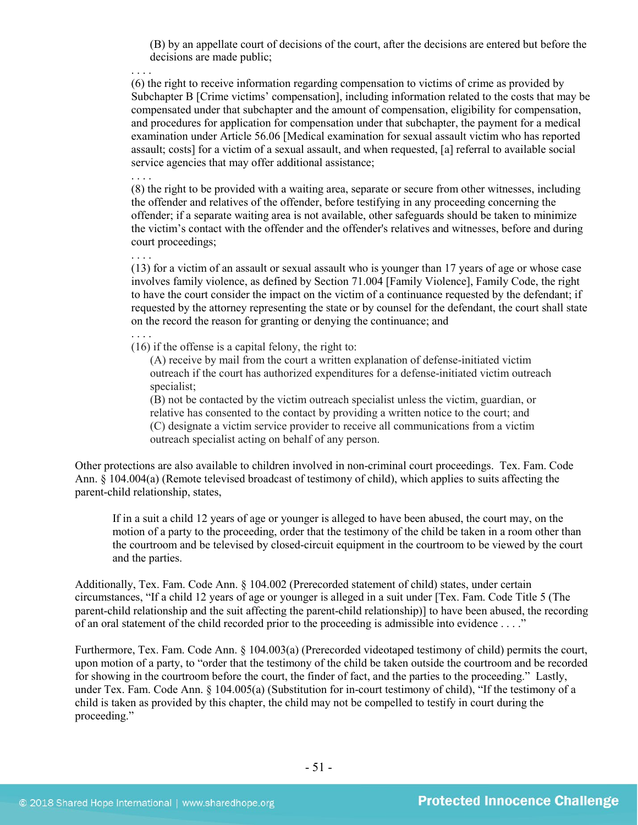(B) by an appellate court of decisions of the court, after the decisions are entered but before the decisions are made public;

. . . . (6) the right to receive information regarding compensation to victims of crime as provided by Subchapter B [Crime victims' compensation], including information related to the costs that may be compensated under that subchapter and the amount of compensation, eligibility for compensation, and procedures for application for compensation under that subchapter, the payment for a medical examination under Article 56.06 [Medical examination for sexual assault victim who has reported assault; costs] for a victim of a sexual assault, and when requested, [a] referral to available social service agencies that may offer additional assistance;

(8) the right to be provided with a waiting area, separate or secure from other witnesses, including the offender and relatives of the offender, before testifying in any proceeding concerning the offender; if a separate waiting area is not available, other safeguards should be taken to minimize the victim's contact with the offender and the offender's relatives and witnesses, before and during court proceedings;

(13) for a victim of an assault or sexual assault who is younger than 17 years of age or whose case involves family violence, as defined by Section 71.004 [Family Violence], Family Code, the right to have the court consider the impact on the victim of a continuance requested by the defendant; if requested by the attorney representing the state or by counsel for the defendant, the court shall state on the record the reason for granting or denying the continuance; and

(16) if the offense is a capital felony, the right to:

(A) receive by mail from the court a written explanation of defense-initiated victim outreach if the court has authorized expenditures for a defense-initiated victim outreach specialist;

(B) not be contacted by the victim outreach specialist unless the victim, guardian, or relative has consented to the contact by providing a written notice to the court; and (C) designate a victim service provider to receive all communications from a victim outreach specialist acting on behalf of any person.

Other protections are also available to children involved in non-criminal court proceedings. Tex. Fam. Code Ann. § 104.004(a) (Remote televised broadcast of testimony of child), which applies to suits affecting the parent-child relationship, states,

If in a suit a child 12 years of age or younger is alleged to have been abused, the court may, on the motion of a party to the proceeding, order that the testimony of the child be taken in a room other than the courtroom and be televised by closed-circuit equipment in the courtroom to be viewed by the court and the parties.

Additionally, Tex. Fam. Code Ann. § 104.002 (Prerecorded statement of child) states, under certain circumstances, "If a child 12 years of age or younger is alleged in a suit under [Tex. Fam. Code Title 5 (The parent-child relationship and the suit affecting the parent-child relationship)] to have been abused, the recording of an oral statement of the child recorded prior to the proceeding is admissible into evidence . . . ."

Furthermore, Tex. Fam. Code Ann. § 104.003(a) (Prerecorded videotaped testimony of child) permits the court, upon motion of a party, to "order that the testimony of the child be taken outside the courtroom and be recorded for showing in the courtroom before the court, the finder of fact, and the parties to the proceeding." Lastly, under Tex. Fam. Code Ann. § 104.005(a) (Substitution for in-court testimony of child), "If the testimony of a child is taken as provided by this chapter, the child may not be compelled to testify in court during the proceeding."

. . . .

. . . .

. . . .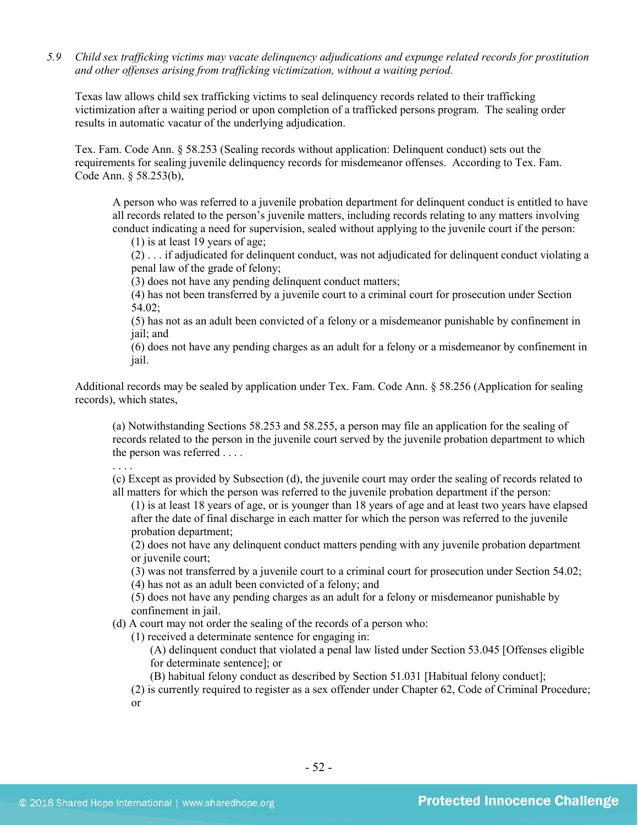*5.9 Child sex trafficking victims may vacate delinquency adjudications and expunge related records for prostitution and other offenses arising from trafficking victimization, without a waiting period.*

Texas law allows child sex trafficking victims to seal delinquency records related to their trafficking victimization after a waiting period or upon completion of a trafficked persons program. The sealing order results in automatic vacatur of the underlying adjudication.

Tex. Fam. Code Ann. § 58.253 (Sealing records without application: Delinquent conduct) sets out the requirements for sealing juvenile delinquency records for misdemeanor offenses. According to Tex. Fam. Code Ann. § 58.253(b),

A person who was referred to a juvenile probation department for delinquent conduct is entitled to have all records related to the person's juvenile matters, including records relating to any matters involving conduct indicating a need for supervision, sealed without applying to the juvenile court if the person:

(1) is at least 19 years of age;

(2) . . . if adjudicated for delinquent conduct, was not adjudicated for delinquent conduct violating a penal law of the grade of felony;

(3) does not have any pending delinquent conduct matters;

(4) has not been transferred by a juvenile court to a criminal court for prosecution under Section 54.02;

(5) has not as an adult been convicted of a felony or a misdemeanor punishable by confinement in jail; and

(6) does not have any pending charges as an adult for a felony or a misdemeanor by confinement in jail.

Additional records may be sealed by application under Tex. Fam. Code Ann. § 58.256 (Application for sealing records), which states,

(a) Notwithstanding Sections 58.253 and 58.255, a person may file an application for the sealing of records related to the person in the juvenile court served by the juvenile probation department to which the person was referred . . . .

. . . .

(c) Except as provided by Subsection (d), the juvenile court may order the sealing of records related to all matters for which the person was referred to the juvenile probation department if the person:

(1) is at least 18 years of age, or is younger than 18 years of age and at least two years have elapsed after the date of final discharge in each matter for which the person was referred to the juvenile probation department;

(2) does not have any delinquent conduct matters pending with any juvenile probation department or juvenile court;

(3) was not transferred by a juvenile court to a criminal court for prosecution under Section 54.02;

(4) has not as an adult been convicted of a felony; and

(5) does not have any pending charges as an adult for a felony or misdemeanor punishable by confinement in jail.

(d) A court may not order the sealing of the records of a person who:

(1) received a determinate sentence for engaging in:

(A) delinquent conduct that violated a penal law listed under Section 53.045 [Offenses eligible for determinate sentence]; or

(B) habitual felony conduct as described by Section 51.031 [Habitual felony conduct];

(2) is currently required to register as a sex offender under Chapter 62, Code of Criminal Procedure; or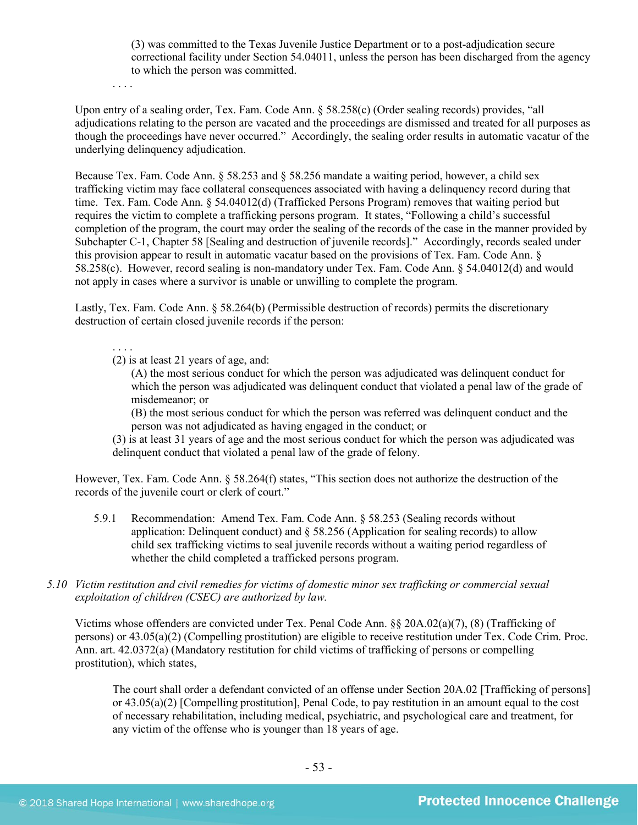(3) was committed to the Texas Juvenile Justice Department or to a post-adjudication secure correctional facility under Section 54.04011, unless the person has been discharged from the agency to which the person was committed.

. . . .

Upon entry of a sealing order, Tex. Fam. Code Ann. § 58.258(c) (Order sealing records) provides, "all adjudications relating to the person are vacated and the proceedings are dismissed and treated for all purposes as though the proceedings have never occurred." Accordingly, the sealing order results in automatic vacatur of the underlying delinquency adjudication.

Because Tex. Fam. Code Ann. § 58.253 and § 58.256 mandate a waiting period, however, a child sex trafficking victim may face collateral consequences associated with having a delinquency record during that time. Tex. Fam. Code Ann. § 54.04012(d) (Trafficked Persons Program) removes that waiting period but requires the victim to complete a trafficking persons program. It states, "Following a child's successful completion of the program, the court may order the sealing of the records of the case in the manner provided by Subchapter C-1, Chapter 58 [Sealing and destruction of juvenile records]." Accordingly, records sealed under this provision appear to result in automatic vacatur based on the provisions of Tex. Fam. Code Ann. § 58.258(c). However, record sealing is non-mandatory under Tex. Fam. Code Ann. § 54.04012(d) and would not apply in cases where a survivor is unable or unwilling to complete the program.

Lastly, Tex. Fam. Code Ann. § 58.264(b) (Permissible destruction of records) permits the discretionary destruction of certain closed juvenile records if the person:

. . . . (2) is at least 21 years of age, and:

> (A) the most serious conduct for which the person was adjudicated was delinquent conduct for which the person was adjudicated was delinquent conduct that violated a penal law of the grade of misdemeanor; or

(B) the most serious conduct for which the person was referred was delinquent conduct and the person was not adjudicated as having engaged in the conduct; or

(3) is at least 31 years of age and the most serious conduct for which the person was adjudicated was delinquent conduct that violated a penal law of the grade of felony.

However, Tex. Fam. Code Ann. § 58.264(f) states, "This section does not authorize the destruction of the records of the juvenile court or clerk of court."

- 5.9.1 Recommendation: Amend Tex. Fam. Code Ann. § 58.253 (Sealing records without application: Delinquent conduct) and  $\S 58.256$  (Application for sealing records) to allow child sex trafficking victims to seal juvenile records without a waiting period regardless of whether the child completed a trafficked persons program.
- *5.10 Victim restitution and civil remedies for victims of domestic minor sex trafficking or commercial sexual exploitation of children (CSEC) are authorized by law.*

Victims whose offenders are convicted under Tex. Penal Code Ann. §§ 20A.02(a)(7), (8) (Trafficking of persons) or 43.05(a)(2) (Compelling prostitution) are eligible to receive restitution under Tex. Code Crim. Proc. Ann. art. 42.0372(a) (Mandatory restitution for child victims of trafficking of persons or compelling prostitution), which states,

The court shall order a defendant convicted of an offense under Section 20A.02 [Trafficking of persons] or 43.05(a)(2) [Compelling prostitution], Penal Code, to pay restitution in an amount equal to the cost of necessary rehabilitation, including medical, psychiatric, and psychological care and treatment, for any victim of the offense who is younger than 18 years of age.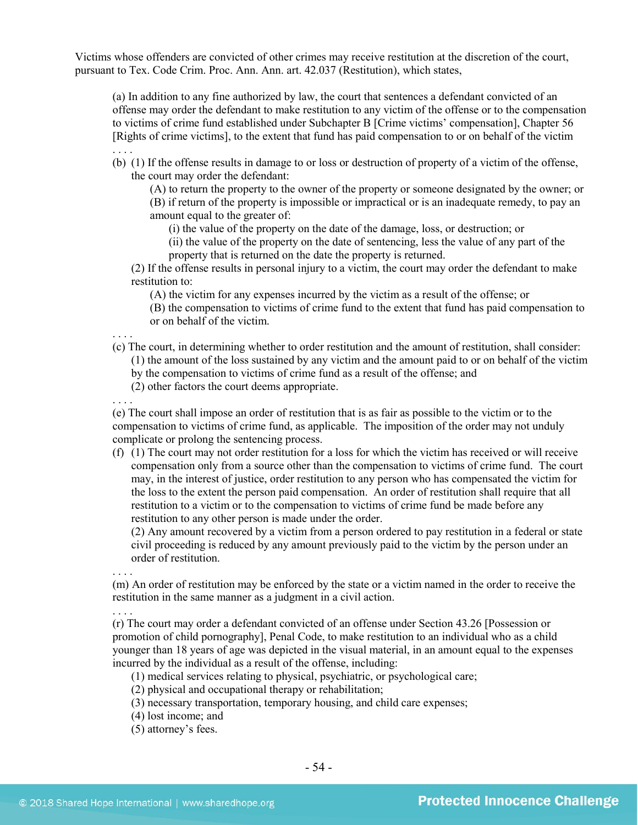Victims whose offenders are convicted of other crimes may receive restitution at the discretion of the court, pursuant to Tex. Code Crim. Proc. Ann. Ann. art. 42.037 (Restitution), which states,

(a) In addition to any fine authorized by law, the court that sentences a defendant convicted of an offense may order the defendant to make restitution to any victim of the offense or to the compensation to victims of crime fund established under Subchapter B [Crime victims' compensation], Chapter 56 [Rights of crime victims], to the extent that fund has paid compensation to or on behalf of the victim

(b) (1) If the offense results in damage to or loss or destruction of property of a victim of the offense, the court may order the defendant:

(A) to return the property to the owner of the property or someone designated by the owner; or (B) if return of the property is impossible or impractical or is an inadequate remedy, to pay an amount equal to the greater of:

(i) the value of the property on the date of the damage, loss, or destruction; or

(ii) the value of the property on the date of sentencing, less the value of any part of the property that is returned on the date the property is returned.

(2) If the offense results in personal injury to a victim, the court may order the defendant to make restitution to:

(A) the victim for any expenses incurred by the victim as a result of the offense; or (B) the compensation to victims of crime fund to the extent that fund has paid compensation to or on behalf of the victim.

(c) The court, in determining whether to order restitution and the amount of restitution, shall consider: (1) the amount of the loss sustained by any victim and the amount paid to or on behalf of the victim by the compensation to victims of crime fund as a result of the offense; and

(2) other factors the court deems appropriate.

. . . . (e) The court shall impose an order of restitution that is as fair as possible to the victim or to the compensation to victims of crime fund, as applicable. The imposition of the order may not unduly complicate or prolong the sentencing process.

(f) (1) The court may not order restitution for a loss for which the victim has received or will receive compensation only from a source other than the compensation to victims of crime fund. The court may, in the interest of justice, order restitution to any person who has compensated the victim for the loss to the extent the person paid compensation. An order of restitution shall require that all restitution to a victim or to the compensation to victims of crime fund be made before any restitution to any other person is made under the order.

(2) Any amount recovered by a victim from a person ordered to pay restitution in a federal or state civil proceeding is reduced by any amount previously paid to the victim by the person under an order of restitution.

. . . .

. . . .

. . . .

. . . .

(m) An order of restitution may be enforced by the state or a victim named in the order to receive the restitution in the same manner as a judgment in a civil action.

(r) The court may order a defendant convicted of an offense under Section 43.26 [Possession or promotion of child pornography], Penal Code, to make restitution to an individual who as a child younger than 18 years of age was depicted in the visual material, in an amount equal to the expenses incurred by the individual as a result of the offense, including:

(1) medical services relating to physical, psychiatric, or psychological care;

(2) physical and occupational therapy or rehabilitation;

(3) necessary transportation, temporary housing, and child care expenses;

- (4) lost income; and
- (5) attorney's fees.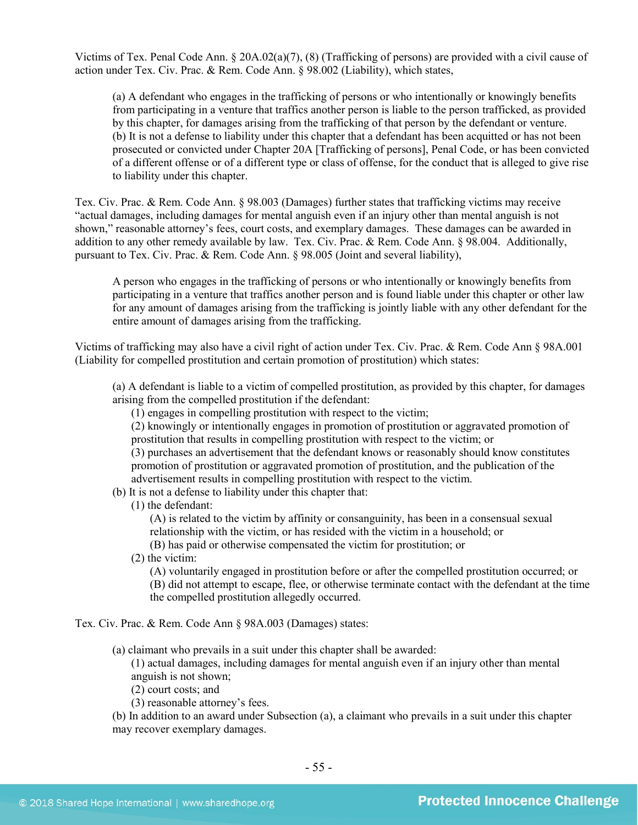Victims of Tex. Penal Code Ann. § 20A.02(a)(7), (8) (Trafficking of persons) are provided with a civil cause of action under Tex. Civ. Prac. & Rem. Code Ann. § 98.002 (Liability), which states,

(a) A defendant who engages in the trafficking of persons or who intentionally or knowingly benefits from participating in a venture that traffics another person is liable to the person trafficked, as provided by this chapter, for damages arising from the trafficking of that person by the defendant or venture. (b) It is not a defense to liability under this chapter that a defendant has been acquitted or has not been prosecuted or convicted under Chapter 20A [Trafficking of persons], Penal Code, or has been convicted of a different offense or of a different type or class of offense, for the conduct that is alleged to give rise to liability under this chapter.

Tex. Civ. Prac. & Rem. Code Ann. § 98.003 (Damages) further states that trafficking victims may receive "actual damages, including damages for mental anguish even if an injury other than mental anguish is not shown," reasonable attorney's fees, court costs, and exemplary damages. These damages can be awarded in addition to any other remedy available by law. Tex. Civ. Prac. & Rem. Code Ann. § 98.004. Additionally, pursuant to Tex. Civ. Prac. & Rem. Code Ann. § 98.005 (Joint and several liability),

A person who engages in the trafficking of persons or who intentionally or knowingly benefits from participating in a venture that traffics another person and is found liable under this chapter or other law for any amount of damages arising from the trafficking is jointly liable with any other defendant for the entire amount of damages arising from the trafficking.

Victims of trafficking may also have a civil right of action under Tex. Civ. Prac. & Rem. Code Ann § 98A.001 (Liability for compelled prostitution and certain promotion of prostitution) which states:

(a) A defendant is liable to a victim of compelled prostitution, as provided by this chapter, for damages arising from the compelled prostitution if the defendant:

(1) engages in compelling prostitution with respect to the victim;

(2) knowingly or intentionally engages in promotion of prostitution or aggravated promotion of prostitution that results in compelling prostitution with respect to the victim; or

(3) purchases an advertisement that the defendant knows or reasonably should know constitutes promotion of prostitution or aggravated promotion of prostitution, and the publication of the advertisement results in compelling prostitution with respect to the victim.

- (b) It is not a defense to liability under this chapter that:
	- (1) the defendant:

(A) is related to the victim by affinity or consanguinity, has been in a consensual sexual relationship with the victim, or has resided with the victim in a household; or

(B) has paid or otherwise compensated the victim for prostitution; or

(2) the victim:

(A) voluntarily engaged in prostitution before or after the compelled prostitution occurred; or (B) did not attempt to escape, flee, or otherwise terminate contact with the defendant at the time the compelled prostitution allegedly occurred.

Tex. Civ. Prac. & Rem. Code Ann § 98A.003 (Damages) states:

(a) claimant who prevails in a suit under this chapter shall be awarded:

(1) actual damages, including damages for mental anguish even if an injury other than mental anguish is not shown;

- (2) court costs; and
- (3) reasonable attorney's fees.

(b) In addition to an award under Subsection (a), a claimant who prevails in a suit under this chapter may recover exemplary damages.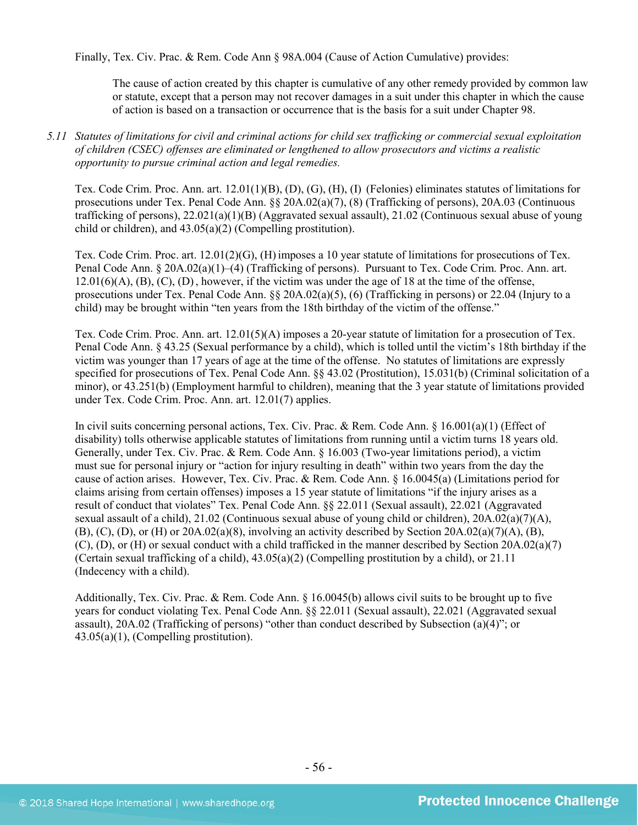Finally, Tex. Civ. Prac. & Rem. Code Ann § 98A.004 (Cause of Action Cumulative) provides:

The cause of action created by this chapter is cumulative of any other remedy provided by common law or statute, except that a person may not recover damages in a suit under this chapter in which the cause of action is based on a transaction or occurrence that is the basis for a suit under Chapter 98.

#### *5.11 Statutes of limitations for civil and criminal actions for child sex trafficking or commercial sexual exploitation of children (CSEC) offenses are eliminated or lengthened to allow prosecutors and victims a realistic opportunity to pursue criminal action and legal remedies.*

Tex. Code Crim. Proc. Ann. art. 12.01(1)(B), (D), (G), (H), (I) (Felonies) eliminates statutes of limitations for prosecutions under Tex. Penal Code Ann. §§ 20A.02(a)(7), (8) (Trafficking of persons), 20A.03 (Continuous trafficking of persons), 22.021(a)(1)(B) (Aggravated sexual assault), 21.02 (Continuous sexual abuse of young child or children), and 43.05(a)(2) (Compelling prostitution).

Tex. Code Crim. Proc. art. 12.01(2)(G), (H)imposes a 10 year statute of limitations for prosecutions of Tex. Penal Code Ann. § 20A.02(a)(1)–(4) (Trafficking of persons). Pursuant to Tex. Code Crim. Proc. Ann. art.  $12.01(6)(A)$ ,  $(B)$ ,  $(C)$ ,  $(D)$ , however, if the victim was under the age of 18 at the time of the offense, prosecutions under Tex. Penal Code Ann. §§ 20A.02(a)(5), (6) (Trafficking in persons) or 22.04 (Injury to a child) may be brought within "ten years from the 18th birthday of the victim of the offense."

Tex. Code Crim. Proc. Ann. art. 12.01(5)(A) imposes a 20-year statute of limitation for a prosecution of Tex. Penal Code Ann. § 43.25 (Sexual performance by a child), which is tolled until the victim's 18th birthday if the victim was younger than 17 years of age at the time of the offense. No statutes of limitations are expressly specified for prosecutions of Tex. Penal Code Ann. §§ 43.02 (Prostitution), 15.031(b) (Criminal solicitation of a minor), or 43.251(b) (Employment harmful to children), meaning that the 3 year statute of limitations provided under Tex. Code Crim. Proc. Ann. art. 12.01(7) applies.

In civil suits concerning personal actions, Tex. Civ. Prac. & Rem. Code Ann. § 16.001(a)(1) (Effect of disability) tolls otherwise applicable statutes of limitations from running until a victim turns 18 years old. Generally, under Tex. Civ. Prac. & Rem. Code Ann. § 16.003 (Two-year limitations period), a victim must sue for personal injury or "action for injury resulting in death" within two years from the day the cause of action arises. However, Tex. Civ. Prac. & Rem. Code Ann. § 16.0045(a) (Limitations period for claims arising from certain offenses) imposes a 15 year statute of limitations "if the injury arises as a result of conduct that violates" Tex. Penal Code Ann. §§ 22.011 (Sexual assault), 22.021 (Aggravated sexual assault of a child), 21.02 (Continuous sexual abuse of young child or children), 20A.02(a)(7)(A),  $(B)$ ,  $(C)$ ,  $(D)$ , or  $(H)$  or 20A.02(a)(8), involving an activity described by Section 20A.02(a)(7)(A),  $(B)$ , (C), (D), or (H) or sexual conduct with a child trafficked in the manner described by Section 20A.02(a)(7) (Certain sexual trafficking of a child),  $43.05(a)(2)$  (Compelling prostitution by a child), or 21.11 (Indecency with a child).

Additionally, Tex. Civ. Prac. & Rem. Code Ann. § 16.0045(b) allows civil suits to be brought up to five years for conduct violating Tex. Penal Code Ann. §§ 22.011 (Sexual assault), 22.021 (Aggravated sexual assault), 20A.02 (Trafficking of persons) "other than conduct described by Subsection (a)(4)"; or 43.05(a)(1), (Compelling prostitution).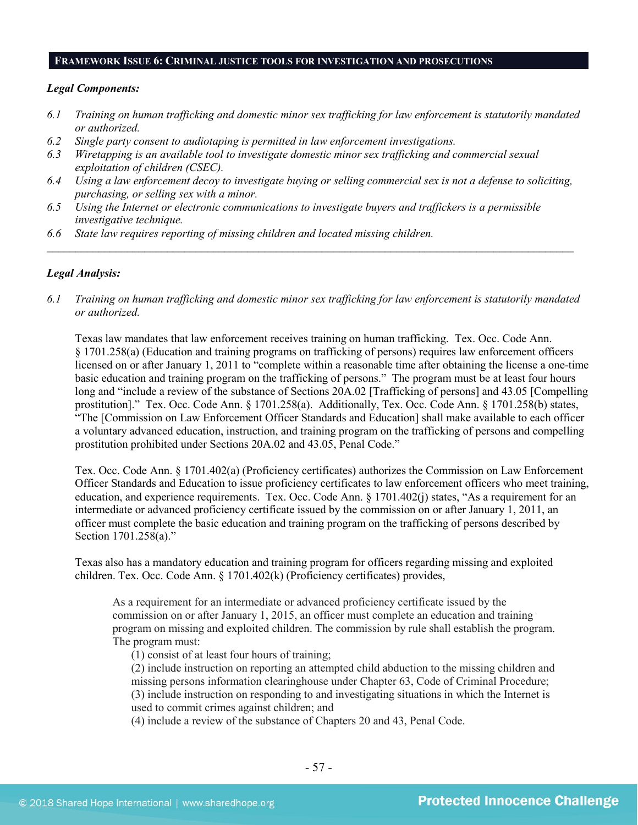#### **FRAMEWORK ISSUE 6: CRIMINAL JUSTICE TOOLS FOR INVESTIGATION AND PROSECUTIONS**

#### *Legal Components:*

- *6.1 Training on human trafficking and domestic minor sex trafficking for law enforcement is statutorily mandated or authorized.*
- *6.2 Single party consent to audiotaping is permitted in law enforcement investigations.*
- *6.3 Wiretapping is an available tool to investigate domestic minor sex trafficking and commercial sexual exploitation of children (CSEC).*
- *6.4 Using a law enforcement decoy to investigate buying or selling commercial sex is not a defense to soliciting, purchasing, or selling sex with a minor.*

*\_\_\_\_\_\_\_\_\_\_\_\_\_\_\_\_\_\_\_\_\_\_\_\_\_\_\_\_\_\_\_\_\_\_\_\_\_\_\_\_\_\_\_\_\_\_\_\_\_\_\_\_\_\_\_\_\_\_\_\_\_\_\_\_\_\_\_\_\_\_\_\_\_\_\_\_\_\_\_\_\_\_\_\_\_\_\_\_\_\_\_\_*

- *6.5 Using the Internet or electronic communications to investigate buyers and traffickers is a permissible investigative technique.*
- *6.6 State law requires reporting of missing children and located missing children.*

#### *Legal Analysis:*

*6.1 Training on human trafficking and domestic minor sex trafficking for law enforcement is statutorily mandated or authorized.*

Texas law mandates that law enforcement receives training on human trafficking. Tex. Occ. Code Ann. § 1701.258(a) (Education and training programs on trafficking of persons) requires law enforcement officers licensed on or after January 1, 2011 to "complete within a reasonable time after obtaining the license a one-time basic education and training program on the trafficking of persons." The program must be at least four hours long and "include a review of the substance of Sections 20A.02 [Trafficking of persons] and 43.05 [Compelling prostitution]." Tex. Occ. Code Ann. § 1701.258(a). Additionally, Tex. Occ. Code Ann. § 1701.258(b) states, "The [Commission on Law Enforcement Officer Standards and Education] shall make available to each officer a voluntary advanced education, instruction, and training program on the trafficking of persons and compelling prostitution prohibited under Sections 20A.02 and 43.05, Penal Code."

Tex. Occ. Code Ann. § 1701.402(a) (Proficiency certificates) authorizes the Commission on Law Enforcement Officer Standards and Education to issue proficiency certificates to law enforcement officers who meet training, education, and experience requirements. Tex. Occ. Code Ann. § 1701.402(j) states, "As a requirement for an intermediate or advanced proficiency certificate issued by the commission on or after January 1, 2011, an officer must complete the basic education and training program on the trafficking of persons described by Section 1701.258(a)."

Texas also has a mandatory education and training program for officers regarding missing and exploited children. Tex. Occ. Code Ann. § 1701.402(k) (Proficiency certificates) provides,

As a requirement for an intermediate or advanced proficiency certificate issued by the commission on or after January 1, 2015, an officer must complete an education and training program on missing and exploited children. The commission by rule shall establish the program. The program must:

(1) consist of at least four hours of training;

(2) include instruction on reporting an attempted child abduction to the missing children and missing persons information clearinghouse under Chapter 63, Code of Criminal Procedure; (3) include instruction on responding to and investigating situations in which the Internet is used to commit crimes against children; and

(4) include a review of the substance of Chapters 20 and 43, Penal Code.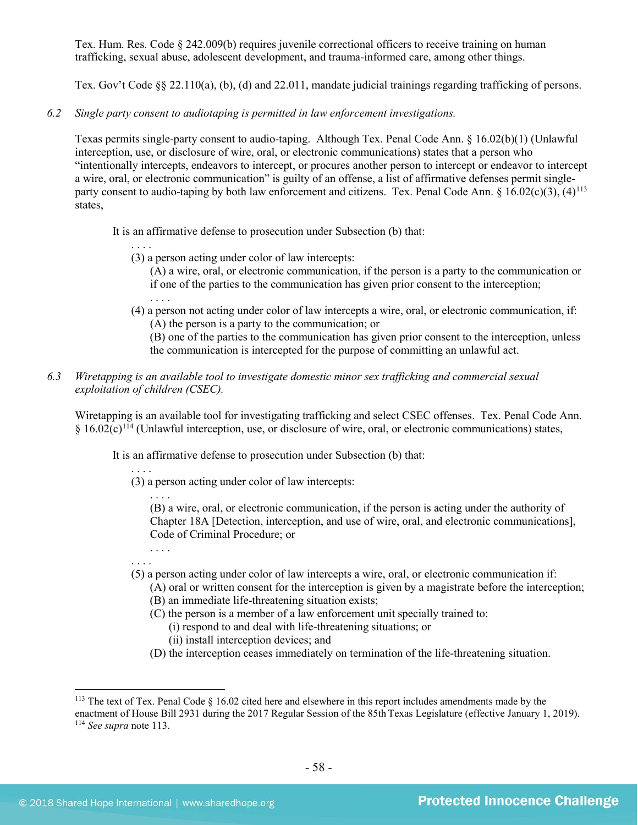Tex. Hum. Res. Code § 242.009(b) requires juvenile correctional officers to receive training on human trafficking, sexual abuse, adolescent development, and trauma-informed care, among other things.

Tex. Gov't Code §[§ 22.110\(](http://www.statutes.legis.state.tx.us/GetStatute.aspx?Code=GV&Value=22.110&Date=5/26/2015)a), (b), (d) and [22.011,](http://www.statutes.legis.state.tx.us/GetStatute.aspx?Code=PE&Value=22.011&Date=5/26/2015) mandate judicial trainings regarding trafficking of persons.

*6.2 Single party consent to audiotaping is permitted in law enforcement investigations.*

Texas permits single-party consent to audio-taping. Although Tex. Penal Code Ann. § 16.02(b)(1) (Unlawful interception, use, or disclosure of wire, oral, or electronic communications) states that a person who "intentionally intercepts, endeavors to intercept, or procures another person to intercept or endeavor to intercept a wire, oral, or electronic communication" is guilty of an offense, a list of affirmative defenses permit singleparty consent to audio-taping by both law enforcement and citizens. Tex. Penal Code Ann. §  $16.02(c)(3)$ ,  $(4)^{113}$  $(4)^{113}$  $(4)^{113}$ states,

It is an affirmative defense to prosecution under Subsection (b) that:

- <span id="page-57-0"></span>(3) a person acting under color of law intercepts:
	- (A) a wire, oral, or electronic communication, if the person is a party to the communication or if one of the parties to the communication has given prior consent to the interception;
- (4) a person not acting under color of law intercepts a wire, oral, or electronic communication, if: (A) the person is a party to the communication; or
	- (B) one of the parties to the communication has given prior consent to the interception, unless the communication is intercepted for the purpose of committing an unlawful act.
- *6.3 Wiretapping is an available tool to investigate domestic minor sex trafficking and commercial sexual exploitation of children (CSEC).*

Wiretapping is an available tool for investigating trafficking and select CSEC offenses. Tex. Penal Code Ann.  $§ 16.02(c)^{114}$  $§ 16.02(c)^{114}$  $§ 16.02(c)^{114}$  (Unlawful interception, use, or disclosure of wire, oral, or electronic communications) states,

It is an affirmative defense to prosecution under Subsection (b) that:

. . . . (3) a person acting under color of law intercepts:

. . . . (B) a wire, oral, or electronic communication, if the person is acting under the authority of Chapter 18A [Detection, interception, and use of wire, oral, and electronic communications], Code of Criminal Procedure; or

- . . . . . . . .
- (5) a person acting under color of law intercepts a wire, oral, or electronic communication if:
	- (A) oral or written consent for the interception is given by a magistrate before the interception; (B) an immediate life-threatening situation exists;
	- (C) the person is a member of a law enforcement unit specially trained to:
		- (i) respond to and deal with life-threatening situations; or
		- (ii) install interception devices; and
	- (D) the interception ceases immediately on termination of the life-threatening situation.

<span id="page-57-2"></span><span id="page-57-1"></span><sup>&</sup>lt;sup>113</sup> The text of Tex. Penal Code § 16.02 cited here and elsewhere in this report includes amendments made by the enactment of House Bill 2931 during the 2017 Regular Session of the 85th Texas Legislature (effective January 1, 2019). <sup>114</sup> *See supra* not[e 113.](#page-57-0)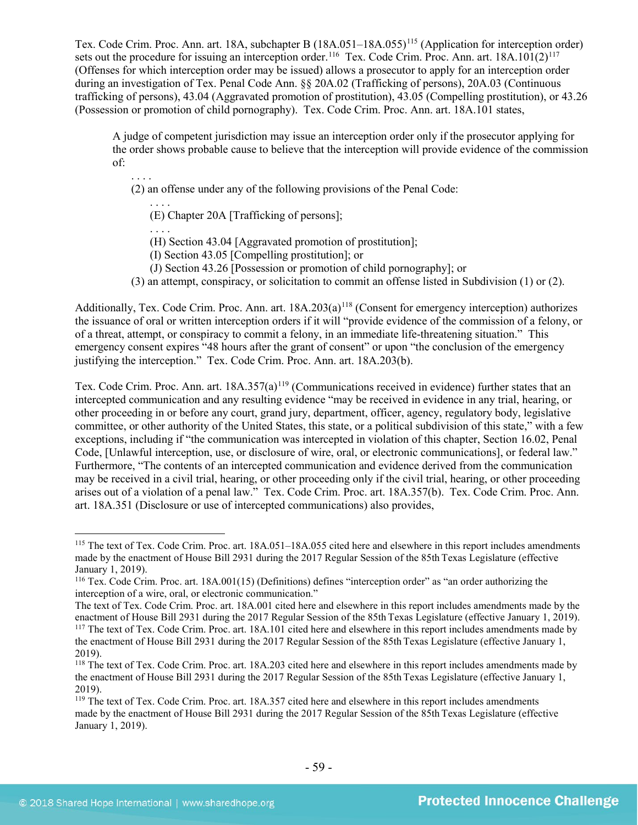Tex. Code Crim. Proc. Ann. art. 18A, subchapter B (18A.051–18A.055)<sup>[115](#page-58-0)</sup> (Application for interception order) sets out the procedure for issuing an interception order.<sup>116</sup> Tex. Code Crim. Proc. Ann. art. 18A.101(2)<sup>[117](#page-58-2)</sup> (Offenses for which interception order may be issued) allows a prosecutor to apply for an interception order during an investigation of Tex. Penal Code Ann. §§ 20A.02 (Trafficking of persons), 20A.03 (Continuous trafficking of persons), 43.04 (Aggravated promotion of prostitution), 43.05 (Compelling prostitution), or 43.26 (Possession or promotion of child pornography). Tex. Code Crim. Proc. Ann. art. 18A.101 states,

A judge of competent jurisdiction may issue an interception order only if the prosecutor applying for the order shows probable cause to believe that the interception will provide evidence of the commission of:

. . . . (2) an offense under any of the following provisions of the Penal Code:

. . . . (E) Chapter 20A [Trafficking of persons];

. . . . (H) Section 43.04 [Aggravated promotion of prostitution];

(I) Section 43.05 [Compelling prostitution]; or

(J) Section 43.26 [Possession or promotion of child pornography]; or

(3) an attempt, conspiracy, or solicitation to commit an offense listed in Subdivision (1) or (2).

Additionally, Tex. Code Crim. Proc. Ann. art. 18A.203(a)<sup>[118](#page-58-3)</sup> (Consent for emergency interception) authorizes the issuance of oral or written interception orders if it will "provide evidence of the commission of a felony, or of a threat, attempt, or conspiracy to commit a felony, in an immediate life-threatening situation." This emergency consent expires "48 hours after the grant of consent" or upon "the conclusion of the emergency justifying the interception." Tex. Code Crim. Proc. Ann. art. 18A.203(b).

Tex. Code Crim. Proc. Ann. art. 18A.357(a)<sup>[119](#page-58-4)</sup> (Communications received in evidence) further states that an intercepted communication and any resulting evidence "may be received in evidence in any trial, hearing, or other proceeding in or before any court, grand jury, department, officer, agency, regulatory body, legislative committee, or other authority of the United States, this state, or a political subdivision of this state," with a few exceptions, including if "the communication was intercepted in violation of this chapter, Section 16.02, Penal Code, [Unlawful interception, use, or disclosure of wire, oral, or electronic communications], or federal law." Furthermore, "The contents of an intercepted communication and evidence derived from the communication may be received in a civil trial, hearing, or other proceeding only if the civil trial, hearing, or other proceeding arises out of a violation of a penal law." Tex. Code Crim. Proc. art. 18A.357(b). Tex. Code Crim. Proc. Ann. art. 18A.351 (Disclosure or use of intercepted communications) also provides,

<span id="page-58-0"></span> <sup>115</sup> The text of Tex. Code Crim. Proc. art. 18A.051–18A.055 cited here and elsewhere in this report includes amendments made by the enactment of House Bill 2931 during the 2017 Regular Session of the 85th Texas Legislature (effective January 1, 2019).

<span id="page-58-1"></span><sup>116</sup> Tex. Code Crim. Proc. art. 18A.001(15) (Definitions) defines "interception order" as "an order authorizing the interception of a wire, oral, or electronic communication."

<span id="page-58-2"></span>The text of Tex. Code Crim. Proc. art. 18A.001 cited here and elsewhere in this report includes amendments made by the enactment of House Bill 2931 during the 2017 Regular Session of the 85th Texas Legislature (effective January 1, 2019). <sup>117</sup> The text of Tex. Code Crim. Proc. art. 18A.101 cited here and elsewhere in this report includes amendments made by the enactment of House Bill 2931 during the 2017 Regular Session of the 85th Texas Legislature (effective January 1, 2019).

<span id="page-58-3"></span><sup>&</sup>lt;sup>118</sup> The text of Tex. Code Crim. Proc. art. 18A.203 cited here and elsewhere in this report includes amendments made by the enactment of House Bill 2931 during the 2017 Regular Session of the 85th Texas Legislature (effective January 1, 2019).

<span id="page-58-4"></span><sup>119</sup> The text of Tex. Code Crim. Proc. art. 18A.357 cited here and elsewhere in this report includes amendments made by the enactment of House Bill 2931 during the 2017 Regular Session of the 85th Texas Legislature (effective January 1, 2019).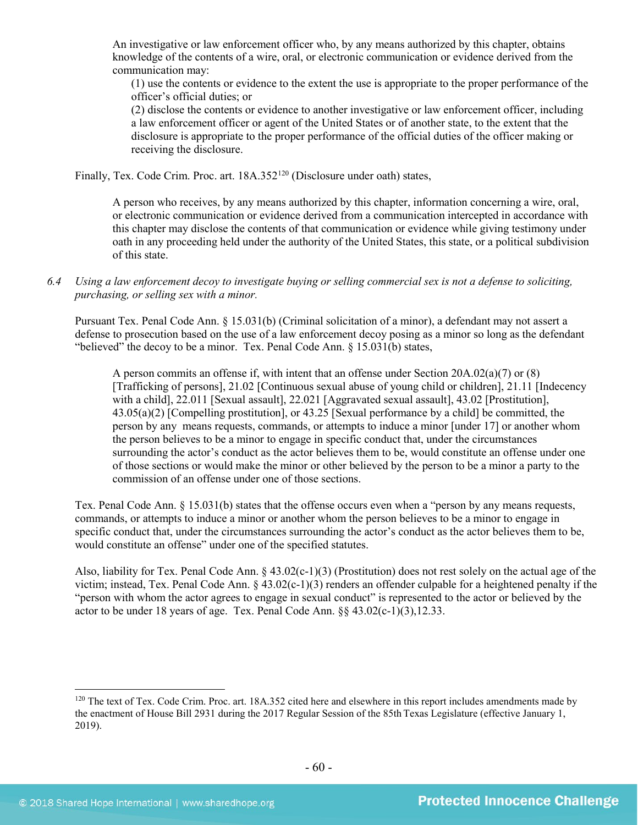An investigative or law enforcement officer who, by any means authorized by this chapter, obtains knowledge of the contents of a wire, oral, or electronic communication or evidence derived from the communication may:

(1) use the contents or evidence to the extent the use is appropriate to the proper performance of the officer's official duties; or

(2) disclose the contents or evidence to another investigative or law enforcement officer, including a law enforcement officer or agent of the United States or of another state, to the extent that the disclosure is appropriate to the proper performance of the official duties of the officer making or receiving the disclosure.

Finally, Tex. Code Crim. Proc. art. 18A.352<sup>[120](#page-59-0)</sup> (Disclosure under oath) states,

A person who receives, by any means authorized by this chapter, information concerning a wire, oral, or electronic communication or evidence derived from a communication intercepted in accordance with this chapter may disclose the contents of that communication or evidence while giving testimony under oath in any proceeding held under the authority of the United States, this state, or a political subdivision of this state.

## *6.4 Using a law enforcement decoy to investigate buying or selling commercial sex is not a defense to soliciting, purchasing, or selling sex with a minor.*

Pursuant Tex. Penal Code Ann. § 15.031(b) (Criminal solicitation of a minor), a defendant may not assert a defense to prosecution based on the use of a law enforcement decoy posing as a minor so long as the defendant "believed" the decoy to be a minor. Tex. Penal Code Ann. § 15.031(b) states,

A person commits an offense if, with intent that an offense under Section 20A.02(a)(7) or (8) [Trafficking of persons], 21.02 [Continuous sexual abuse of young child or children], 21.11 [Indecency with a child], 22.011 [Sexual assault], 22.021 [Aggravated sexual assault], 43.02 [Prostitution], 43.05(a)(2) [Compelling prostitution], or 43.25 [Sexual performance by a child] be committed, the person by any means requests, commands, or attempts to induce a minor [under 17] or another whom the person believes to be a minor to engage in specific conduct that, under the circumstances surrounding the actor's conduct as the actor believes them to be, would constitute an offense under one of those sections or would make the minor or other believed by the person to be a minor a party to the commission of an offense under one of those sections.

Tex. Penal Code Ann. § 15.031(b) states that the offense occurs even when a "person by any means requests, commands, or attempts to induce a minor or another whom the person believes to be a minor to engage in specific conduct that, under the circumstances surrounding the actor's conduct as the actor believes them to be, would constitute an offense" under one of the specified statutes.

Also, liability for Tex. Penal Code Ann. § 43.02(c-1)(3) (Prostitution) does not rest solely on the actual age of the victim; instead, Tex. Penal Code Ann. § 43.02(c-1)(3) renders an offender culpable for a heightened penalty if the "person with whom the actor agrees to engage in sexual conduct" is represented to the actor or believed by the actor to be under 18 years of age. Tex. Penal Code Ann. §§ 43.02(c-1)(3),12.33.

<span id="page-59-0"></span><sup>&</sup>lt;sup>120</sup> The text of Tex. Code Crim. Proc. art. 18A.352 cited here and elsewhere in this report includes amendments made by the enactment of House Bill 2931 during the 2017 Regular Session of the 85th Texas Legislature (effective January 1, 2019).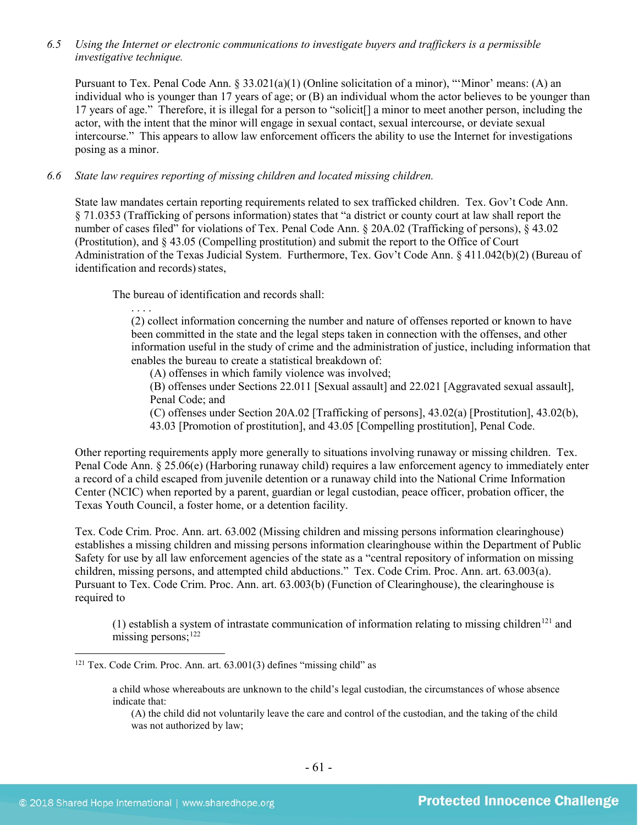*6.5 Using the Internet or electronic communications to investigate buyers and traffickers is a permissible investigative technique.*

Pursuant to Tex. Penal Code Ann. § 33.021(a)(1) (Online solicitation of a minor), "'Minor' means: (A) an individual who is younger than 17 years of age; or (B) an individual whom the actor believes to be younger than 17 years of age." Therefore, it is illegal for a person to "solicit[] a minor to meet another person, including the actor, with the intent that the minor will engage in sexual contact, sexual intercourse, or deviate sexual intercourse." This appears to allow law enforcement officers the ability to use the Internet for investigations posing as a minor.

#### *6.6 State law requires reporting of missing children and located missing children.*

State law mandates certain reporting requirements related to sex trafficked children. Tex. Gov't Code Ann. § 71.0353 (Trafficking of persons information) states that "a district or county court at law shall report the number of cases filed" for violations of Tex. Penal Code Ann. § 20A.02 (Trafficking of persons), § 43.02 (Prostitution), and § 43.05 (Compelling prostitution) and submit the report to the Office of Court Administration of the Texas Judicial System. Furthermore, Tex. Gov't Code Ann. § 411.042(b)(2) (Bureau of identification and records) states,

The bureau of identification and records shall:

. . . .

(2) collect information concerning the number and nature of offenses reported or known to have been committed in the state and the legal steps taken in connection with the offenses, and other information useful in the study of crime and the administration of justice, including information that enables the bureau to create a statistical breakdown of:

(A) offenses in which family violence was involved;

(B) offenses under Sections 22.011 [Sexual assault] and 22.021 [Aggravated sexual assault], Penal Code; and

(C) offenses under Section 20A.02 [Trafficking of persons], 43.02(a) [Prostitution], 43.02(b),

43.03 [Promotion of prostitution], and 43.05 [Compelling prostitution], Penal Code.

Other reporting requirements apply more generally to situations involving runaway or missing children. Tex. Penal Code Ann. § 25.06(e) (Harboring runaway child) requires a law enforcement agency to immediately enter a record of a child escaped from juvenile detention or a runaway child into the National Crime Information Center (NCIC) when reported by a parent, guardian or legal custodian, peace officer, probation officer, the Texas Youth Council, a foster home, or a detention facility.

Tex. Code Crim. Proc. Ann. art. 63.002 (Missing children and missing persons information clearinghouse) establishes a missing children and missing persons information clearinghouse within the Department of Public Safety for use by all law enforcement agencies of the state as a "central repository of information on missing children, missing persons, and attempted child abductions." Tex. Code Crim. Proc. Ann. art. 63.003(a). Pursuant to Tex. Code Crim. Proc. Ann. art. 63.003(b) (Function of Clearinghouse), the clearinghouse is required to

(1) establish a system of intrastate communication of information relating to missing children<sup>[121](#page-60-0)</sup> and missing persons;<sup>[122](#page-60-1)</sup>

<span id="page-60-1"></span><span id="page-60-0"></span> $121$  Tex. Code Crim. Proc. Ann. art.  $63.001(3)$  defines "missing child" as

a child whose whereabouts are unknown to the child's legal custodian, the circumstances of whose absence indicate that:

<sup>(</sup>A) the child did not voluntarily leave the care and control of the custodian, and the taking of the child was not authorized by law;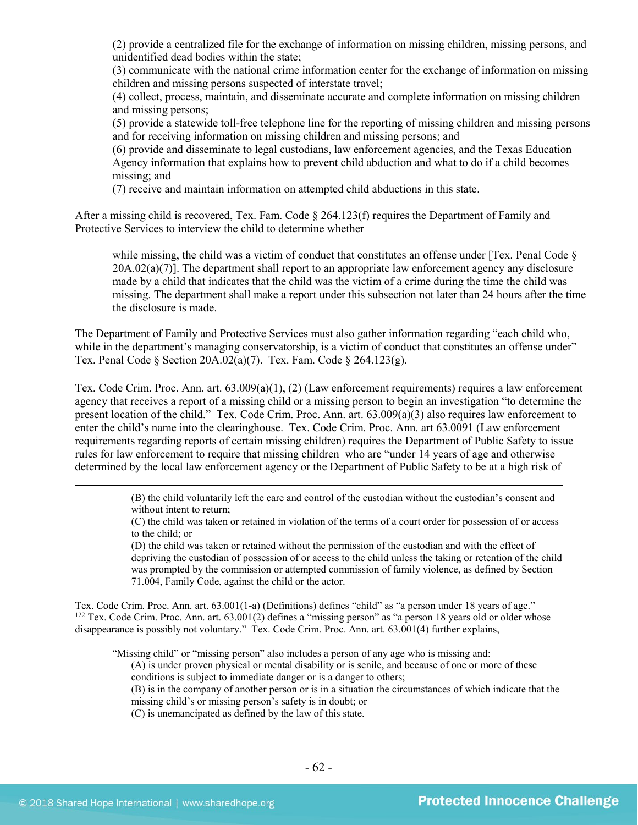(2) provide a centralized file for the exchange of information on missing children, missing persons, and unidentified dead bodies within the state;

(3) communicate with the national crime information center for the exchange of information on missing children and missing persons suspected of interstate travel;

(4) collect, process, maintain, and disseminate accurate and complete information on missing children and missing persons;

(5) provide a statewide toll-free telephone line for the reporting of missing children and missing persons and for receiving information on missing children and missing persons; and

(6) provide and disseminate to legal custodians, law enforcement agencies, and the Texas Education Agency information that explains how to prevent child abduction and what to do if a child becomes missing; and

(7) receive and maintain information on attempted child abductions in this state.

After a missing child is recovered, Tex. Fam. Code § 264.123(f) requires the Department of Family and Protective Services to interview the child to determine whether

while missing, the child was a victim of conduct that constitutes an offense under [Tex. Penal Code §  $20A.02(a)(7)$ ]. The department shall report to an appropriate law enforcement agency any disclosure made by a child that indicates that the child was the victim of a crime during the time the child was missing. The department shall make a report under this subsection not later than 24 hours after the time the disclosure is made.

The Department of Family and Protective Services must also gather information regarding "each child who, while in the department's managing conservatorship, is a victim of conduct that constitutes an offense under" Tex. Penal Code § Section 20A.02(a)(7). Tex. Fam. Code § 264.123(g).

Tex. Code Crim. Proc. Ann. art. 63.009(a)(1), (2) (Law enforcement requirements) requires a law enforcement agency that receives a report of a missing child or a missing person to begin an investigation "to determine the present location of the child." Tex. Code Crim. Proc. Ann. art. 63.009(a)(3) also requires law enforcement to enter the child's name into the clearinghouse. Tex. Code Crim. Proc. Ann. art 63.0091 (Law enforcement requirements regarding reports of certain missing children) requires the Department of Public Safety to issue rules for law enforcement to require that missing children who are "under 14 years of age and otherwise determined by the local law enforcement agency or the Department of Public Safety to be at a high risk of

> (B) the child voluntarily left the care and control of the custodian without the custodian's consent and without intent to return;

> (C) the child was taken or retained in violation of the terms of a court order for possession of or access to the child; or

> (D) the child was taken or retained without the permission of the custodian and with the effect of depriving the custodian of possession of or access to the child unless the taking or retention of the child was prompted by the commission or attempted commission of family violence, as defined by Section 71.004, Family Code, against the child or the actor.

Tex. Code Crim. Proc. Ann. art. 63.001(1-a) (Definitions) defines "child" as "a person under 18 years of age." 122 Tex. Code Crim. Proc. Ann. art. 63.001(2) defines a "missing person" as "a person 18 years old or older whose disappearance is possibly not voluntary." Tex. Code Crim. Proc. Ann. art. 63.001(4) further explains,

"Missing child" or "missing person" also includes a person of any age who is missing and:

(A) is under proven physical or mental disability or is senile, and because of one or more of these conditions is subject to immediate danger or is a danger to others;

(B) is in the company of another person or is in a situation the circumstances of which indicate that the missing child's or missing person's safety is in doubt; or

(C) is unemancipated as defined by the law of this state.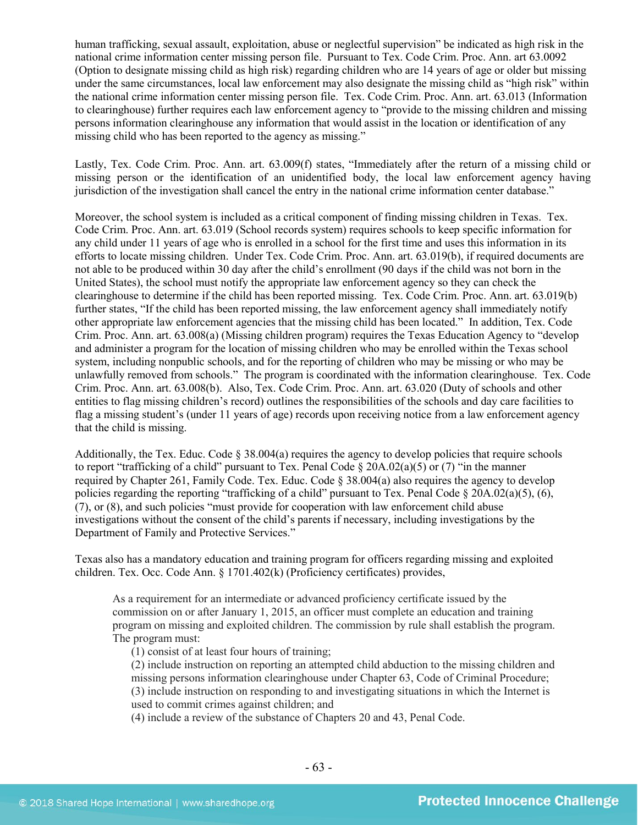human trafficking, sexual assault, exploitation, abuse or neglectful supervision" be indicated as high risk in the national crime information center missing person file. Pursuant to Tex. Code Crim. Proc. Ann. art 63.0092 (Option to designate missing child as high risk) regarding children who are 14 years of age or older but missing under the same circumstances, local law enforcement may also designate the missing child as "high risk" within the national crime information center missing person file. Tex. Code Crim. Proc. Ann. art. 63.013 (Information to clearinghouse) further requires each law enforcement agency to "provide to the missing children and missing persons information clearinghouse any information that would assist in the location or identification of any missing child who has been reported to the agency as missing."

Lastly, Tex. Code Crim. Proc. Ann. art. 63.009(f) states, "Immediately after the return of a missing child or missing person or the identification of an unidentified body, the local law enforcement agency having jurisdiction of the investigation shall cancel the entry in the national crime information center database."

Moreover, the school system is included as a critical component of finding missing children in Texas. Tex. Code Crim. Proc. Ann. art. 63.019 (School records system) requires schools to keep specific information for any child under 11 years of age who is enrolled in a school for the first time and uses this information in its efforts to locate missing children. Under Tex. Code Crim. Proc. Ann. art. 63.019(b), if required documents are not able to be produced within 30 day after the child's enrollment (90 days if the child was not born in the United States), the school must notify the appropriate law enforcement agency so they can check the clearinghouse to determine if the child has been reported missing. Tex. Code Crim. Proc. Ann. art. 63.019(b) further states, "If the child has been reported missing, the law enforcement agency shall immediately notify other appropriate law enforcement agencies that the missing child has been located." In addition, Tex. Code Crim. Proc. Ann. art. 63.008(a) (Missing children program) requires the Texas Education Agency to "develop and administer a program for the location of missing children who may be enrolled within the Texas school system, including nonpublic schools, and for the reporting of children who may be missing or who may be unlawfully removed from schools." The program is coordinated with the information clearinghouse. Tex. Code Crim. Proc. Ann. art. 63.008(b). Also, Tex. Code Crim. Proc. Ann. art. 63.020 (Duty of schools and other entities to flag missing children's record) outlines the responsibilities of the schools and day care facilities to flag a missing student's (under 11 years of age) records upon receiving notice from a law enforcement agency that the child is missing.

Additionally, the Tex. Educ. Code § 38.004(a) requires the agency to develop policies that require schools to report "trafficking of a child" pursuant to Tex. Penal Code § 20A.02(a)(5) or (7) "in the manner required by Chapter 261, Family Code. Tex. Educ. Code  $\S 38.004(a)$  also requires the agency to develop policies regarding the reporting "trafficking of a child" pursuant to Tex. Penal Code § 20A.02(a)(5), (6), (7), or (8), and such policies "must provide for cooperation with law enforcement child abuse investigations without the consent of the child's parents if necessary, including investigations by the Department of Family and Protective Services."

Texas also has a mandatory education and training program for officers regarding missing and exploited children. Tex. Occ. Code Ann. § 1701.402(k) (Proficiency certificates) provides,

As a requirement for an intermediate or advanced proficiency certificate issued by the commission on or after January 1, 2015, an officer must complete an education and training program on missing and exploited children. The commission by rule shall establish the program. The program must:

(1) consist of at least four hours of training;

(2) include instruction on reporting an attempted child abduction to the missing children and missing persons information clearinghouse under Chapter 63, Code of Criminal Procedure; (3) include instruction on responding to and investigating situations in which the Internet is used to commit crimes against children; and

(4) include a review of the substance of Chapters 20 and 43, Penal Code.